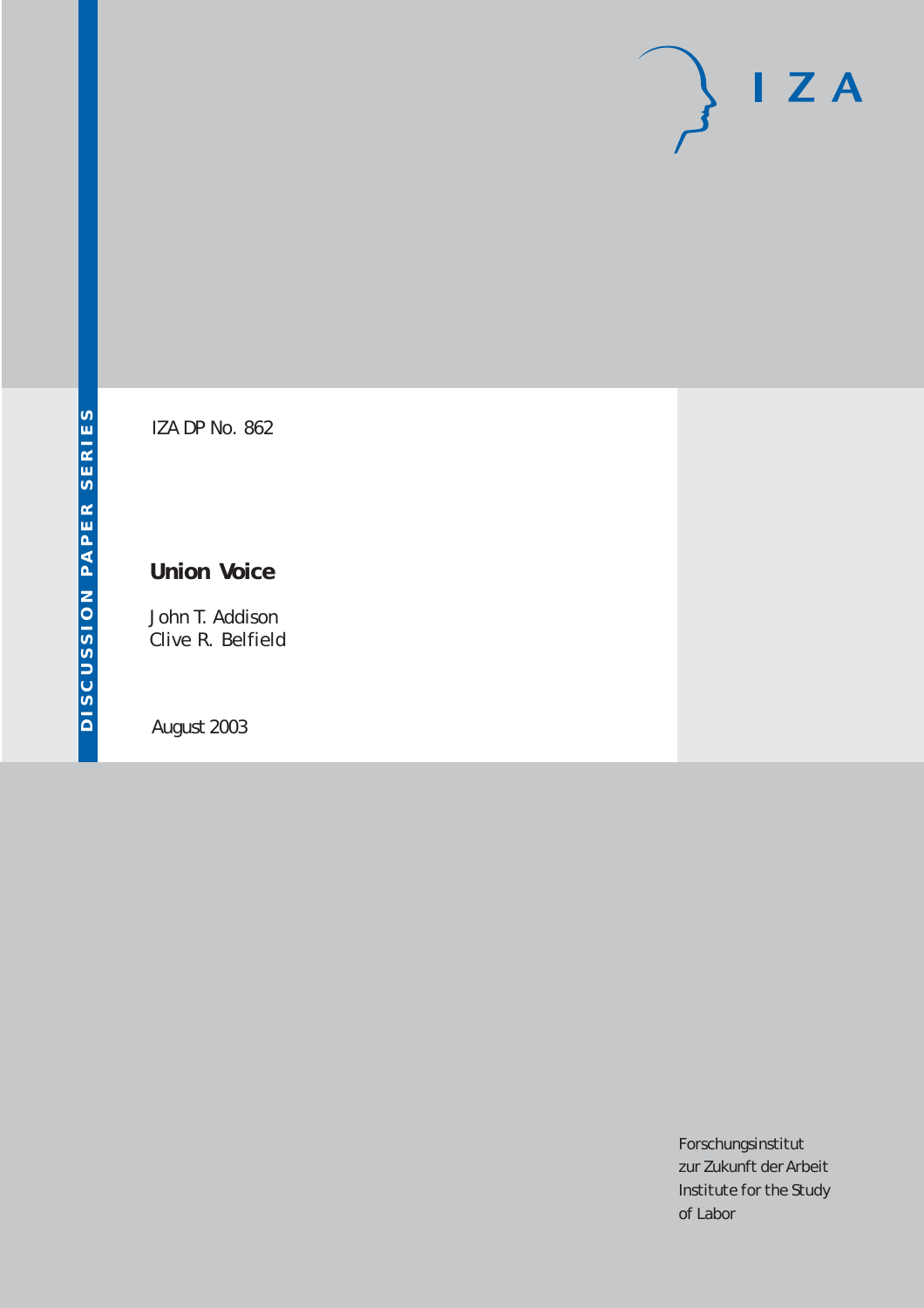# $I Z A$

IZA DP No. 862

## **Union Voice**

John T. Addison Clive R. Belfield

August 2003

Forschungsinstitut zur Zukunft der Arbeit Institute for the Study of Labor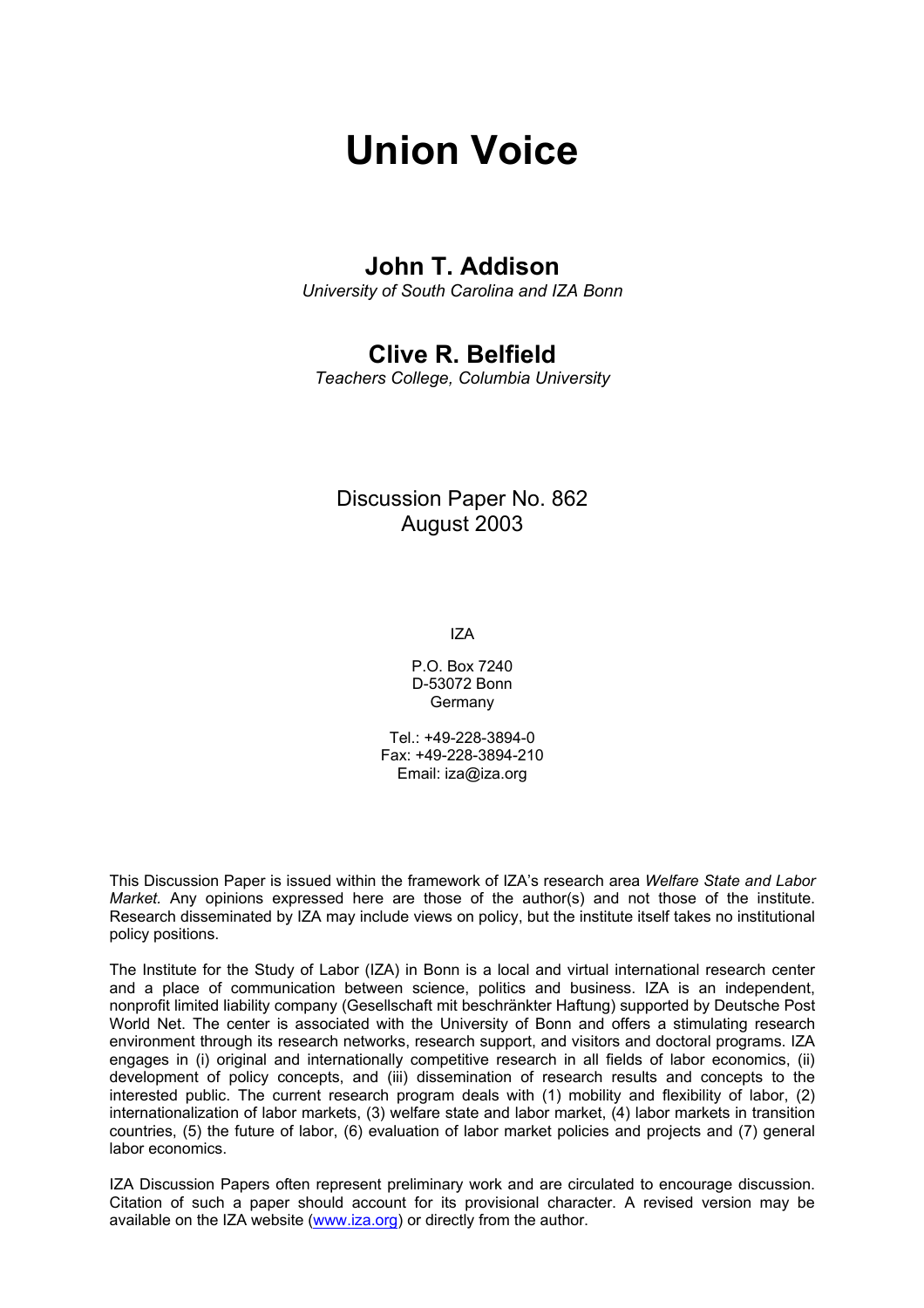# **Union Voice**

### **John T. Addison**

*University of South Carolina and IZA Bonn* 

## **Clive R. Belfield**

*Teachers College, Columbia University* 

#### Discussion Paper No. 862 August 2003

IZA

P.O. Box 7240 D-53072 Bonn **Germany** 

Tel.: +49-228-3894-0 Fax: +49-228-3894-210 Email: [iza@iza.org](mailto:iza@iza.org)

This Discussion Paper is issued within the framework of IZA's research area *Welfare State and Labor Market.* Any opinions expressed here are those of the author(s) and not those of the institute. Research disseminated by IZA may include views on policy, but the institute itself takes no institutional policy positions.

The Institute for the Study of Labor (IZA) in Bonn is a local and virtual international research center and a place of communication between science, politics and business. IZA is an independent, nonprofit limited liability company (Gesellschaft mit beschränkter Haftung) supported by Deutsche Post World Net. The center is associated with the University of Bonn and offers a stimulating research environment through its research networks, research support, and visitors and doctoral programs. IZA engages in (i) original and internationally competitive research in all fields of labor economics, (ii) development of policy concepts, and (iii) dissemination of research results and concepts to the interested public. The current research program deals with (1) mobility and flexibility of labor, (2) internationalization of labor markets, (3) welfare state and labor market, (4) labor markets in transition countries, (5) the future of labor, (6) evaluation of labor market policies and projects and (7) general labor economics.

IZA Discussion Papers often represent preliminary work and are circulated to encourage discussion. Citation of such a paper should account for its provisional character. A revised version may be available on the IZA website ([www.iza.org](http://www.iza.org/)) or directly from the author.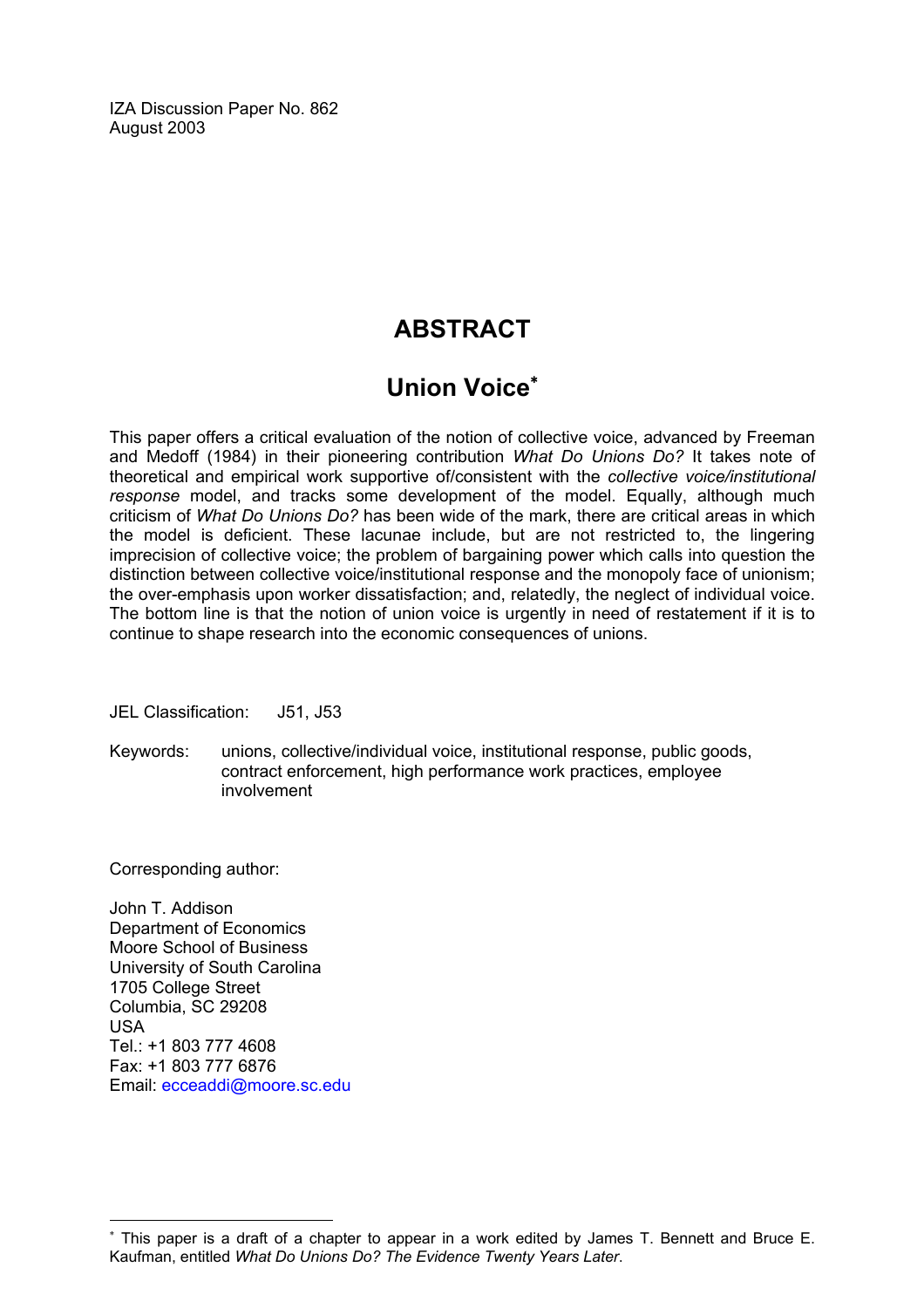IZA Discussion Paper No. 862 August 2003

## **ABSTRACT**

## **Union Voice**[∗](#page-2-0)

This paper offers a critical evaluation of the notion of collective voice, advanced by Freeman and Medoff (1984) in their pioneering contribution *What Do Unions Do?* It takes note of theoretical and empirical work supportive of/consistent with the *collective voice/institutional response* model, and tracks some development of the model. Equally, although much criticism of *What Do Unions Do?* has been wide of the mark, there are critical areas in which the model is deficient. These lacunae include, but are not restricted to, the lingering imprecision of collective voice; the problem of bargaining power which calls into question the distinction between collective voice/institutional response and the monopoly face of unionism; the over-emphasis upon worker dissatisfaction; and, relatedly, the neglect of individual voice. The bottom line is that the notion of union voice is urgently in need of restatement if it is to continue to shape research into the economic consequences of unions.

JEL Classification: J51, J53

Keywords: unions, collective/individual voice, institutional response, public goods, contract enforcement, high performance work practices, employee involvement

Corresponding author:

 $\overline{a}$ 

John T. Addison Department of Economics Moore School of Business University of South Carolina 1705 College Street Columbia, SC 29208 USA Tel.: +1 803 777 4608 Fax: +1 803 777 6876 Email: [ecceaddi@moore.sc.edu](mailto:ecceaddi@moore.sc.edu)

<span id="page-2-0"></span><sup>∗</sup> This paper is a draft of a chapter to appear in a work edited by James T. Bennett and Bruce E. Kaufman, entitled *What Do Unions Do? The Evidence Twenty Years Later*.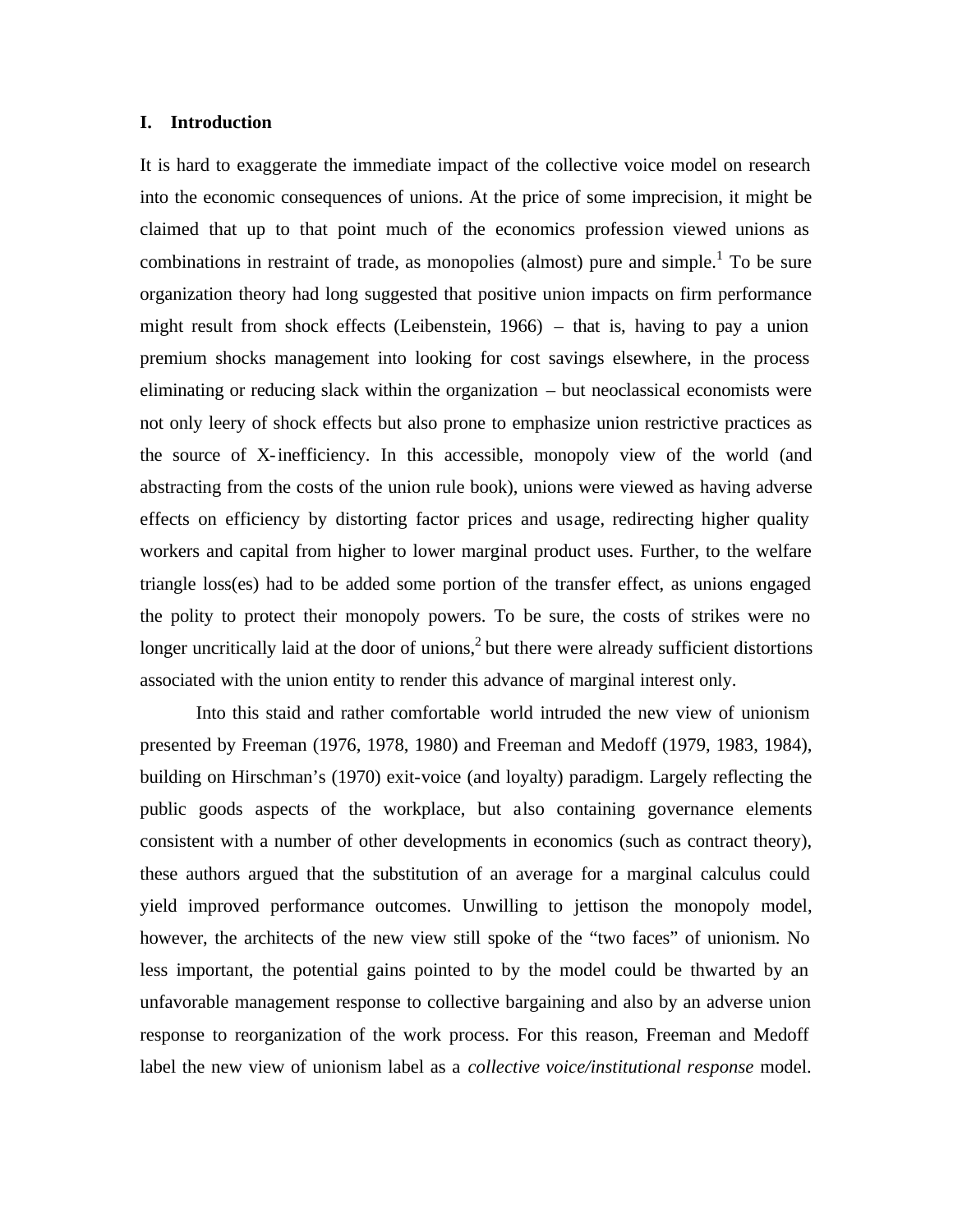#### **I. Introduction**

It is hard to exaggerate the immediate impact of the collective voice model on research into the economic consequences of unions. At the price of some imprecision, it might be claimed that up to that point much of the economics profession viewed unions as combinations in restraint of trade, as monopolies (almost) pure and simple.<sup>1</sup> To be sure organization theory had long suggested that positive union impacts on firm performance might result from shock effects (Leibenstein, 1966) – that is, having to pay a union premium shocks management into looking for cost savings elsewhere, in the process eliminating or reducing slack within the organization – but neoclassical economists were not only leery of shock effects but also prone to emphasize union restrictive practices as the source of X-inefficiency. In this accessible, monopoly view of the world (and abstracting from the costs of the union rule book), unions were viewed as having adverse effects on efficiency by distorting factor prices and usage, redirecting higher quality workers and capital from higher to lower marginal product uses. Further, to the welfare triangle loss(es) had to be added some portion of the transfer effect, as unions engaged the polity to protect their monopoly powers. To be sure, the costs of strikes were no longer uncritically laid at the door of unions, $<sup>2</sup>$  but there were already sufficient distortions</sup> associated with the union entity to render this advance of marginal interest only.

Into this staid and rather comfortable world intruded the new view of unionism presented by Freeman (1976, 1978, 1980) and Freeman and Medoff (1979, 1983, 1984), building on Hirschman's (1970) exit-voice (and loyalty) paradigm. Largely reflecting the public goods aspects of the workplace, but also containing governance elements consistent with a number of other developments in economics (such as contract theory), these authors argued that the substitution of an average for a marginal calculus could yield improved performance outcomes. Unwilling to jettison the monopoly model, however, the architects of the new view still spoke of the "two faces" of unionism. No less important, the potential gains pointed to by the model could be thwarted by an unfavorable management response to collective bargaining and also by an adverse union response to reorganization of the work process. For this reason, Freeman and Medoff label the new view of unionism label as a *collective voice/institutional response* model.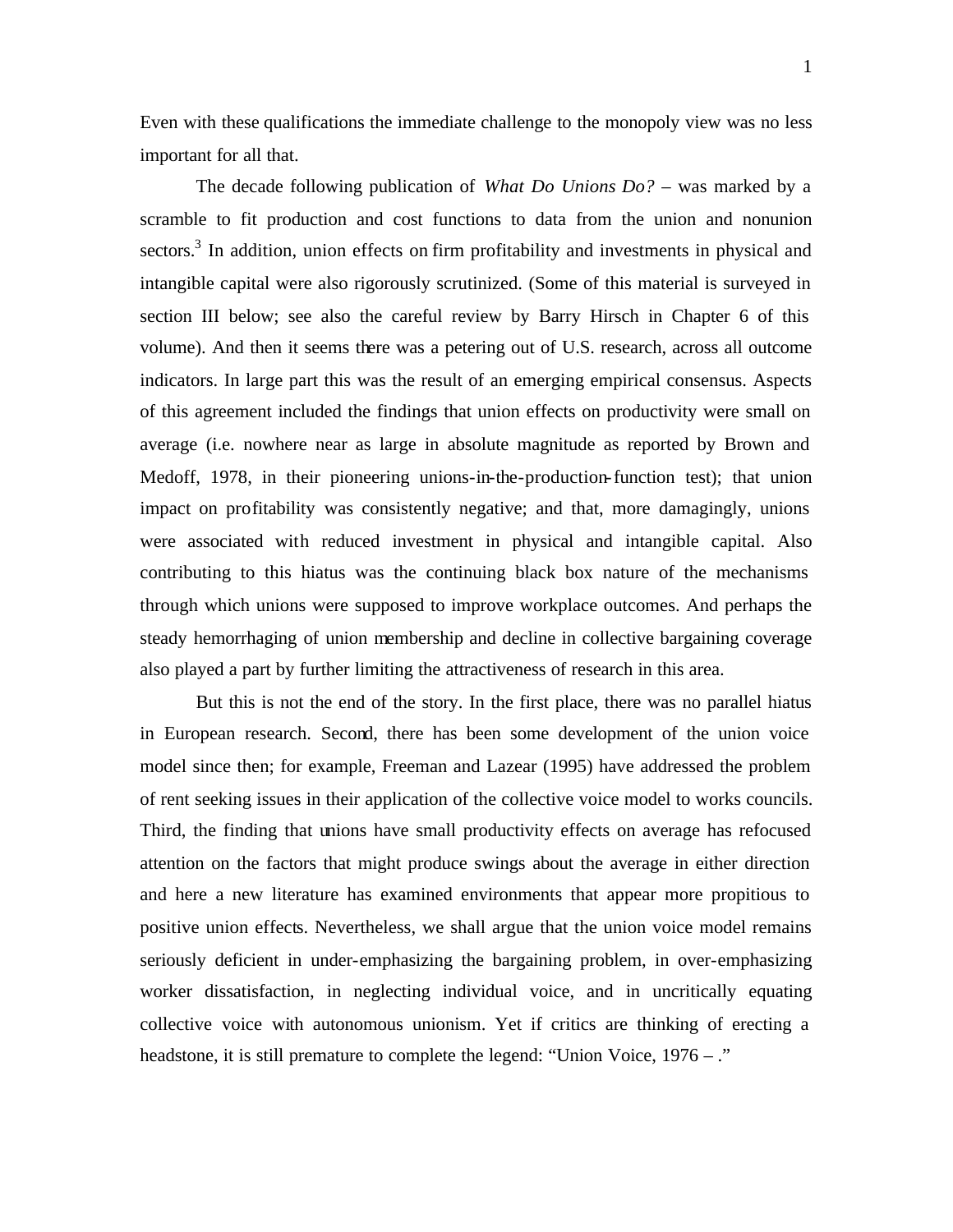Even with these qualifications the immediate challenge to the monopoly view was no less important for all that.

The decade following publication of *What Do Unions Do? –* was marked by a scramble to fit production and cost functions to data from the union and nonunion sectors.<sup>3</sup> In addition, union effects on firm profitability and investments in physical and intangible capital were also rigorously scrutinized. (Some of this material is surveyed in section III below; see also the careful review by Barry Hirsch in Chapter 6 of this volume). And then it seems there was a petering out of U.S. research, across all outcome indicators. In large part this was the result of an emerging empirical consensus. Aspects of this agreement included the findings that union effects on productivity were small on average (i.e. nowhere near as large in absolute magnitude as reported by Brown and Medoff, 1978, in their pioneering unions-in-the-production-function test); that union impact on profitability was consistently negative; and that, more damagingly, unions were associated with reduced investment in physical and intangible capital. Also contributing to this hiatus was the continuing black box nature of the mechanisms through which unions were supposed to improve workplace outcomes. And perhaps the steady hemorrhaging of union membership and decline in collective bargaining coverage also played a part by further limiting the attractiveness of research in this area.

But this is not the end of the story. In the first place, there was no parallel hiatus in European research. Second, there has been some development of the union voice model since then; for example, Freeman and Lazear (1995) have addressed the problem of rent seeking issues in their application of the collective voice model to works councils. Third, the finding that unions have small productivity effects on average has refocused attention on the factors that might produce swings about the average in either direction and here a new literature has examined environments that appear more propitious to positive union effects. Nevertheless, we shall argue that the union voice model remains seriously deficient in under-emphasizing the bargaining problem, in over-emphasizing worker dissatisfaction, in neglecting individual voice, and in uncritically equating collective voice with autonomous unionism. Yet if critics are thinking of erecting a headstone, it is still premature to complete the legend: "Union Voice, 1976 – ."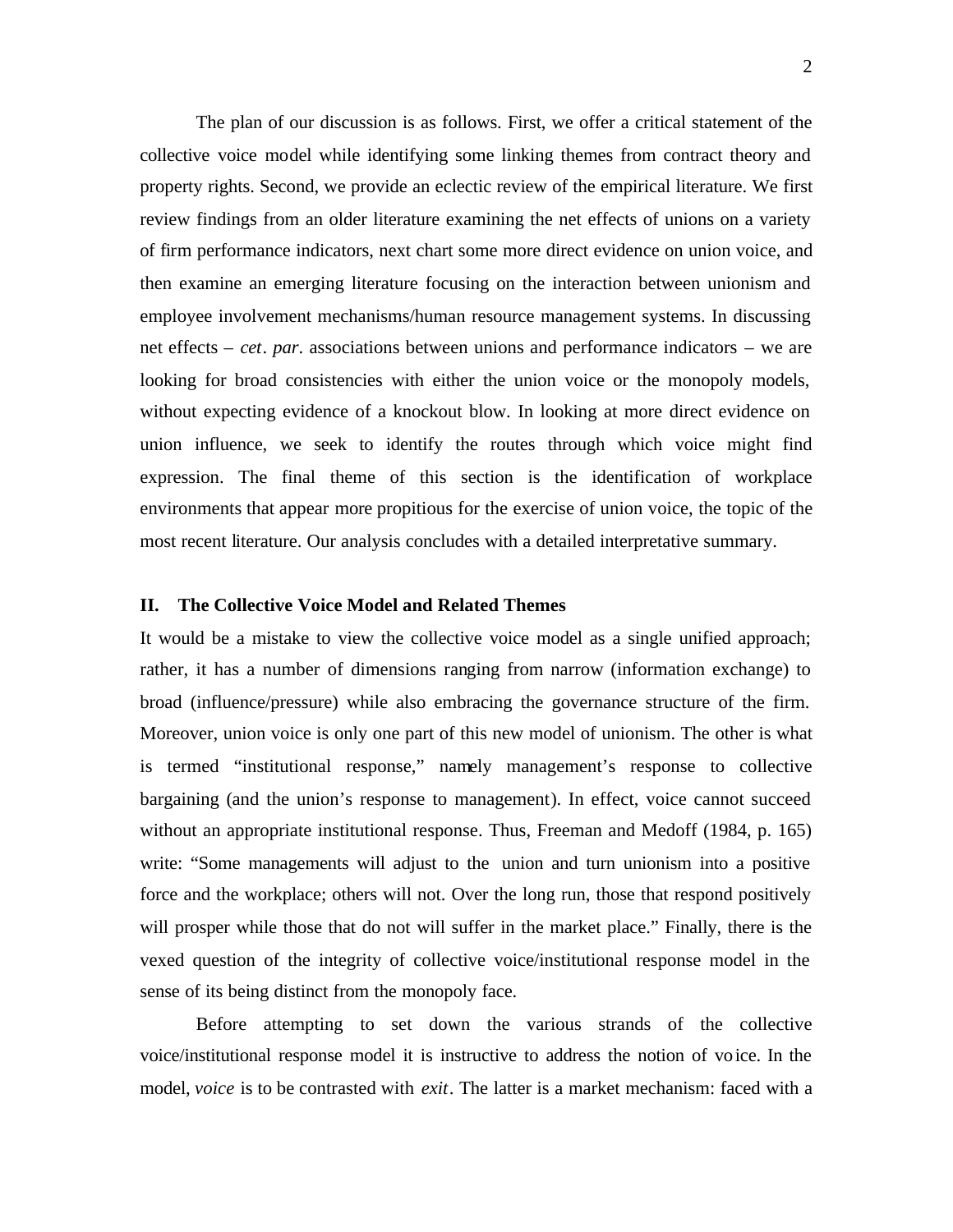The plan of our discussion is as follows. First, we offer a critical statement of the collective voice model while identifying some linking themes from contract theory and property rights. Second, we provide an eclectic review of the empirical literature. We first review findings from an older literature examining the net effects of unions on a variety of firm performance indicators, next chart some more direct evidence on union voice, and then examine an emerging literature focusing on the interaction between unionism and employee involvement mechanisms/human resource management systems. In discussing net effects – *cet*. *par*. associations between unions and performance indicators – we are looking for broad consistencies with either the union voice or the monopoly models, without expecting evidence of a knockout blow. In looking at more direct evidence on union influence, we seek to identify the routes through which voice might find expression. The final theme of this section is the identification of workplace environments that appear more propitious for the exercise of union voice, the topic of the most recent literature. Our analysis concludes with a detailed interpretative summary.

#### **II. The Collective Voice Model and Related Themes**

It would be a mistake to view the collective voice model as a single unified approach; rather, it has a number of dimensions ranging from narrow (information exchange) to broad (influence/pressure) while also embracing the governance structure of the firm. Moreover, union voice is only one part of this new model of unionism. The other is what is termed "institutional response," namely management's response to collective bargaining (and the union's response to management). In effect, voice cannot succeed without an appropriate institutional response. Thus, Freeman and Medoff (1984, p. 165) write: "Some managements will adjust to the union and turn unionism into a positive force and the workplace; others will not. Over the long run, those that respond positively will prosper while those that do not will suffer in the market place." Finally, there is the vexed question of the integrity of collective voice/institutional response model in the sense of its being distinct from the monopoly face.

Before attempting to set down the various strands of the collective voice/institutional response model it is instructive to address the notion of voice. In the model, *voice* is to be contrasted with *exit*. The latter is a market mechanism: faced with a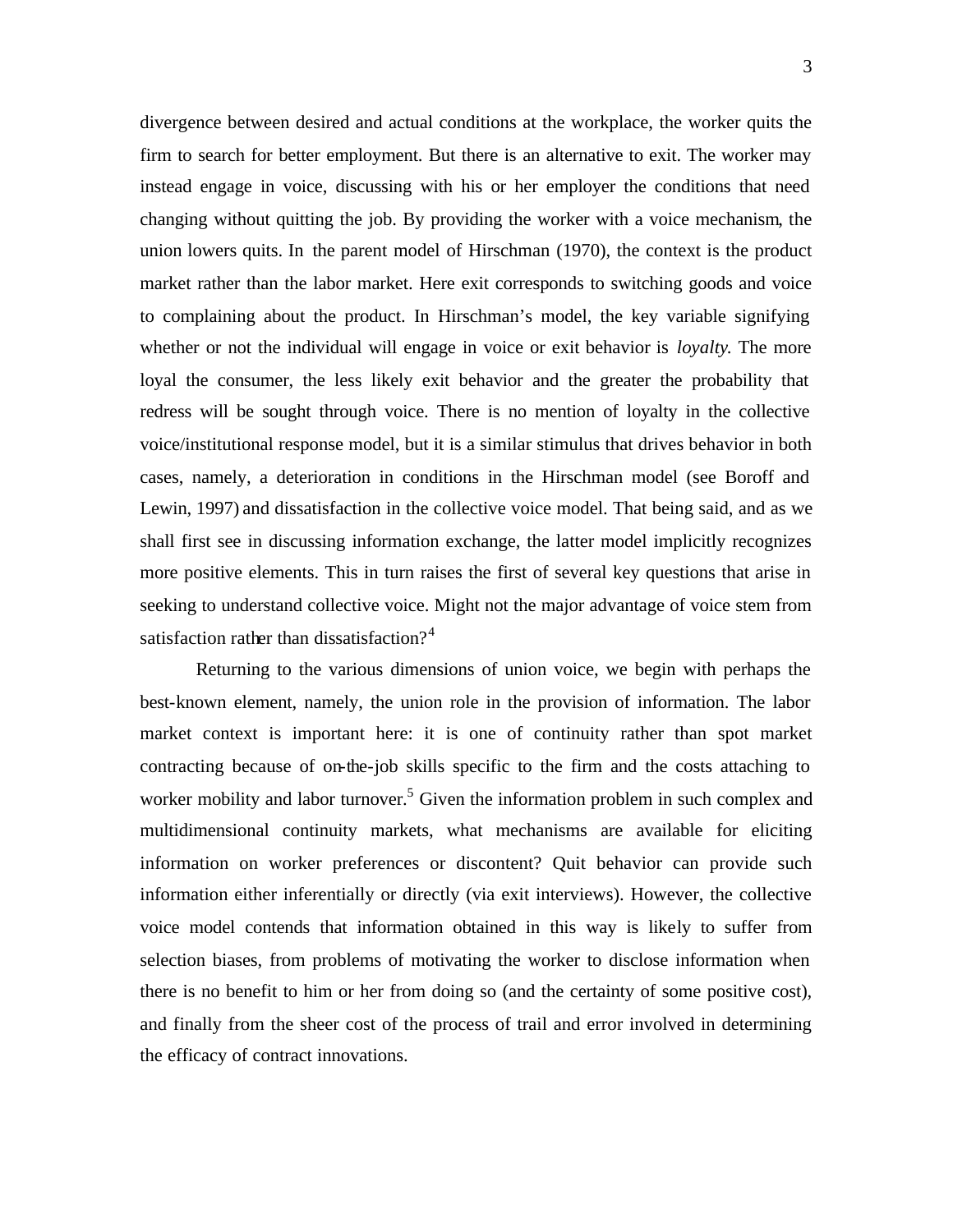divergence between desired and actual conditions at the workplace, the worker quits the firm to search for better employment. But there is an alternative to exit. The worker may instead engage in voice, discussing with his or her employer the conditions that need changing without quitting the job. By providing the worker with a voice mechanism, the union lowers quits. In the parent model of Hirschman (1970), the context is the product market rather than the labor market. Here exit corresponds to switching goods and voice to complaining about the product. In Hirschman's model, the key variable signifying whether or not the individual will engage in voice or exit behavior is *loyalty*. The more loyal the consumer, the less likely exit behavior and the greater the probability that redress will be sought through voice. There is no mention of loyalty in the collective voice/institutional response model, but it is a similar stimulus that drives behavior in both cases, namely, a deterioration in conditions in the Hirschman model (see Boroff and Lewin, 1997) and dissatisfaction in the collective voice model. That being said, and as we shall first see in discussing information exchange, the latter model implicitly recognizes more positive elements. This in turn raises the first of several key questions that arise in seeking to understand collective voice. Might not the major advantage of voice stem from satisfaction rather than dissatisfaction?<sup>4</sup>

Returning to the various dimensions of union voice, we begin with perhaps the best-known element, namely, the union role in the provision of information. The labor market context is important here: it is one of continuity rather than spot market contracting because of on-the-job skills specific to the firm and the costs attaching to worker mobility and labor turnover.<sup>5</sup> Given the information problem in such complex and multidimensional continuity markets, what mechanisms are available for eliciting information on worker preferences or discontent? Quit behavior can provide such information either inferentially or directly (via exit interviews). However, the collective voice model contends that information obtained in this way is likely to suffer from selection biases, from problems of motivating the worker to disclose information when there is no benefit to him or her from doing so (and the certainty of some positive cost), and finally from the sheer cost of the process of trail and error involved in determining the efficacy of contract innovations.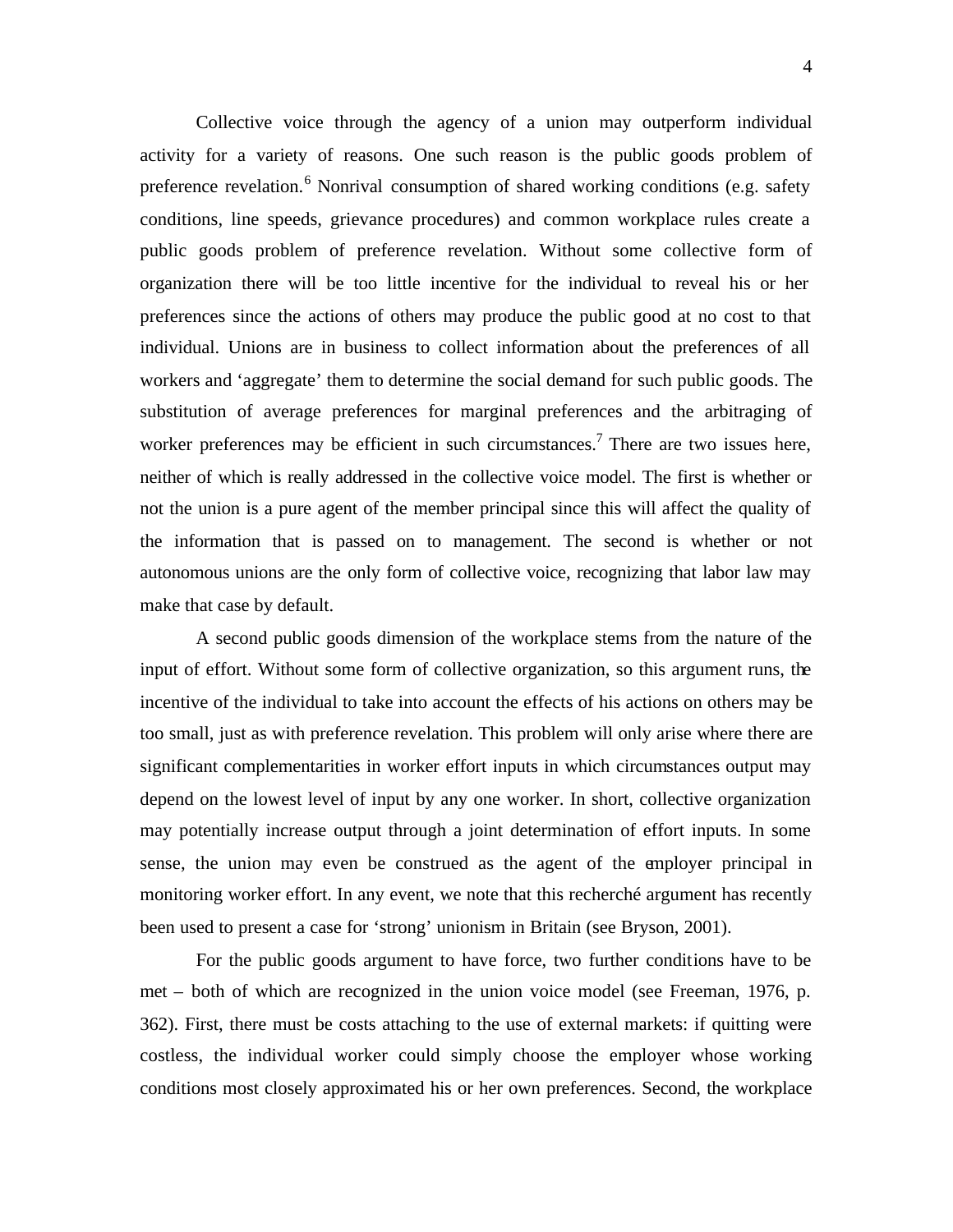Collective voice through the agency of a union may outperform individual activity for a variety of reasons. One such reason is the public goods problem of preference revelation.<sup>6</sup> Nonrival consumption of shared working conditions (e.g. safety conditions, line speeds, grievance procedures) and common workplace rules create a public goods problem of preference revelation. Without some collective form of organization there will be too little incentive for the individual to reveal his or her preferences since the actions of others may produce the public good at no cost to that individual. Unions are in business to collect information about the preferences of all workers and 'aggregate' them to determine the social demand for such public goods. The substitution of average preferences for marginal preferences and the arbitraging of worker preferences may be efficient in such circumstances.<sup>7</sup> There are two issues here, neither of which is really addressed in the collective voice model. The first is whether or not the union is a pure agent of the member principal since this will affect the quality of the information that is passed on to management. The second is whether or not autonomous unions are the only form of collective voice, recognizing that labor law may make that case by default.

A second public goods dimension of the workplace stems from the nature of the input of effort. Without some form of collective organization, so this argument runs, the incentive of the individual to take into account the effects of his actions on others may be too small, just as with preference revelation. This problem will only arise where there are significant complementarities in worker effort inputs in which circumstances output may depend on the lowest level of input by any one worker. In short, collective organization may potentially increase output through a joint determination of effort inputs. In some sense, the union may even be construed as the agent of the employer principal in monitoring worker effort. In any event, we note that this recherché argument has recently been used to present a case for 'strong' unionism in Britain (see Bryson, 2001).

For the public goods argument to have force, two further conditions have to be met – both of which are recognized in the union voice model (see Freeman, 1976, p. 362). First, there must be costs attaching to the use of external markets: if quitting were costless, the individual worker could simply choose the employer whose working conditions most closely approximated his or her own preferences. Second, the workplace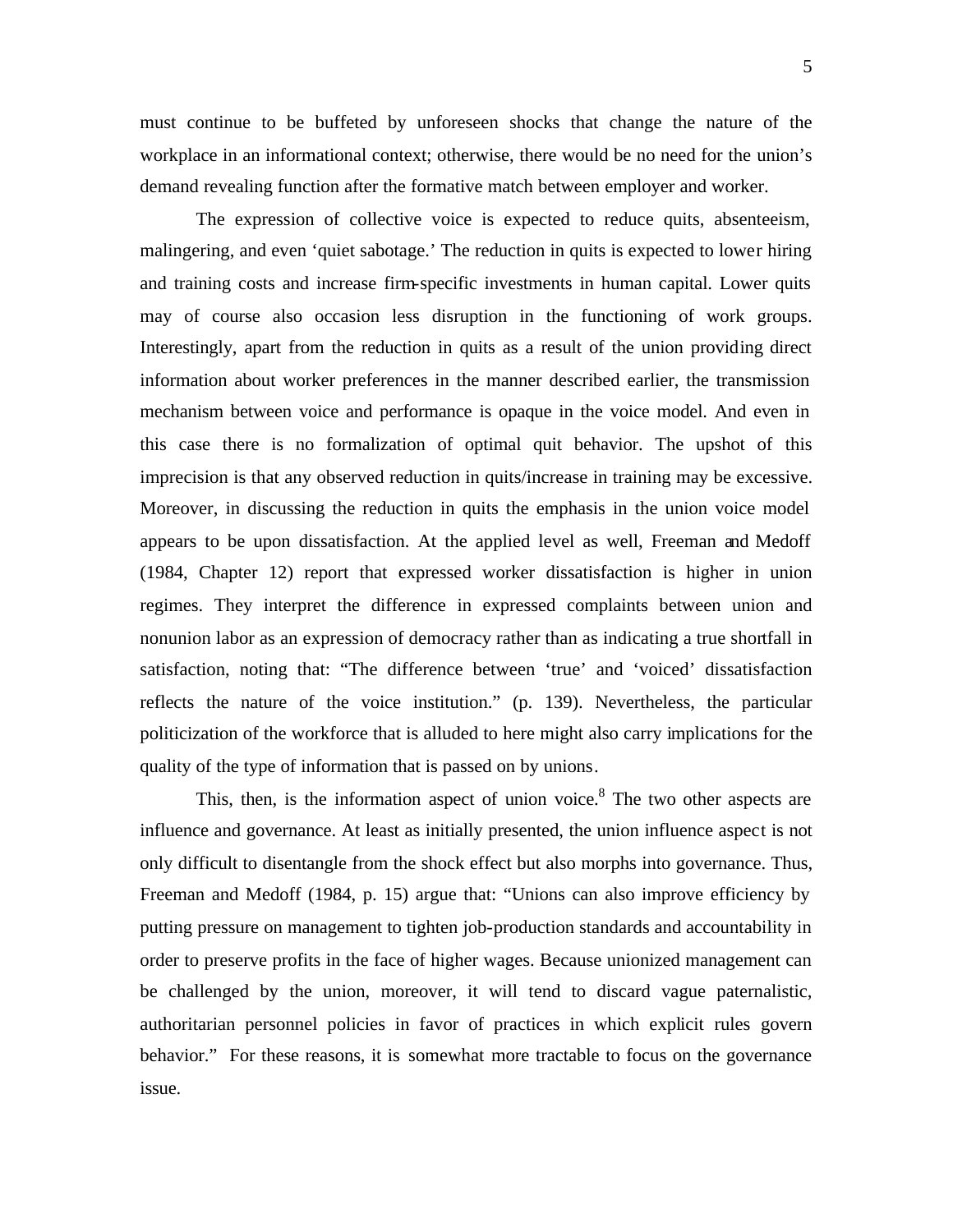must continue to be buffeted by unforeseen shocks that change the nature of the workplace in an informational context; otherwise, there would be no need for the union's demand revealing function after the formative match between employer and worker.

The expression of collective voice is expected to reduce quits, absenteeism, malingering, and even 'quiet sabotage.' The reduction in quits is expected to lower hiring and training costs and increase firm-specific investments in human capital. Lower quits may of course also occasion less disruption in the functioning of work groups. Interestingly, apart from the reduction in quits as a result of the union providing direct information about worker preferences in the manner described earlier, the transmission mechanism between voice and performance is opaque in the voice model. And even in this case there is no formalization of optimal quit behavior. The upshot of this imprecision is that any observed reduction in quits/increase in training may be excessive. Moreover, in discussing the reduction in quits the emphasis in the union voice model appears to be upon dissatisfaction. At the applied level as well, Freeman and Medoff (1984, Chapter 12) report that expressed worker dissatisfaction is higher in union regimes. They interpret the difference in expressed complaints between union and nonunion labor as an expression of democracy rather than as indicating a true shortfall in satisfaction, noting that: "The difference between 'true' and 'voiced' dissatisfaction reflects the nature of the voice institution." (p. 139). Nevertheless, the particular politicization of the workforce that is alluded to here might also carry implications for the quality of the type of information that is passed on by unions.

This, then, is the information aspect of union voice. $8$  The two other aspects are influence and governance. At least as initially presented, the union influence aspect is not only difficult to disentangle from the shock effect but also morphs into governance. Thus, Freeman and Medoff (1984, p. 15) argue that: "Unions can also improve efficiency by putting pressure on management to tighten job-production standards and accountability in order to preserve profits in the face of higher wages. Because unionized management can be challenged by the union, moreover, it will tend to discard vague paternalistic, authoritarian personnel policies in favor of practices in which explicit rules govern behavior." For these reasons, it is somewhat more tractable to focus on the governance issue.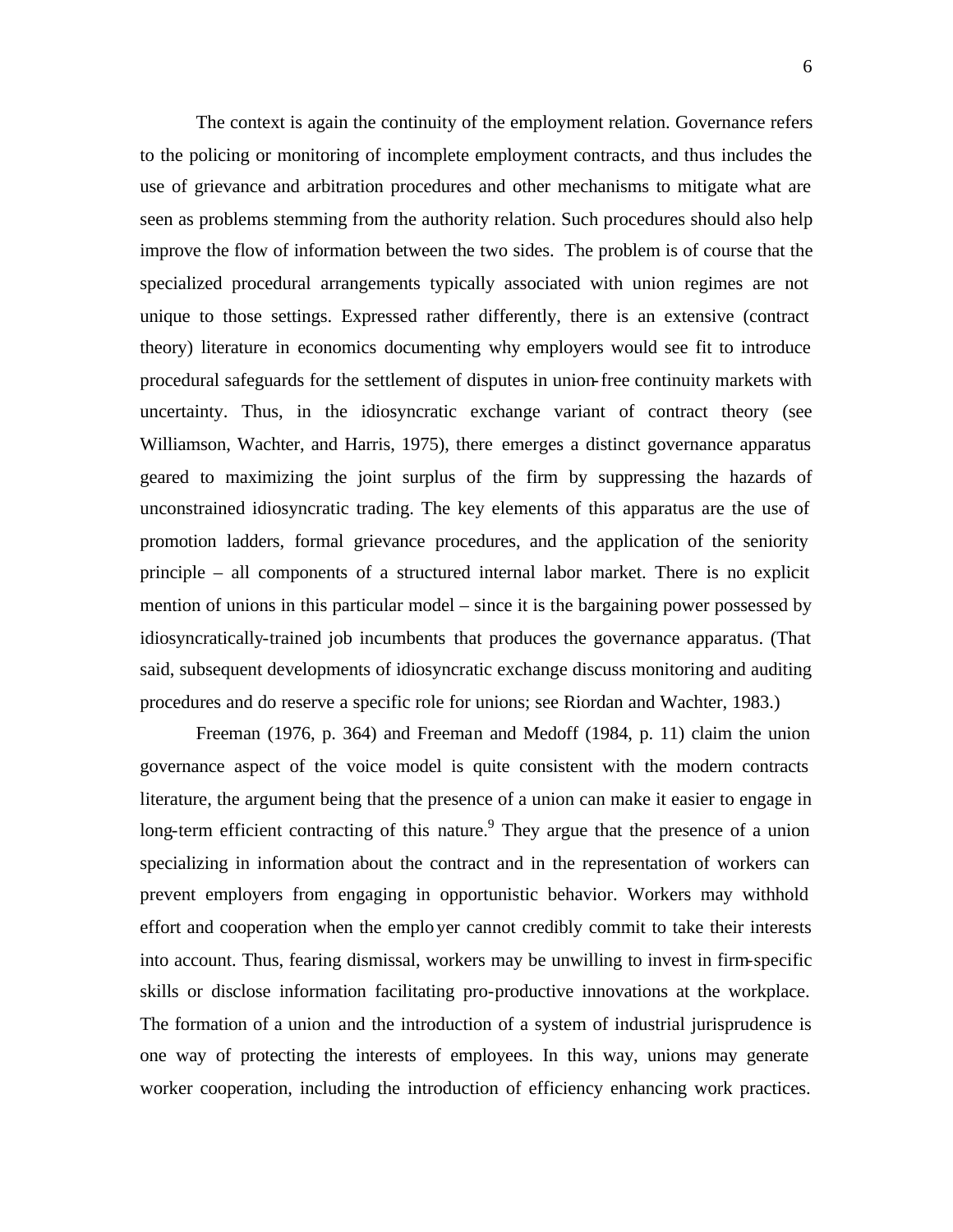The context is again the continuity of the employment relation. Governance refers to the policing or monitoring of incomplete employment contracts, and thus includes the use of grievance and arbitration procedures and other mechanisms to mitigate what are seen as problems stemming from the authority relation. Such procedures should also help improve the flow of information between the two sides. The problem is of course that the specialized procedural arrangements typically associated with union regimes are not unique to those settings. Expressed rather differently, there is an extensive (contract theory) literature in economics documenting why employers would see fit to introduce procedural safeguards for the settlement of disputes in union-free continuity markets with uncertainty. Thus, in the idiosyncratic exchange variant of contract theory (see Williamson, Wachter, and Harris, 1975), there emerges a distinct governance apparatus geared to maximizing the joint surplus of the firm by suppressing the hazards of unconstrained idiosyncratic trading. The key elements of this apparatus are the use of promotion ladders, formal grievance procedures, and the application of the seniority principle – all components of a structured internal labor market. There is no explicit mention of unions in this particular model – since it is the bargaining power possessed by idiosyncratically-trained job incumbents that produces the governance apparatus. (That said, subsequent developments of idiosyncratic exchange discuss monitoring and auditing procedures and do reserve a specific role for unions; see Riordan and Wachter, 1983.)

Freeman (1976, p. 364) and Freeman and Medoff (1984, p. 11) claim the union governance aspect of the voice model is quite consistent with the modern contracts literature, the argument being that the presence of a union can make it easier to engage in long-term efficient contracting of this nature.<sup>9</sup> They argue that the presence of a union specializing in information about the contract and in the representation of workers can prevent employers from engaging in opportunistic behavior. Workers may withhold effort and cooperation when the employer cannot credibly commit to take their interests into account. Thus, fearing dismissal, workers may be unwilling to invest in firm-specific skills or disclose information facilitating pro-productive innovations at the workplace. The formation of a union and the introduction of a system of industrial jurisprudence is one way of protecting the interests of employees. In this way, unions may generate worker cooperation, including the introduction of efficiency enhancing work practices.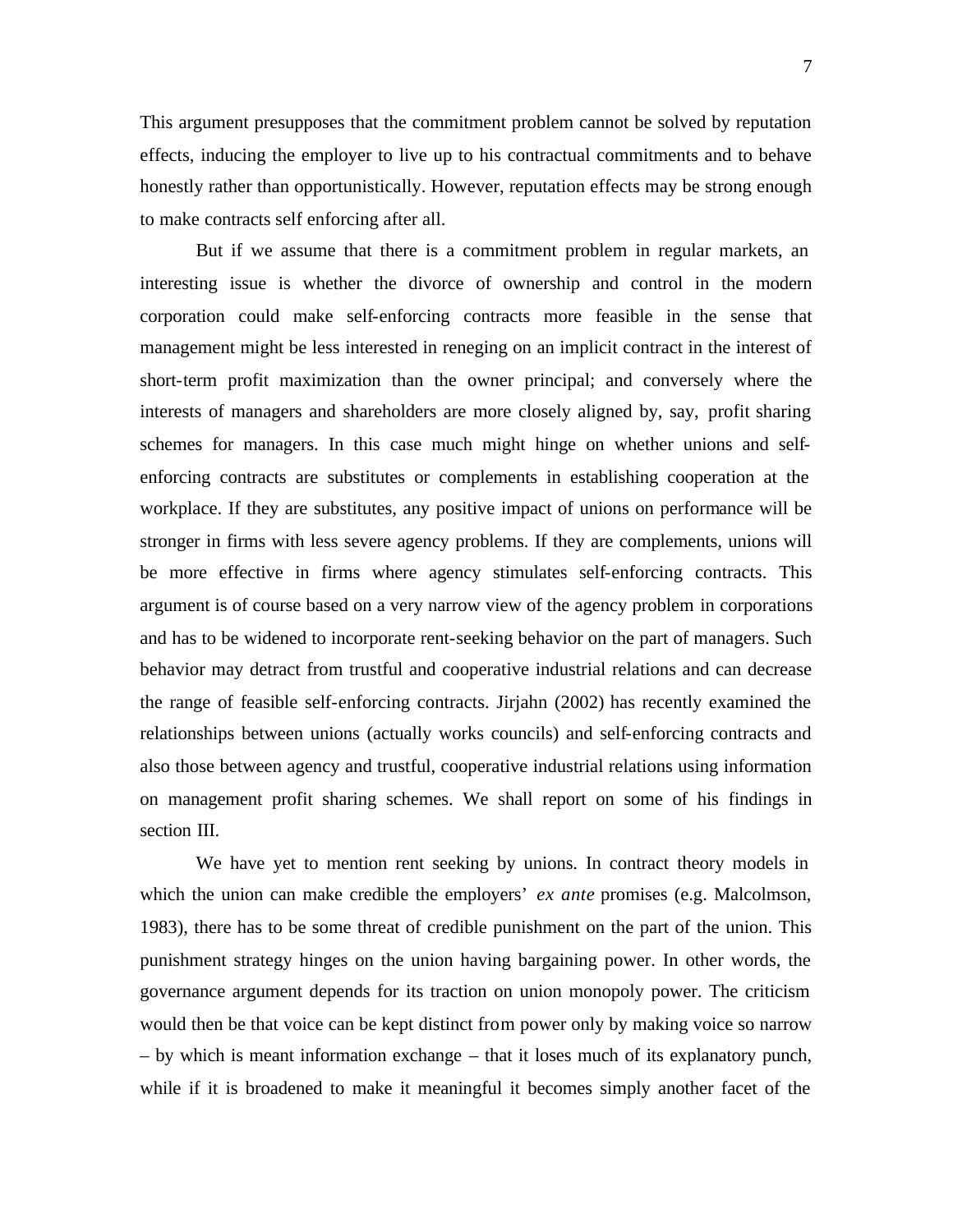This argument presupposes that the commitment problem cannot be solved by reputation effects, inducing the employer to live up to his contractual commitments and to behave honestly rather than opportunistically. However, reputation effects may be strong enough to make contracts self enforcing after all.

But if we assume that there is a commitment problem in regular markets, an interesting issue is whether the divorce of ownership and control in the modern corporation could make self-enforcing contracts more feasible in the sense that management might be less interested in reneging on an implicit contract in the interest of short-term profit maximization than the owner principal; and conversely where the interests of managers and shareholders are more closely aligned by, say, profit sharing schemes for managers. In this case much might hinge on whether unions and selfenforcing contracts are substitutes or complements in establishing cooperation at the workplace. If they are substitutes, any positive impact of unions on performance will be stronger in firms with less severe agency problems. If they are complements, unions will be more effective in firms where agency stimulates self-enforcing contracts. This argument is of course based on a very narrow view of the agency problem in corporations and has to be widened to incorporate rent-seeking behavior on the part of managers. Such behavior may detract from trustful and cooperative industrial relations and can decrease the range of feasible self-enforcing contracts. Jirjahn (2002) has recently examined the relationships between unions (actually works councils) and self-enforcing contracts and also those between agency and trustful, cooperative industrial relations using information on management profit sharing schemes. We shall report on some of his findings in section III.

We have yet to mention rent seeking by unions. In contract theory models in which the union can make credible the employers' *ex ante* promises (e.g. Malcolmson, 1983), there has to be some threat of credible punishment on the part of the union. This punishment strategy hinges on the union having bargaining power. In other words, the governance argument depends for its traction on union monopoly power. The criticism would then be that voice can be kept distinct from power only by making voice so narrow – by which is meant information exchange – that it loses much of its explanatory punch, while if it is broadened to make it meaningful it becomes simply another facet of the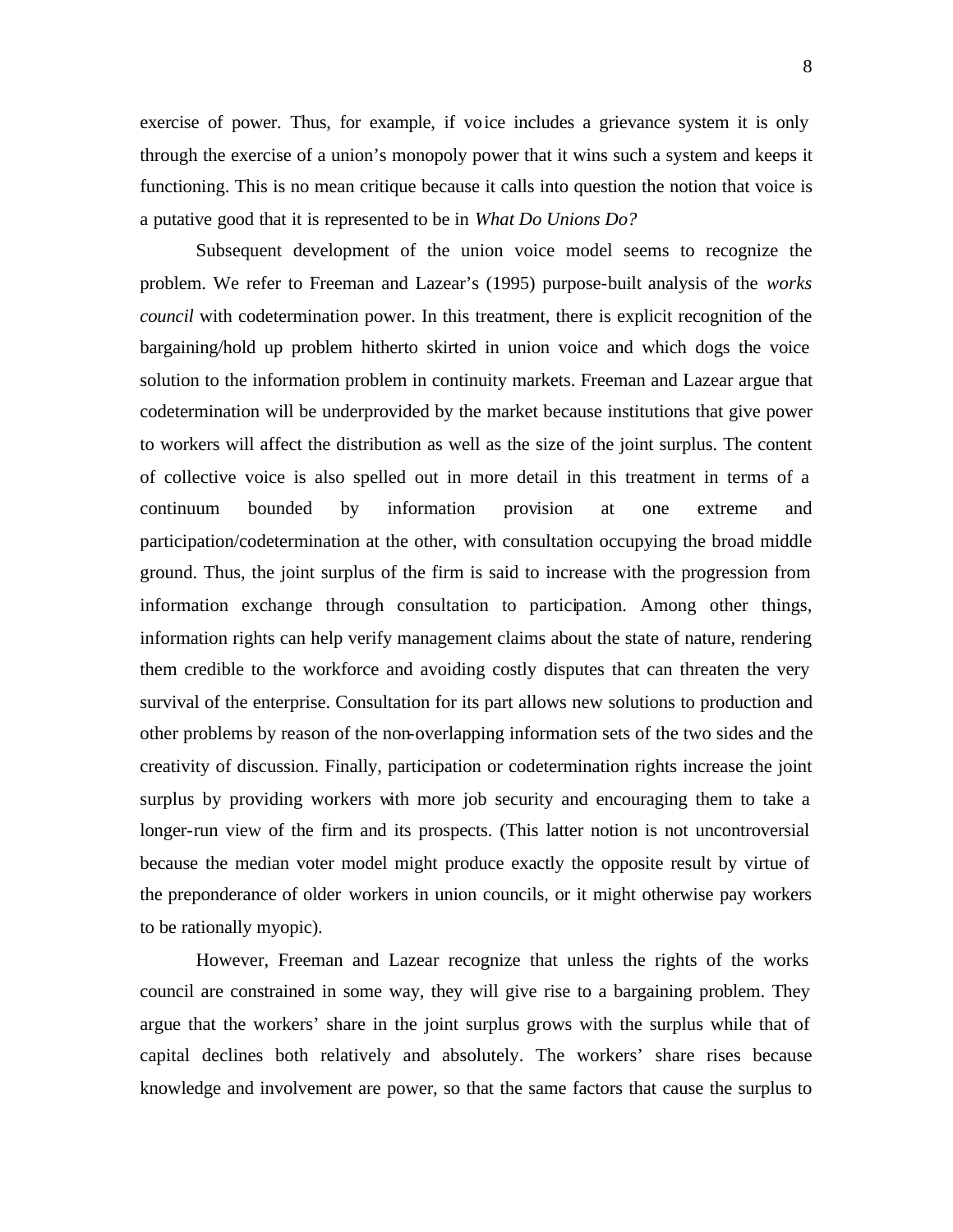exercise of power. Thus, for example, if voice includes a grievance system it is only through the exercise of a union's monopoly power that it wins such a system and keeps it functioning. This is no mean critique because it calls into question the notion that voice is a putative good that it is represented to be in *What Do Unions Do?* 

Subsequent development of the union voice model seems to recognize the problem. We refer to Freeman and Lazear's (1995) purpose-built analysis of the *works council* with codetermination power. In this treatment, there is explicit recognition of the bargaining/hold up problem hitherto skirted in union voice and which dogs the voice solution to the information problem in continuity markets. Freeman and Lazear argue that codetermination will be underprovided by the market because institutions that give power to workers will affect the distribution as well as the size of the joint surplus. The content of collective voice is also spelled out in more detail in this treatment in terms of a continuum bounded by information provision at one extreme and participation/codetermination at the other, with consultation occupying the broad middle ground. Thus, the joint surplus of the firm is said to increase with the progression from information exchange through consultation to participation. Among other things, information rights can help verify management claims about the state of nature, rendering them credible to the workforce and avoiding costly disputes that can threaten the very survival of the enterprise. Consultation for its part allows new solutions to production and other problems by reason of the non-overlapping information sets of the two sides and the creativity of discussion. Finally, participation or codetermination rights increase the joint surplus by providing workers with more job security and encouraging them to take a longer-run view of the firm and its prospects. (This latter notion is not uncontroversial because the median voter model might produce exactly the opposite result by virtue of the preponderance of older workers in union councils, or it might otherwise pay workers to be rationally myopic).

However, Freeman and Lazear recognize that unless the rights of the works council are constrained in some way, they will give rise to a bargaining problem. They argue that the workers' share in the joint surplus grows with the surplus while that of capital declines both relatively and absolutely. The workers' share rises because knowledge and involvement are power, so that the same factors that cause the surplus to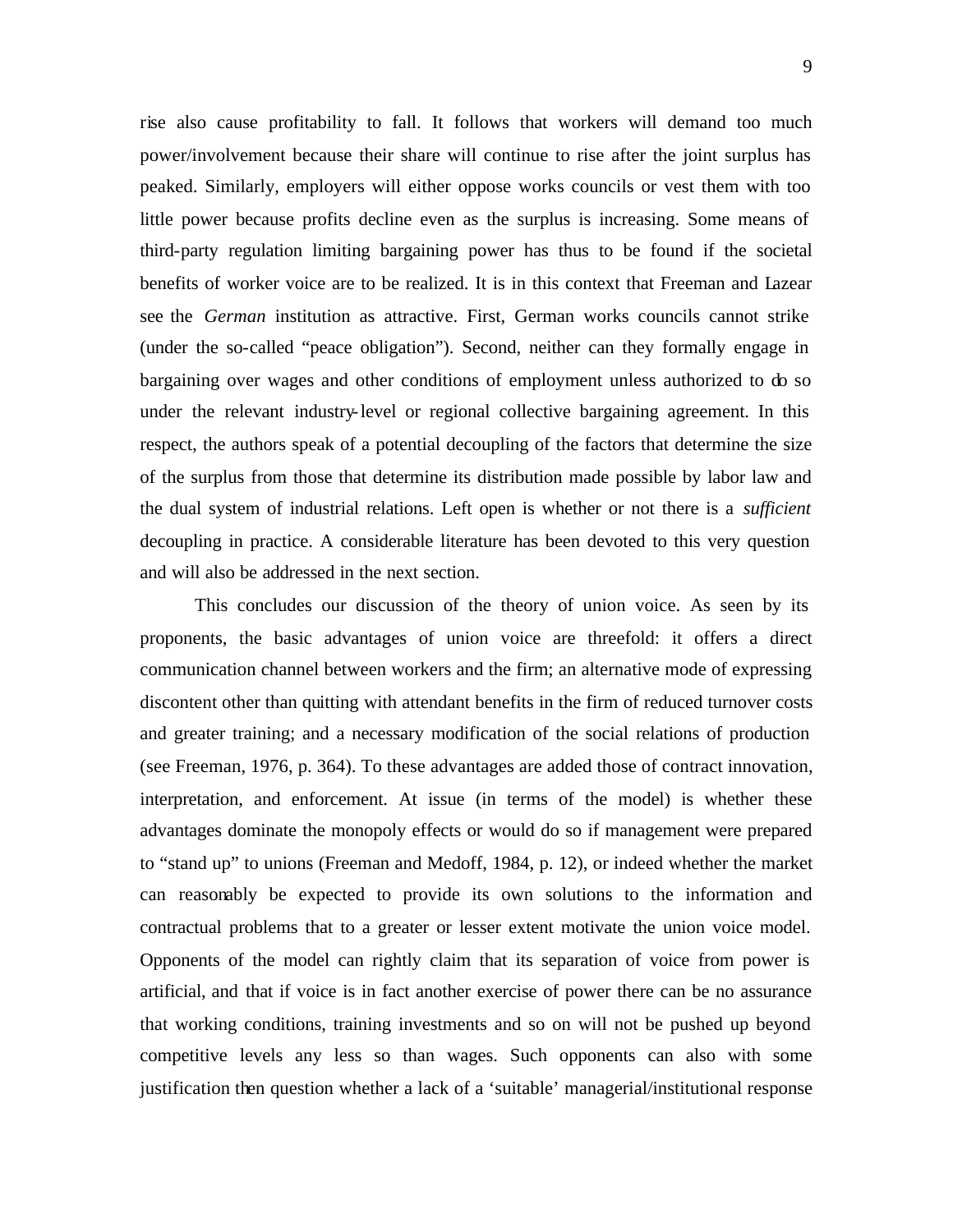rise also cause profitability to fall. It follows that workers will demand too much power/involvement because their share will continue to rise after the joint surplus has peaked. Similarly, employers will either oppose works councils or vest them with too little power because profits decline even as the surplus is increasing. Some means of third-party regulation limiting bargaining power has thus to be found if the societal benefits of worker voice are to be realized. It is in this context that Freeman and Lazear see the *German* institution as attractive. First, German works councils cannot strike (under the so-called "peace obligation"). Second, neither can they formally engage in bargaining over wages and other conditions of employment unless authorized to do so under the relevant industry-level or regional collective bargaining agreement. In this respect, the authors speak of a potential decoupling of the factors that determine the size of the surplus from those that determine its distribution made possible by labor law and the dual system of industrial relations. Left open is whether or not there is a *sufficient* decoupling in practice. A considerable literature has been devoted to this very question and will also be addressed in the next section.

This concludes our discussion of the theory of union voice. As seen by its proponents, the basic advantages of union voice are threefold: it offers a direct communication channel between workers and the firm; an alternative mode of expressing discontent other than quitting with attendant benefits in the firm of reduced turnover costs and greater training; and a necessary modification of the social relations of production (see Freeman, 1976, p. 364). To these advantages are added those of contract innovation, interpretation, and enforcement. At issue (in terms of the model) is whether these advantages dominate the monopoly effects or would do so if management were prepared to "stand up" to unions (Freeman and Medoff, 1984, p. 12), or indeed whether the market can reasonably be expected to provide its own solutions to the information and contractual problems that to a greater or lesser extent motivate the union voice model. Opponents of the model can rightly claim that its separation of voice from power is artificial, and that if voice is in fact another exercise of power there can be no assurance that working conditions, training investments and so on will not be pushed up beyond competitive levels any less so than wages. Such opponents can also with some justification then question whether a lack of a 'suitable' managerial/institutional response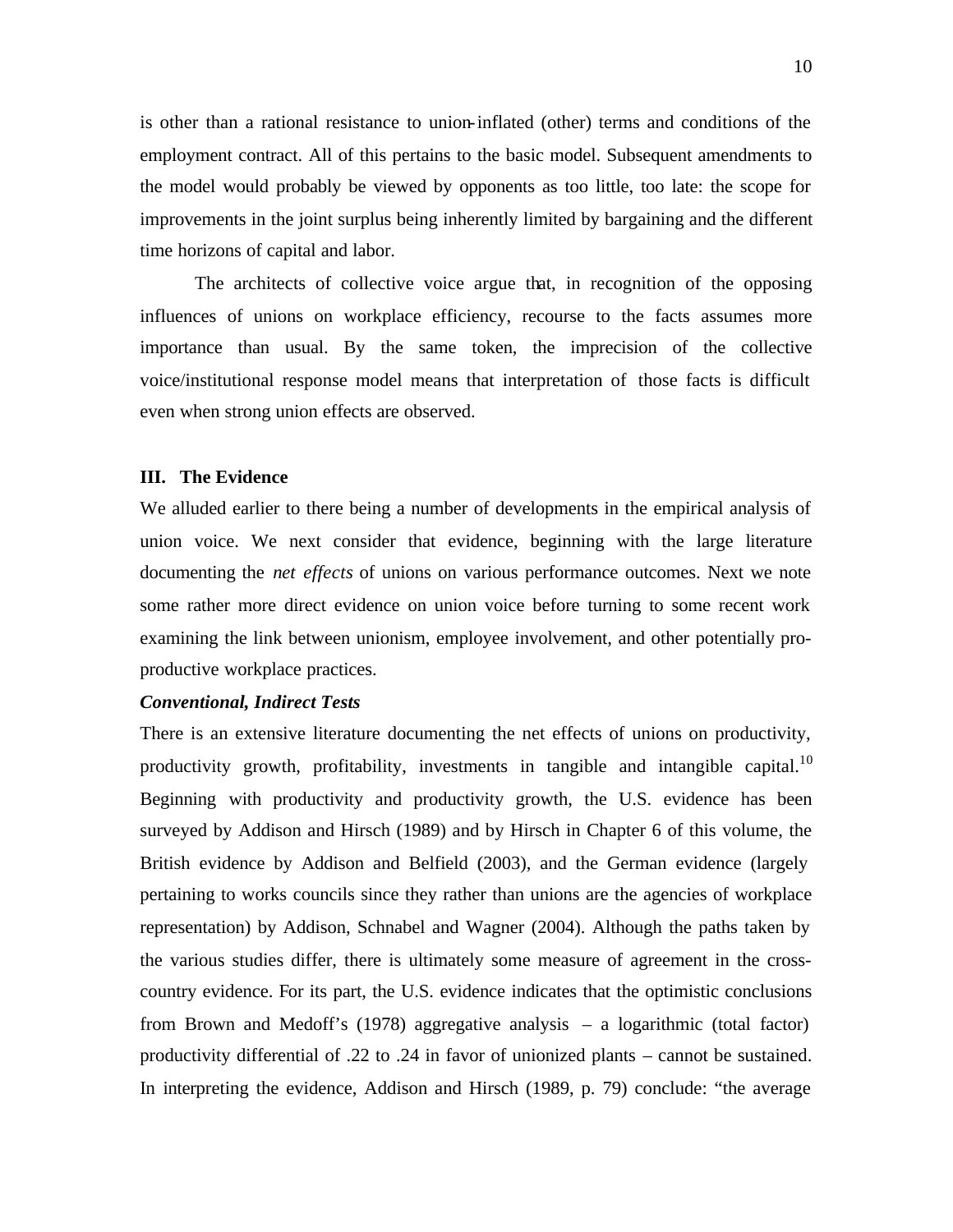is other than a rational resistance to union-inflated (other) terms and conditions of the employment contract. All of this pertains to the basic model. Subsequent amendments to the model would probably be viewed by opponents as too little, too late: the scope for improvements in the joint surplus being inherently limited by bargaining and the different time horizons of capital and labor.

The architects of collective voice argue that, in recognition of the opposing influences of unions on workplace efficiency, recourse to the facts assumes more importance than usual. By the same token, the imprecision of the collective voice/institutional response model means that interpretation of those facts is difficult even when strong union effects are observed.

#### **III. The Evidence**

We alluded earlier to there being a number of developments in the empirical analysis of union voice. We next consider that evidence, beginning with the large literature documenting the *net effects* of unions on various performance outcomes. Next we note some rather more direct evidence on union voice before turning to some recent work examining the link between unionism, employee involvement, and other potentially proproductive workplace practices.

#### *Conventional, Indirect Tests*

There is an extensive literature documenting the net effects of unions on productivity, productivity growth, profitability, investments in tangible and intangible capital.<sup>10</sup> Beginning with productivity and productivity growth, the U.S. evidence has been surveyed by Addison and Hirsch (1989) and by Hirsch in Chapter 6 of this volume, the British evidence by Addison and Belfield (2003), and the German evidence (largely pertaining to works councils since they rather than unions are the agencies of workplace representation) by Addison, Schnabel and Wagner (2004). Although the paths taken by the various studies differ, there is ultimately some measure of agreement in the crosscountry evidence. For its part, the U.S. evidence indicates that the optimistic conclusions from Brown and Medoff's (1978) aggregative analysis – a logarithmic (total factor) productivity differential of .22 to .24 in favor of unionized plants – cannot be sustained. In interpreting the evidence, Addison and Hirsch (1989, p. 79) conclude: "the average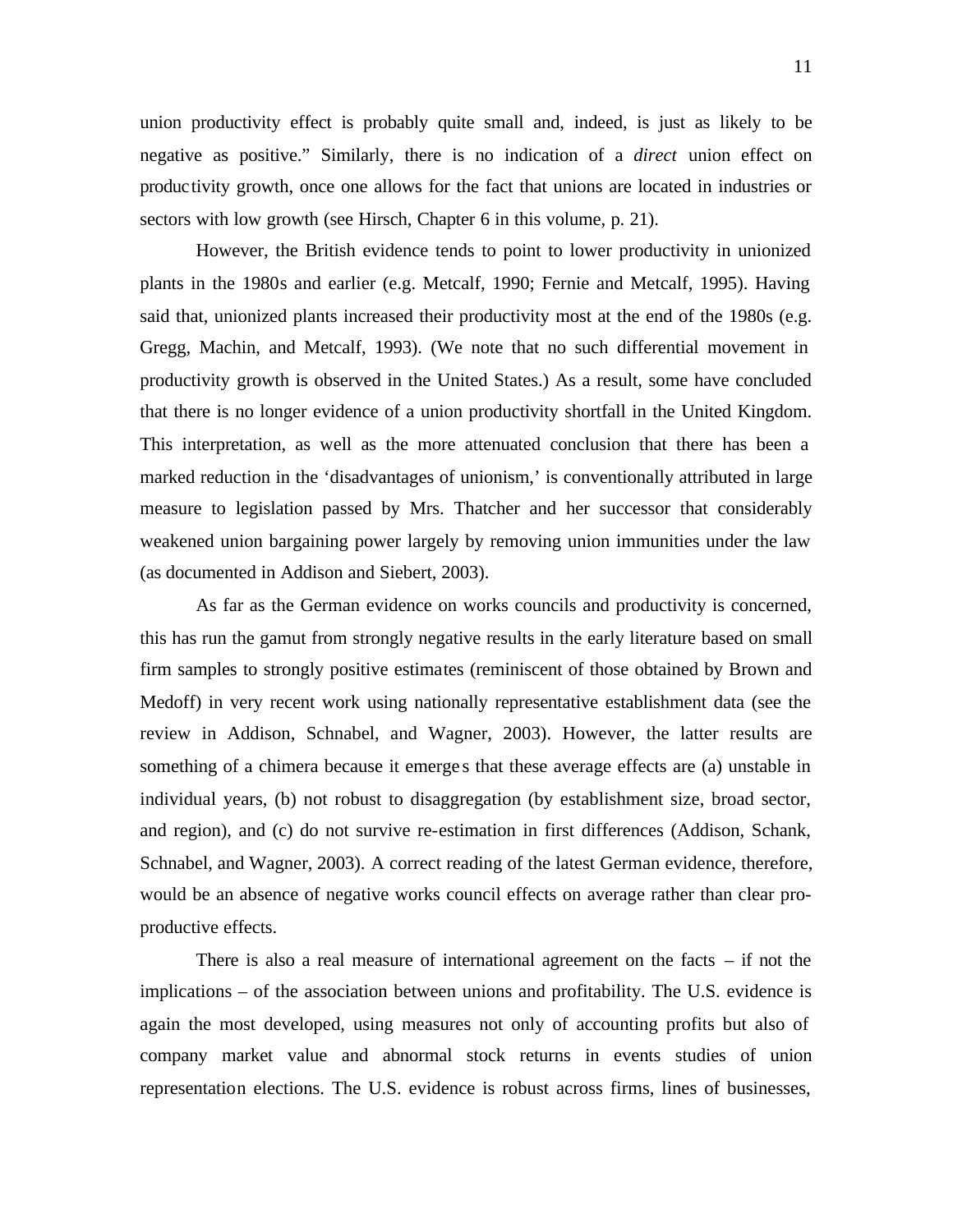11

union productivity effect is probably quite small and, indeed, is just as likely to be negative as positive." Similarly, there is no indication of a *direct* union effect on productivity growth, once one allows for the fact that unions are located in industries or sectors with low growth (see Hirsch, Chapter 6 in this volume, p. 21).

However, the British evidence tends to point to lower productivity in unionized plants in the 1980s and earlier (e.g. Metcalf, 1990; Fernie and Metcalf, 1995). Having said that, unionized plants increased their productivity most at the end of the 1980s (e.g. Gregg, Machin, and Metcalf, 1993). (We note that no such differential movement in productivity growth is observed in the United States.) As a result, some have concluded that there is no longer evidence of a union productivity shortfall in the United Kingdom. This interpretation, as well as the more attenuated conclusion that there has been a marked reduction in the 'disadvantages of unionism,' is conventionally attributed in large measure to legislation passed by Mrs. Thatcher and her successor that considerably weakened union bargaining power largely by removing union immunities under the law (as documented in Addison and Siebert, 2003).

As far as the German evidence on works councils and productivity is concerned, this has run the gamut from strongly negative results in the early literature based on small firm samples to strongly positive estimates (reminiscent of those obtained by Brown and Medoff) in very recent work using nationally representative establishment data (see the review in Addison, Schnabel, and Wagner, 2003). However, the latter results are something of a chimera because it emerges that these average effects are (a) unstable in individual years, (b) not robust to disaggregation (by establishment size, broad sector, and region), and (c) do not survive re-estimation in first differences (Addison, Schank, Schnabel, and Wagner, 2003). A correct reading of the latest German evidence, therefore, would be an absence of negative works council effects on average rather than clear proproductive effects.

There is also a real measure of international agreement on the facts – if not the implications – of the association between unions and profitability. The U.S. evidence is again the most developed, using measures not only of accounting profits but also of company market value and abnormal stock returns in events studies of union representation elections. The U.S. evidence is robust across firms, lines of businesses,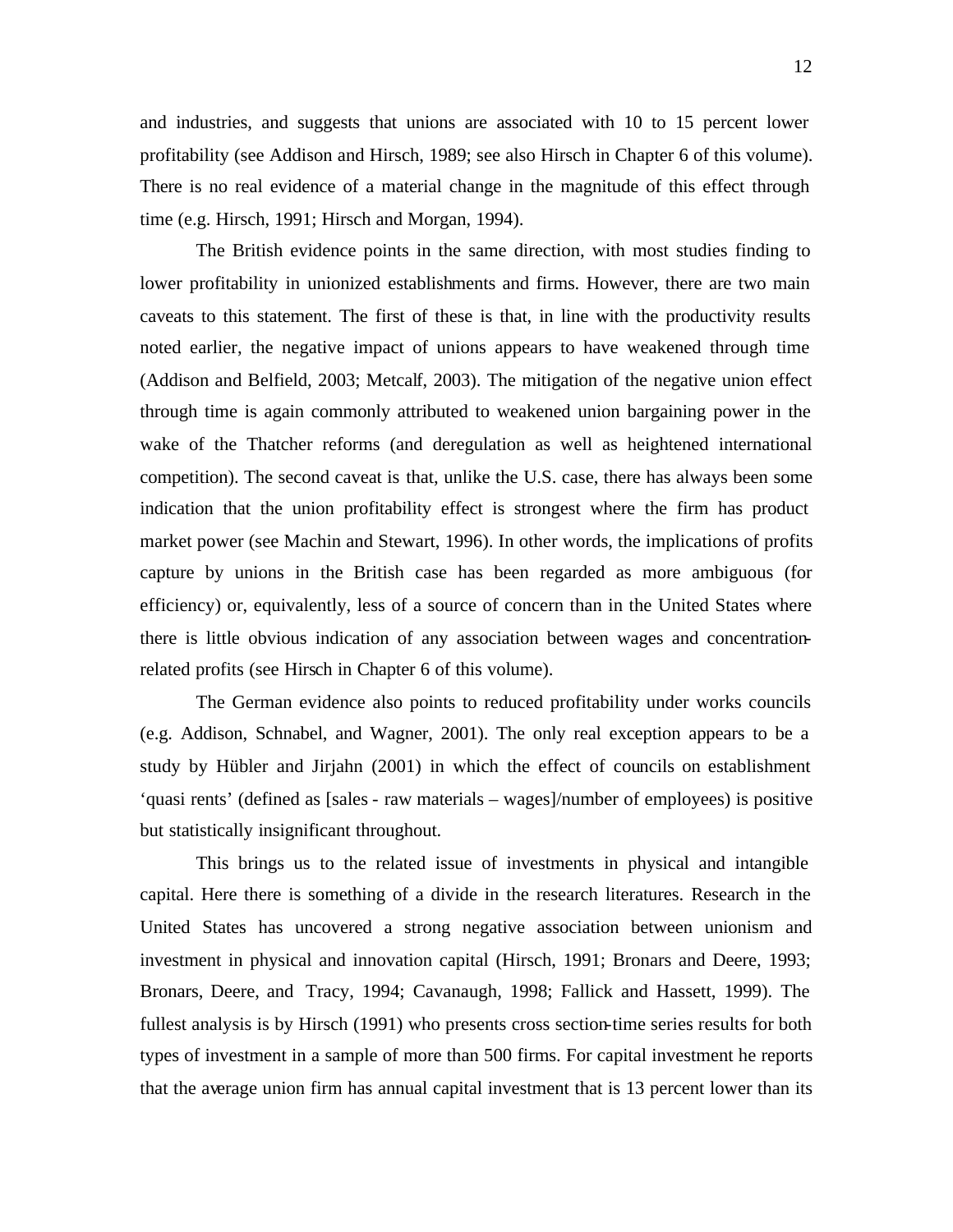and industries, and suggests that unions are associated with 10 to 15 percent lower profitability (see Addison and Hirsch, 1989; see also Hirsch in Chapter 6 of this volume). There is no real evidence of a material change in the magnitude of this effect through time (e.g. Hirsch, 1991; Hirsch and Morgan, 1994).

The British evidence points in the same direction, with most studies finding to lower profitability in unionized establishments and firms. However, there are two main caveats to this statement. The first of these is that, in line with the productivity results noted earlier, the negative impact of unions appears to have weakened through time (Addison and Belfield, 2003; Metcalf, 2003). The mitigation of the negative union effect through time is again commonly attributed to weakened union bargaining power in the wake of the Thatcher reforms (and deregulation as well as heightened international competition). The second caveat is that, unlike the U.S. case, there has always been some indication that the union profitability effect is strongest where the firm has product market power (see Machin and Stewart, 1996). In other words, the implications of profits capture by unions in the British case has been regarded as more ambiguous (for efficiency) or, equivalently, less of a source of concern than in the United States where there is little obvious indication of any association between wages and concentrationrelated profits (see Hirsch in Chapter 6 of this volume).

The German evidence also points to reduced profitability under works councils (e.g. Addison, Schnabel, and Wagner, 2001). The only real exception appears to be a study by Hübler and Jirjahn (2001) in which the effect of councils on establishment 'quasi rents' (defined as [sales - raw materials – wages]/number of employees) is positive but statistically insignificant throughout.

This brings us to the related issue of investments in physical and intangible capital. Here there is something of a divide in the research literatures. Research in the United States has uncovered a strong negative association between unionism and investment in physical and innovation capital (Hirsch, 1991; Bronars and Deere, 1993; Bronars, Deere, and Tracy, 1994; Cavanaugh, 1998; Fallick and Hassett, 1999). The fullest analysis is by Hirsch (1991) who presents cross section-time series results for both types of investment in a sample of more than 500 firms. For capital investment he reports that the average union firm has annual capital investment that is 13 percent lower than its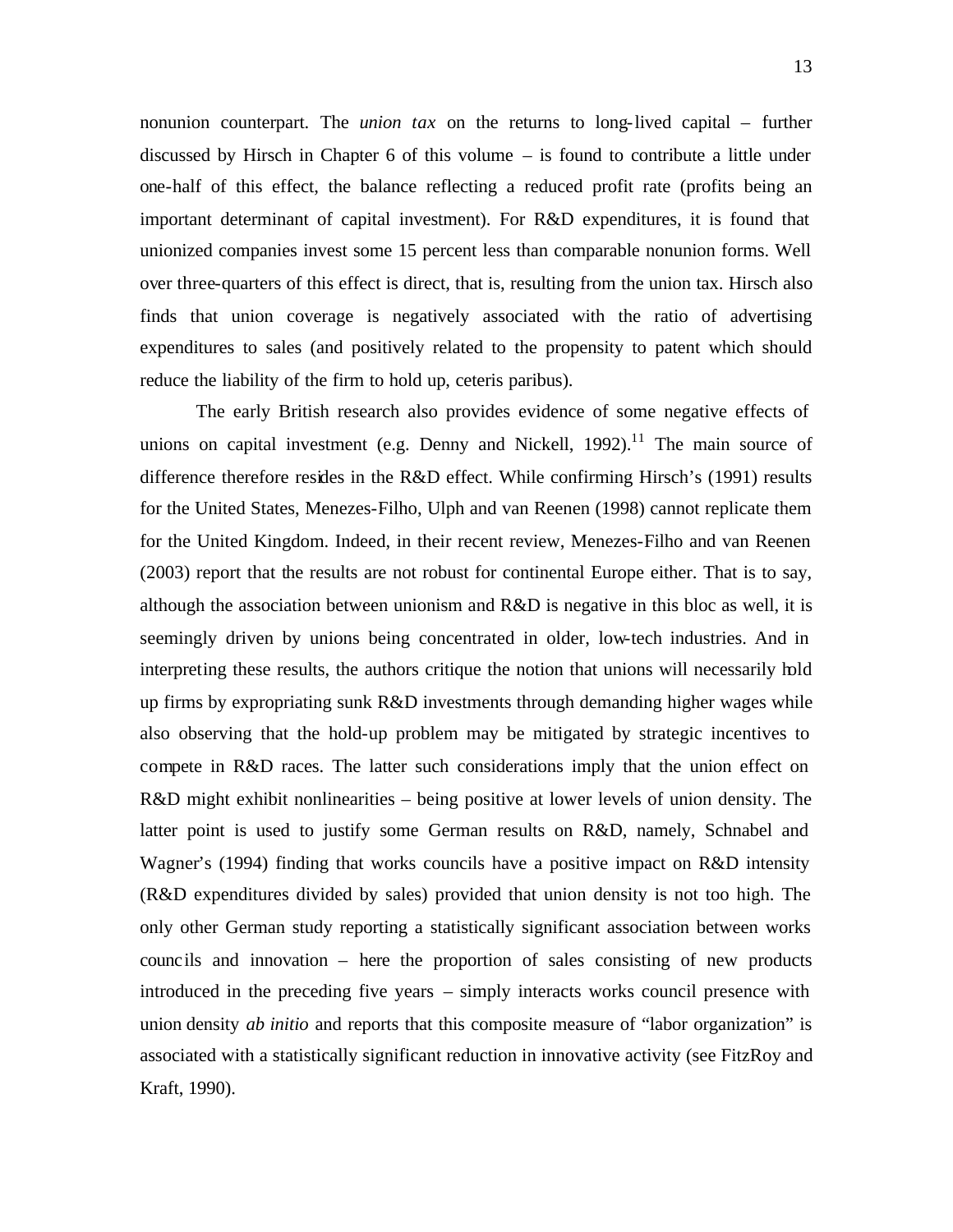nonunion counterpart. The *union tax* on the returns to long-lived capital – further discussed by Hirsch in Chapter 6 of this volume – is found to contribute a little under one-half of this effect, the balance reflecting a reduced profit rate (profits being an important determinant of capital investment). For R&D expenditures, it is found that unionized companies invest some 15 percent less than comparable nonunion forms. Well over three-quarters of this effect is direct, that is, resulting from the union tax. Hirsch also finds that union coverage is negatively associated with the ratio of advertising expenditures to sales (and positively related to the propensity to patent which should reduce the liability of the firm to hold up, ceteris paribus).

The early British research also provides evidence of some negative effects of unions on capital investment (e.g. Denny and Nickell,  $1992$ ).<sup>11</sup> The main source of difference therefore resides in the R&D effect. While confirming Hirsch's (1991) results for the United States, Menezes-Filho, Ulph and van Reenen (1998) cannot replicate them for the United Kingdom. Indeed, in their recent review, Menezes-Filho and van Reenen (2003) report that the results are not robust for continental Europe either. That is to say, although the association between unionism and R&D is negative in this bloc as well, it is seemingly driven by unions being concentrated in older, low-tech industries. And in interpreting these results, the authors critique the notion that unions will necessarily hold up firms by expropriating sunk R&D investments through demanding higher wages while also observing that the hold-up problem may be mitigated by strategic incentives to compete in R&D races. The latter such considerations imply that the union effect on R&D might exhibit nonlinearities – being positive at lower levels of union density. The latter point is used to justify some German results on R&D, namely, Schnabel and Wagner's (1994) finding that works councils have a positive impact on R&D intensity (R&D expenditures divided by sales) provided that union density is not too high. The only other German study reporting a statistically significant association between works councils and innovation – here the proportion of sales consisting of new products introduced in the preceding five years – simply interacts works council presence with union density *ab initio* and reports that this composite measure of "labor organization" is associated with a statistically significant reduction in innovative activity (see FitzRoy and Kraft, 1990).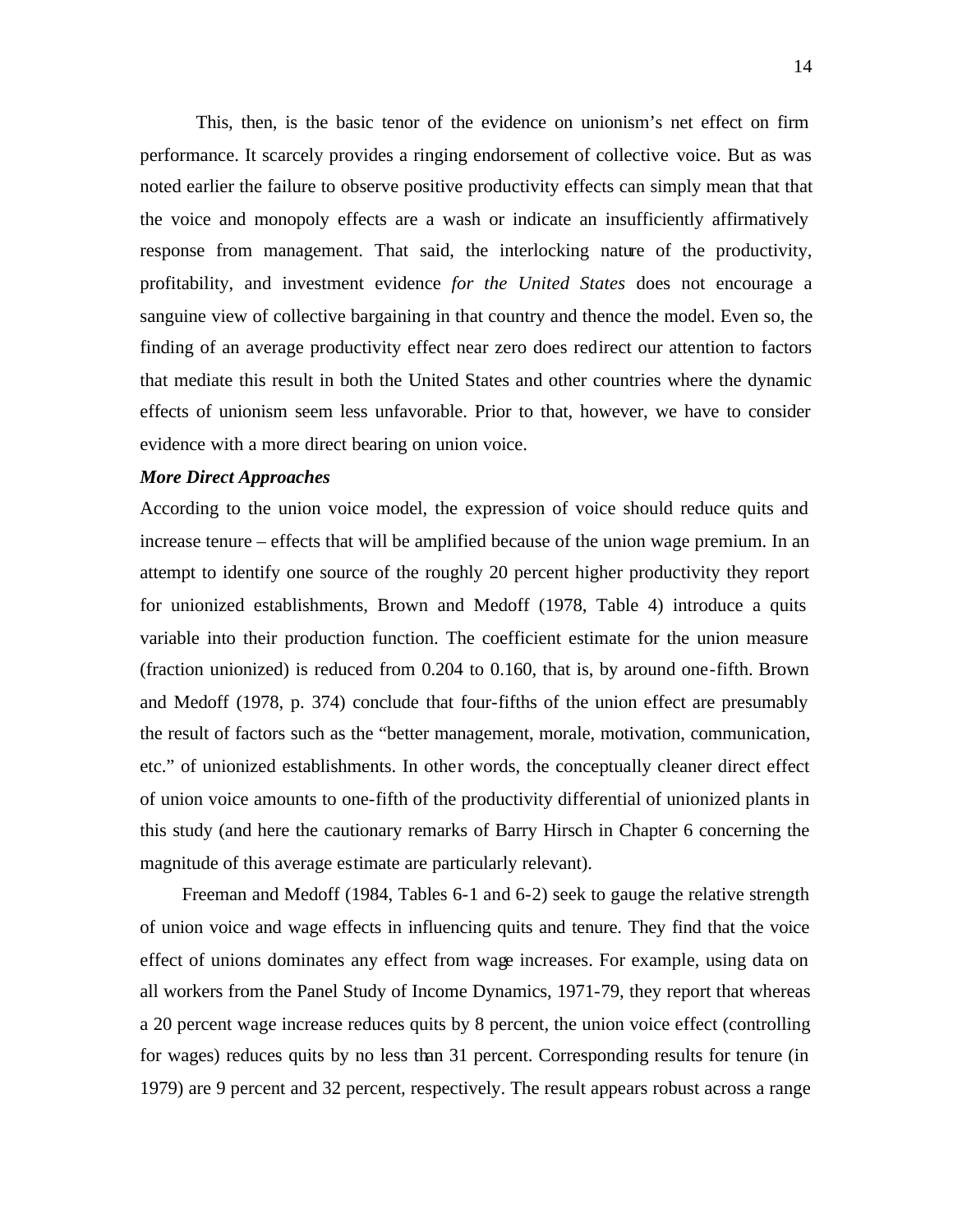This, then, is the basic tenor of the evidence on unionism's net effect on firm performance. It scarcely provides a ringing endorsement of collective voice. But as was noted earlier the failure to observe positive productivity effects can simply mean that that the voice and monopoly effects are a wash or indicate an insufficiently affirmatively response from management. That said, the interlocking nature of the productivity, profitability, and investment evidence *for the United States* does not encourage a sanguine view of collective bargaining in that country and thence the model. Even so, the finding of an average productivity effect near zero does redirect our attention to factors that mediate this result in both the United States and other countries where the dynamic effects of unionism seem less unfavorable. Prior to that, however, we have to consider evidence with a more direct bearing on union voice.

#### *More Direct Approaches*

According to the union voice model, the expression of voice should reduce quits and increase tenure – effects that will be amplified because of the union wage premium. In an attempt to identify one source of the roughly 20 percent higher productivity they report for unionized establishments, Brown and Medoff (1978, Table 4) introduce a quits variable into their production function. The coefficient estimate for the union measure (fraction unionized) is reduced from 0.204 to 0.160, that is, by around one-fifth. Brown and Medoff (1978, p. 374) conclude that four-fifths of the union effect are presumably the result of factors such as the "better management, morale, motivation, communication, etc." of unionized establishments. In other words, the conceptually cleaner direct effect of union voice amounts to one-fifth of the productivity differential of unionized plants in this study (and here the cautionary remarks of Barry Hirsch in Chapter 6 concerning the magnitude of this average estimate are particularly relevant).

Freeman and Medoff (1984, Tables 6-1 and 6-2) seek to gauge the relative strength of union voice and wage effects in influencing quits and tenure. They find that the voice effect of unions dominates any effect from wage increases. For example, using data on all workers from the Panel Study of Income Dynamics, 1971-79, they report that whereas a 20 percent wage increase reduces quits by 8 percent, the union voice effect (controlling for wages) reduces quits by no less than 31 percent. Corresponding results for tenure (in 1979) are 9 percent and 32 percent, respectively. The result appears robust across a range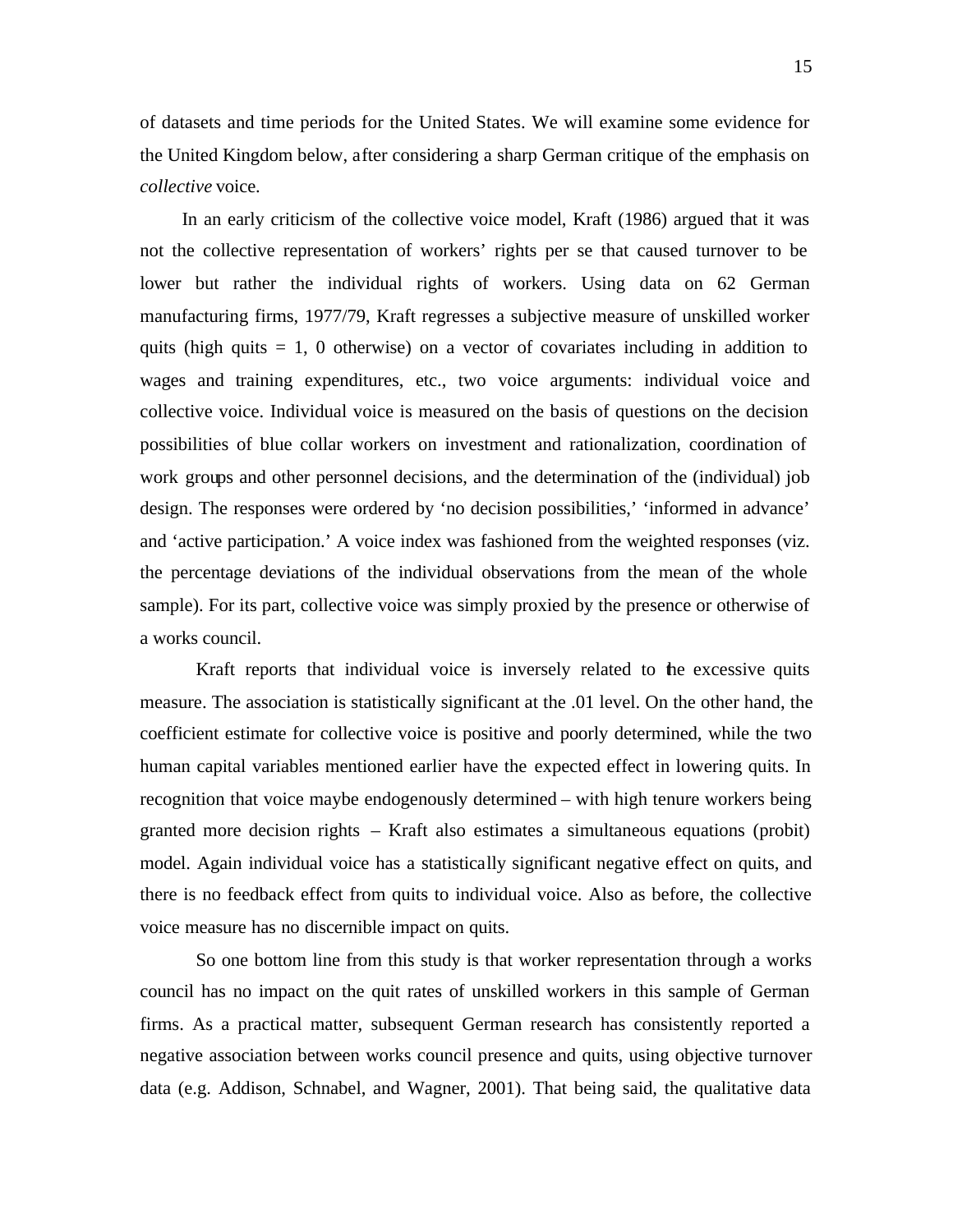of datasets and time periods for the United States. We will examine some evidence for the United Kingdom below, after considering a sharp German critique of the emphasis on *collective* voice.

In an early criticism of the collective voice model, Kraft (1986) argued that it was not the collective representation of workers' rights per se that caused turnover to be lower but rather the individual rights of workers. Using data on 62 German manufacturing firms, 1977/79, Kraft regresses a subjective measure of unskilled worker quits (high quits  $= 1$ , 0 otherwise) on a vector of covariates including in addition to wages and training expenditures, etc., two voice arguments: individual voice and collective voice. Individual voice is measured on the basis of questions on the decision possibilities of blue collar workers on investment and rationalization, coordination of work groups and other personnel decisions, and the determination of the (individual) job design. The responses were ordered by 'no decision possibilities,' 'informed in advance' and 'active participation.' A voice index was fashioned from the weighted responses (viz. the percentage deviations of the individual observations from the mean of the whole sample). For its part, collective voice was simply proxied by the presence or otherwise of a works council.

Kraft reports that individual voice is inversely related to the excessive quits measure. The association is statistically significant at the .01 level. On the other hand, the coefficient estimate for collective voice is positive and poorly determined, while the two human capital variables mentioned earlier have the expected effect in lowering quits. In recognition that voice maybe endogenously determined – with high tenure workers being granted more decision rights – Kraft also estimates a simultaneous equations (probit) model. Again individual voice has a statistically significant negative effect on quits, and there is no feedback effect from quits to individual voice. Also as before, the collective voice measure has no discernible impact on quits.

So one bottom line from this study is that worker representation through a works council has no impact on the quit rates of unskilled workers in this sample of German firms. As a practical matter, subsequent German research has consistently reported a negative association between works council presence and quits, using objective turnover data (e.g. Addison, Schnabel, and Wagner, 2001). That being said, the qualitative data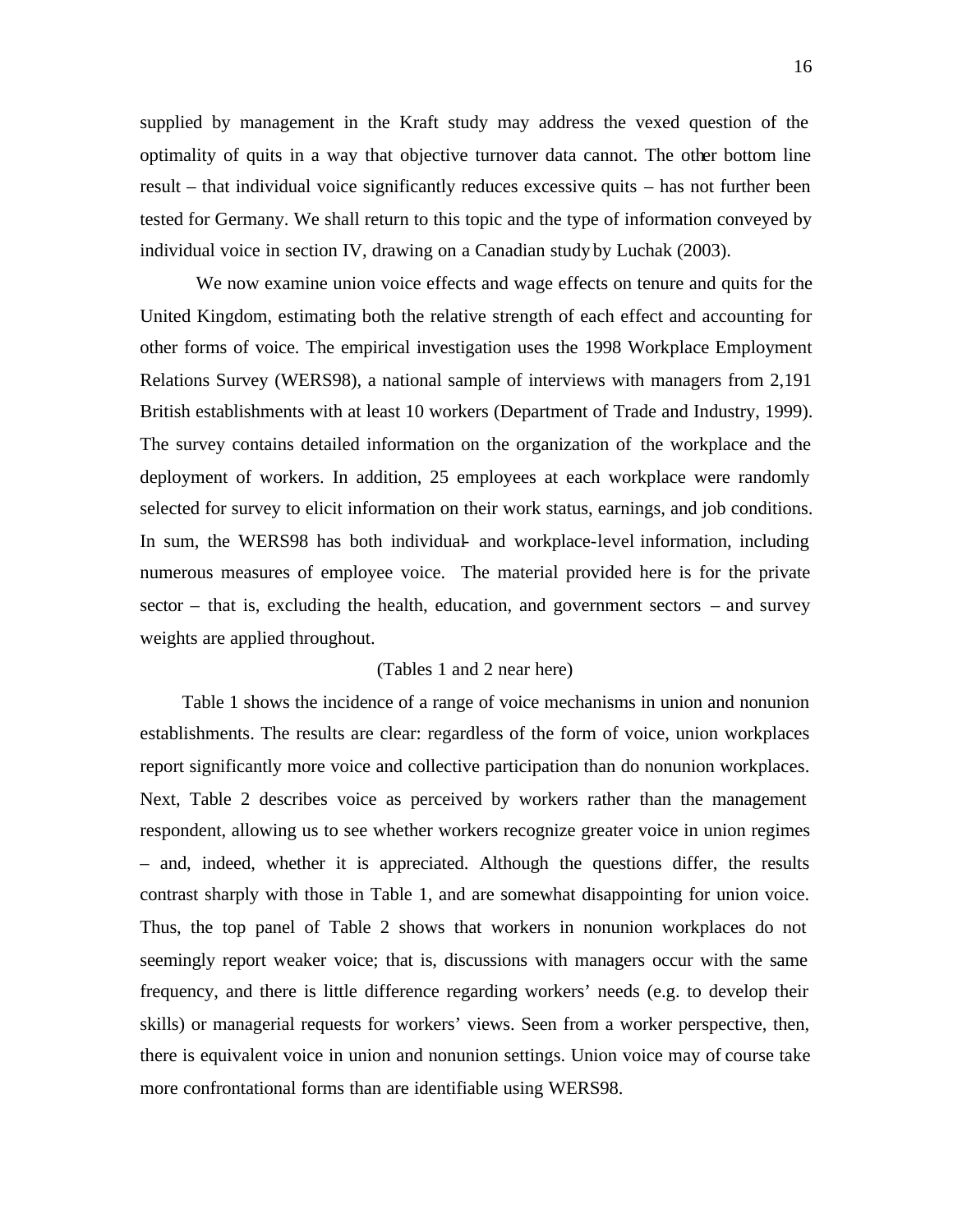supplied by management in the Kraft study may address the vexed question of the optimality of quits in a way that objective turnover data cannot. The other bottom line result – that individual voice significantly reduces excessive quits – has not further been tested for Germany. We shall return to this topic and the type of information conveyed by individual voice in section IV, drawing on a Canadian study by Luchak (2003).

We now examine union voice effects and wage effects on tenure and quits for the United Kingdom, estimating both the relative strength of each effect and accounting for other forms of voice. The empirical investigation uses the 1998 Workplace Employment Relations Survey (WERS98), a national sample of interviews with managers from 2,191 British establishments with at least 10 workers (Department of Trade and Industry, 1999). The survey contains detailed information on the organization of the workplace and the deployment of workers. In addition, 25 employees at each workplace were randomly selected for survey to elicit information on their work status, earnings, and job conditions. In sum, the WERS98 has both individual- and workplace-level information, including numerous measures of employee voice. The material provided here is for the private sector – that is, excluding the health, education, and government sectors – and survey weights are applied throughout.

#### (Tables 1 and 2 near here)

Table 1 shows the incidence of a range of voice mechanisms in union and nonunion establishments. The results are clear: regardless of the form of voice, union workplaces report significantly more voice and collective participation than do nonunion workplaces. Next, Table 2 describes voice as perceived by workers rather than the management respondent, allowing us to see whether workers recognize greater voice in union regimes – and, indeed, whether it is appreciated. Although the questions differ, the results contrast sharply with those in Table 1, and are somewhat disappointing for union voice. Thus, the top panel of Table 2 shows that workers in nonunion workplaces do not seemingly report weaker voice; that is, discussions with managers occur with the same frequency, and there is little difference regarding workers' needs (e.g. to develop their skills) or managerial requests for workers' views. Seen from a worker perspective, then, there is equivalent voice in union and nonunion settings. Union voice may of course take more confrontational forms than are identifiable using WERS98.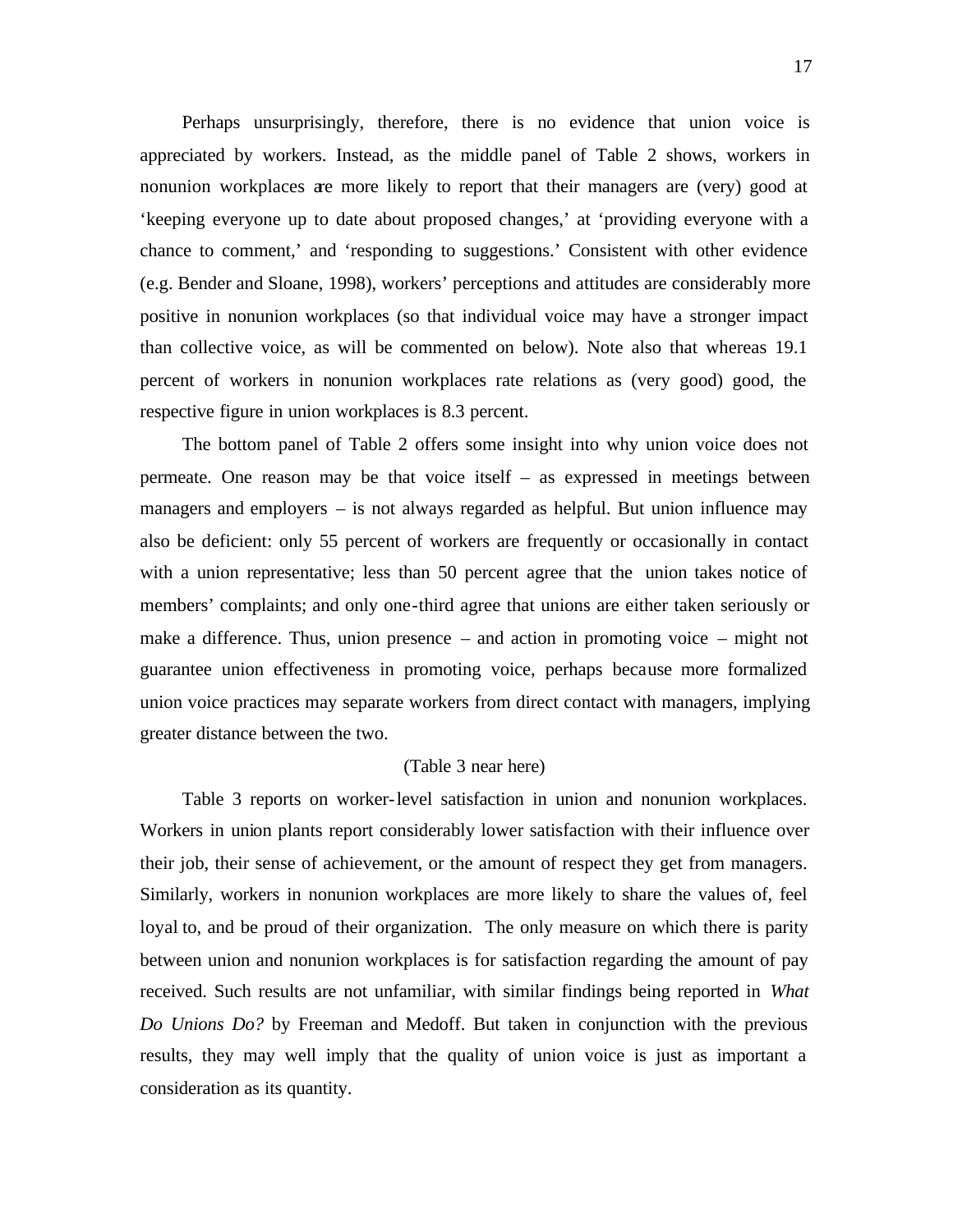Perhaps unsurprisingly, therefore, there is no evidence that union voice is appreciated by workers. Instead, as the middle panel of Table 2 shows, workers in nonunion workplaces are more likely to report that their managers are (very) good at 'keeping everyone up to date about proposed changes,' at 'providing everyone with a chance to comment,' and 'responding to suggestions.' Consistent with other evidence (e.g. Bender and Sloane, 1998), workers' perceptions and attitudes are considerably more positive in nonunion workplaces (so that individual voice may have a stronger impact than collective voice, as will be commented on below). Note also that whereas 19.1 percent of workers in nonunion workplaces rate relations as (very good) good, the respective figure in union workplaces is 8.3 percent.

The bottom panel of Table 2 offers some insight into why union voice does not permeate. One reason may be that voice itself – as expressed in meetings between managers and employers – is not always regarded as helpful. But union influence may also be deficient: only 55 percent of workers are frequently or occasionally in contact with a union representative; less than 50 percent agree that the union takes notice of members' complaints; and only one-third agree that unions are either taken seriously or make a difference. Thus, union presence – and action in promoting voice – might not guarantee union effectiveness in promoting voice, perhaps because more formalized union voice practices may separate workers from direct contact with managers, implying greater distance between the two.

#### (Table 3 near here)

Table 3 reports on worker-level satisfaction in union and nonunion workplaces. Workers in union plants report considerably lower satisfaction with their influence over their job, their sense of achievement, or the amount of respect they get from managers. Similarly, workers in nonunion workplaces are more likely to share the values of, feel loyal to, and be proud of their organization. The only measure on which there is parity between union and nonunion workplaces is for satisfaction regarding the amount of pay received. Such results are not unfamiliar, with similar findings being reported in *What Do Unions Do?* by Freeman and Medoff. But taken in conjunction with the previous results, they may well imply that the quality of union voice is just as important a consideration as its quantity.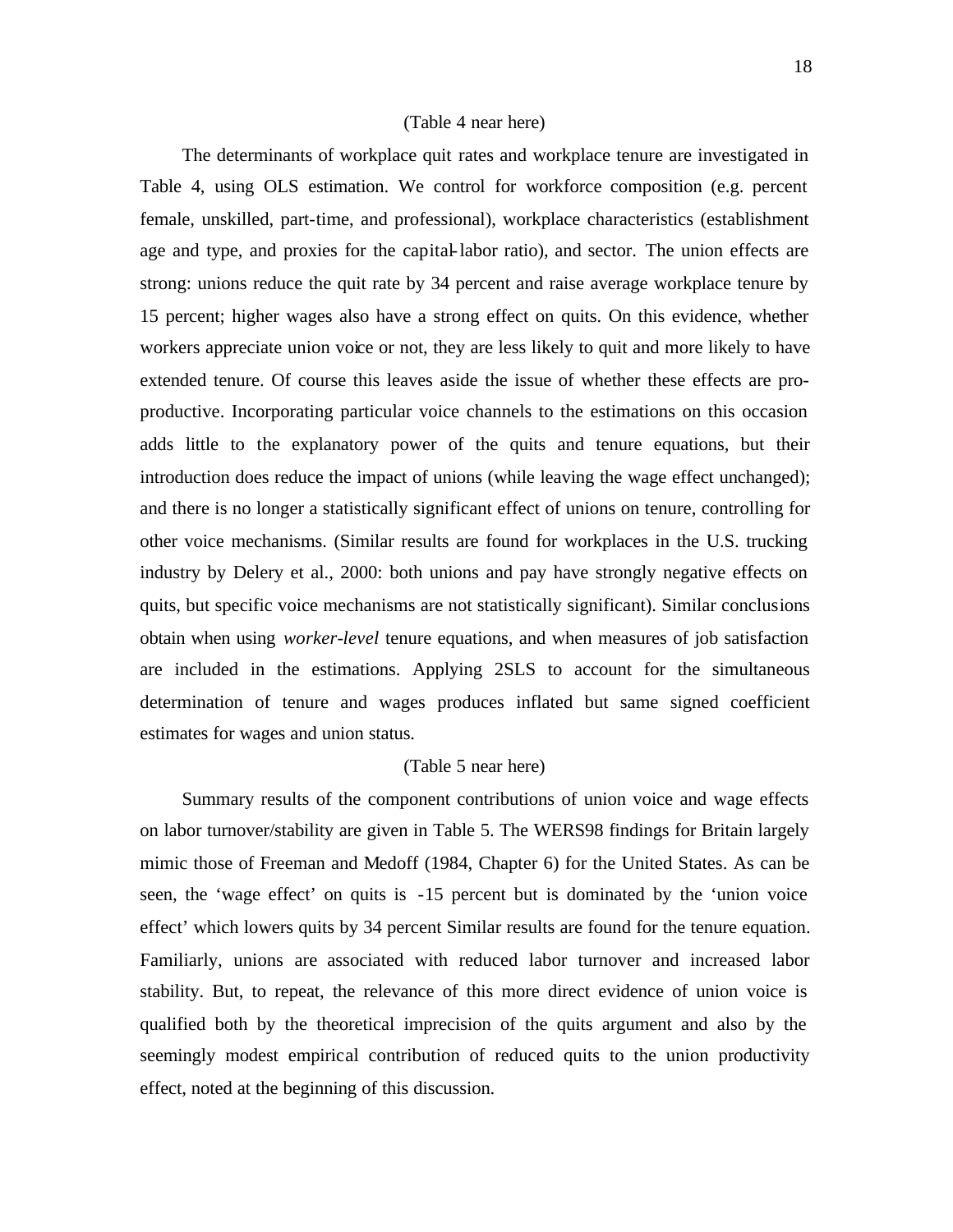#### (Table 4 near here)

The determinants of workplace quit rates and workplace tenure are investigated in Table 4, using OLS estimation. We control for workforce composition (e.g. percent female, unskilled, part-time, and professional), workplace characteristics (establishment age and type, and proxies for the capital-labor ratio), and sector. The union effects are strong: unions reduce the quit rate by 34 percent and raise average workplace tenure by 15 percent; higher wages also have a strong effect on quits. On this evidence, whether workers appreciate union voice or not, they are less likely to quit and more likely to have extended tenure. Of course this leaves aside the issue of whether these effects are proproductive. Incorporating particular voice channels to the estimations on this occasion adds little to the explanatory power of the quits and tenure equations, but their introduction does reduce the impact of unions (while leaving the wage effect unchanged); and there is no longer a statistically significant effect of unions on tenure, controlling for other voice mechanisms. (Similar results are found for workplaces in the U.S. trucking industry by Delery et al., 2000: both unions and pay have strongly negative effects on quits, but specific voice mechanisms are not statistically significant). Similar conclusions obtain when using *worker-level* tenure equations, and when measures of job satisfaction are included in the estimations. Applying 2SLS to account for the simultaneous determination of tenure and wages produces inflated but same signed coefficient estimates for wages and union status.

#### (Table 5 near here)

Summary results of the component contributions of union voice and wage effects on labor turnover/stability are given in Table 5. The WERS98 findings for Britain largely mimic those of Freeman and Medoff (1984, Chapter 6) for the United States. As can be seen, the 'wage effect' on quits is -15 percent but is dominated by the 'union voice effect' which lowers quits by 34 percent Similar results are found for the tenure equation. Familiarly, unions are associated with reduced labor turnover and increased labor stability. But, to repeat, the relevance of this more direct evidence of union voice is qualified both by the theoretical imprecision of the quits argument and also by the seemingly modest empirical contribution of reduced quits to the union productivity effect, noted at the beginning of this discussion.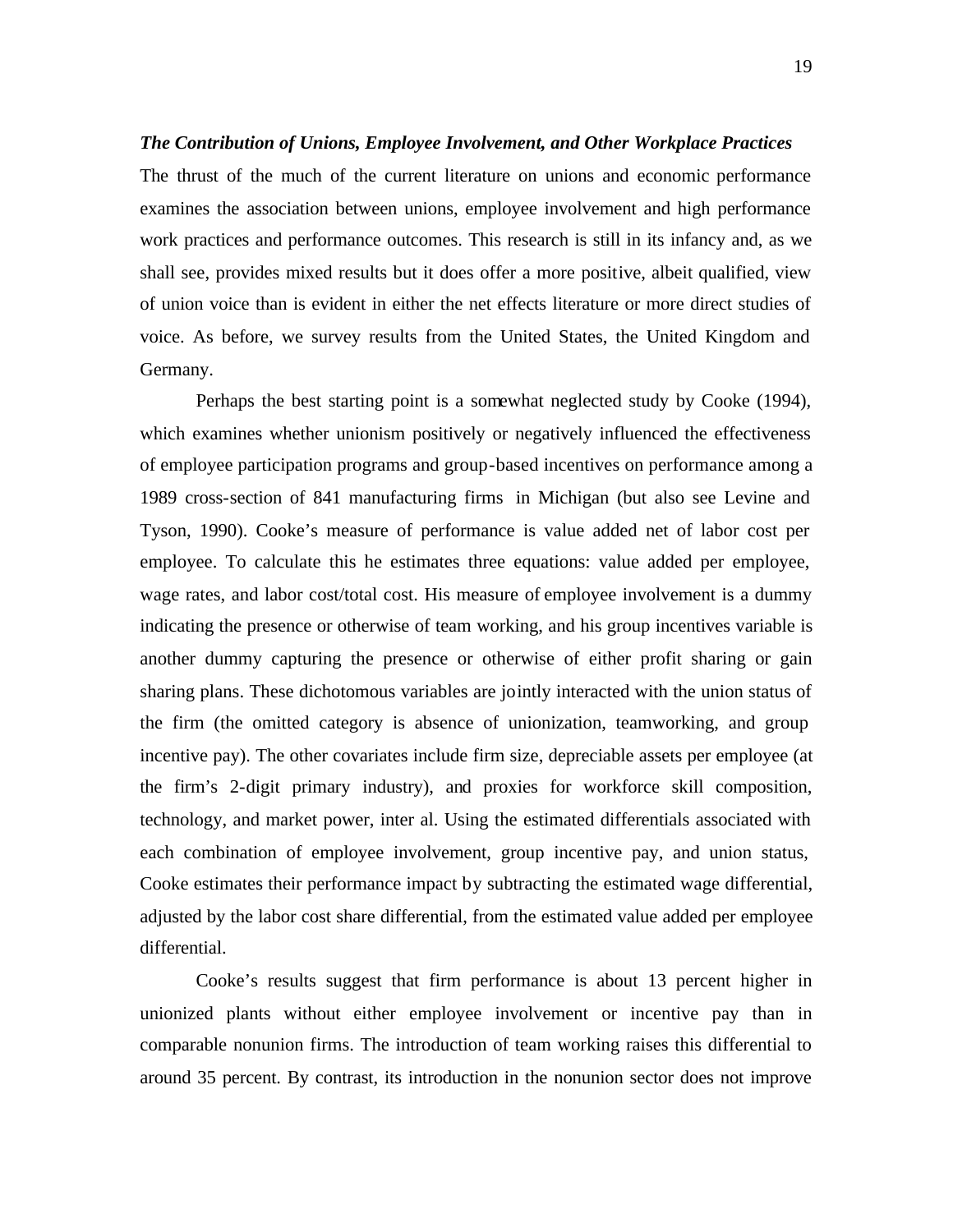*The Contribution of Unions, Employee Involvement, and Other Workplace Practices* The thrust of the much of the current literature on unions and economic performance examines the association between unions, employee involvement and high performance work practices and performance outcomes. This research is still in its infancy and, as we shall see, provides mixed results but it does offer a more positive, albeit qualified, view of union voice than is evident in either the net effects literature or more direct studies of voice. As before, we survey results from the United States, the United Kingdom and Germany.

Perhaps the best starting point is a somewhat neglected study by Cooke (1994), which examines whether unionism positively or negatively influenced the effectiveness of employee participation programs and group-based incentives on performance among a 1989 cross-section of 841 manufacturing firms in Michigan (but also see Levine and Tyson, 1990). Cooke's measure of performance is value added net of labor cost per employee. To calculate this he estimates three equations: value added per employee, wage rates, and labor cost/total cost. His measure of employee involvement is a dummy indicating the presence or otherwise of team working, and his group incentives variable is another dummy capturing the presence or otherwise of either profit sharing or gain sharing plans. These dichotomous variables are jointly interacted with the union status of the firm (the omitted category is absence of unionization, teamworking, and group incentive pay). The other covariates include firm size, depreciable assets per employee (at the firm's 2-digit primary industry), and proxies for workforce skill composition, technology, and market power, inter al. Using the estimated differentials associated with each combination of employee involvement, group incentive pay, and union status, Cooke estimates their performance impact by subtracting the estimated wage differential, adjusted by the labor cost share differential, from the estimated value added per employee differential.

Cooke's results suggest that firm performance is about 13 percent higher in unionized plants without either employee involvement or incentive pay than in comparable nonunion firms. The introduction of team working raises this differential to around 35 percent. By contrast, its introduction in the nonunion sector does not improve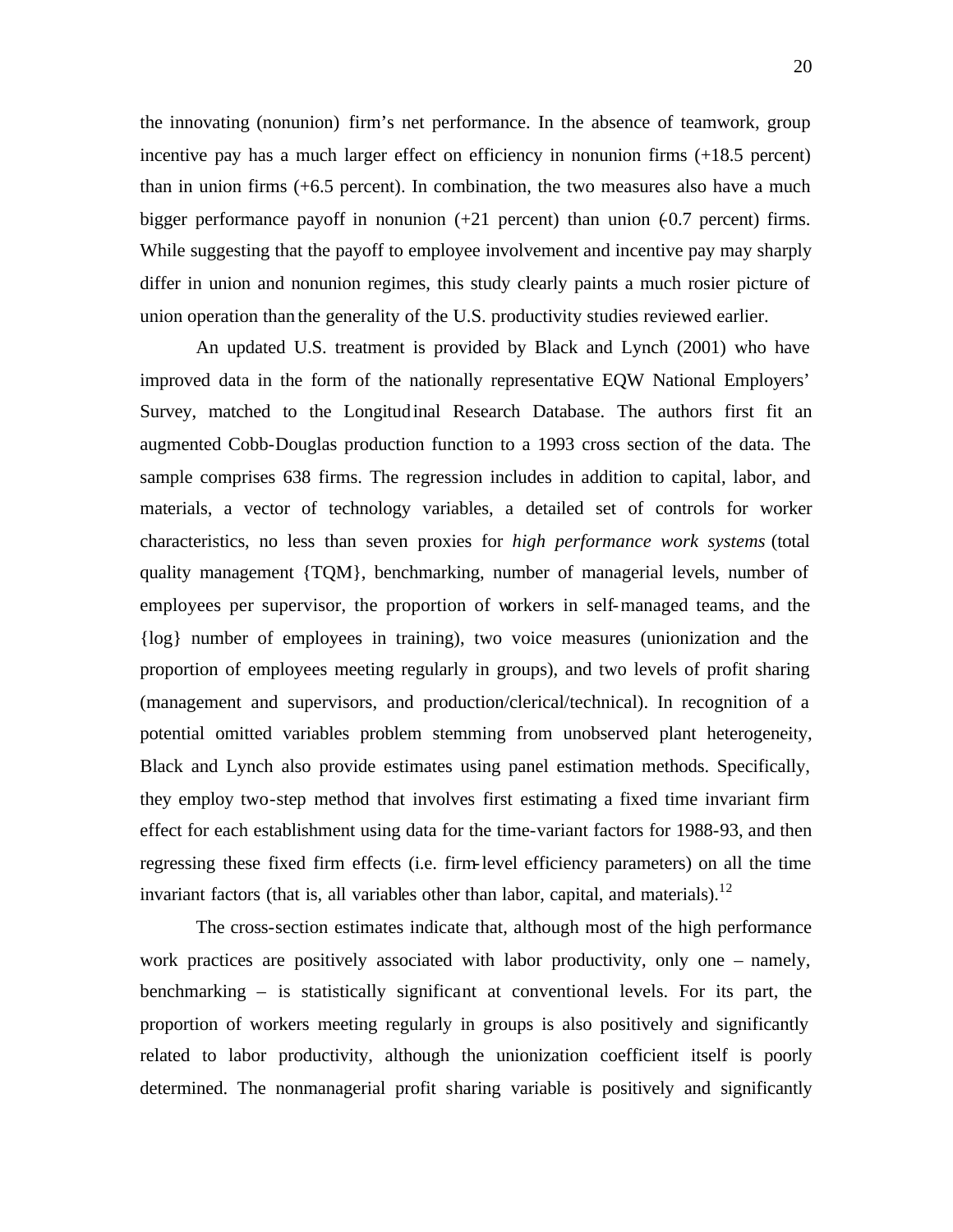the innovating (nonunion) firm's net performance. In the absence of teamwork, group incentive pay has a much larger effect on efficiency in nonunion firms (+18.5 percent) than in union firms (+6.5 percent). In combination, the two measures also have a much bigger performance payoff in nonunion  $(+21)$  percent) than union  $(+0.7)$  percent) firms. While suggesting that the payoff to employee involvement and incentive pay may sharply differ in union and nonunion regimes, this study clearly paints a much rosier picture of union operation than the generality of the U.S. productivity studies reviewed earlier.

An updated U.S. treatment is provided by Black and Lynch (2001) who have improved data in the form of the nationally representative EQW National Employers' Survey, matched to the Longitudinal Research Database. The authors first fit an augmented Cobb-Douglas production function to a 1993 cross section of the data. The sample comprises 638 firms. The regression includes in addition to capital, labor, and materials, a vector of technology variables, a detailed set of controls for worker characteristics, no less than seven proxies for *high performance work systems* (total quality management {TQM}, benchmarking, number of managerial levels, number of employees per supervisor, the proportion of workers in self-managed teams, and the {log} number of employees in training), two voice measures (unionization and the proportion of employees meeting regularly in groups), and two levels of profit sharing (management and supervisors, and production/clerical/technical). In recognition of a potential omitted variables problem stemming from unobserved plant heterogeneity, Black and Lynch also provide estimates using panel estimation methods. Specifically, they employ two-step method that involves first estimating a fixed time invariant firm effect for each establishment using data for the time-variant factors for 1988-93, and then regressing these fixed firm effects (i.e. firm-level efficiency parameters) on all the time invariant factors (that is, all variables other than labor, capital, and materials).<sup>12</sup>

The cross-section estimates indicate that, although most of the high performance work practices are positively associated with labor productivity, only one – namely, benchmarking – is statistically significant at conventional levels. For its part, the proportion of workers meeting regularly in groups is also positively and significantly related to labor productivity, although the unionization coefficient itself is poorly determined. The nonmanagerial profit sharing variable is positively and significantly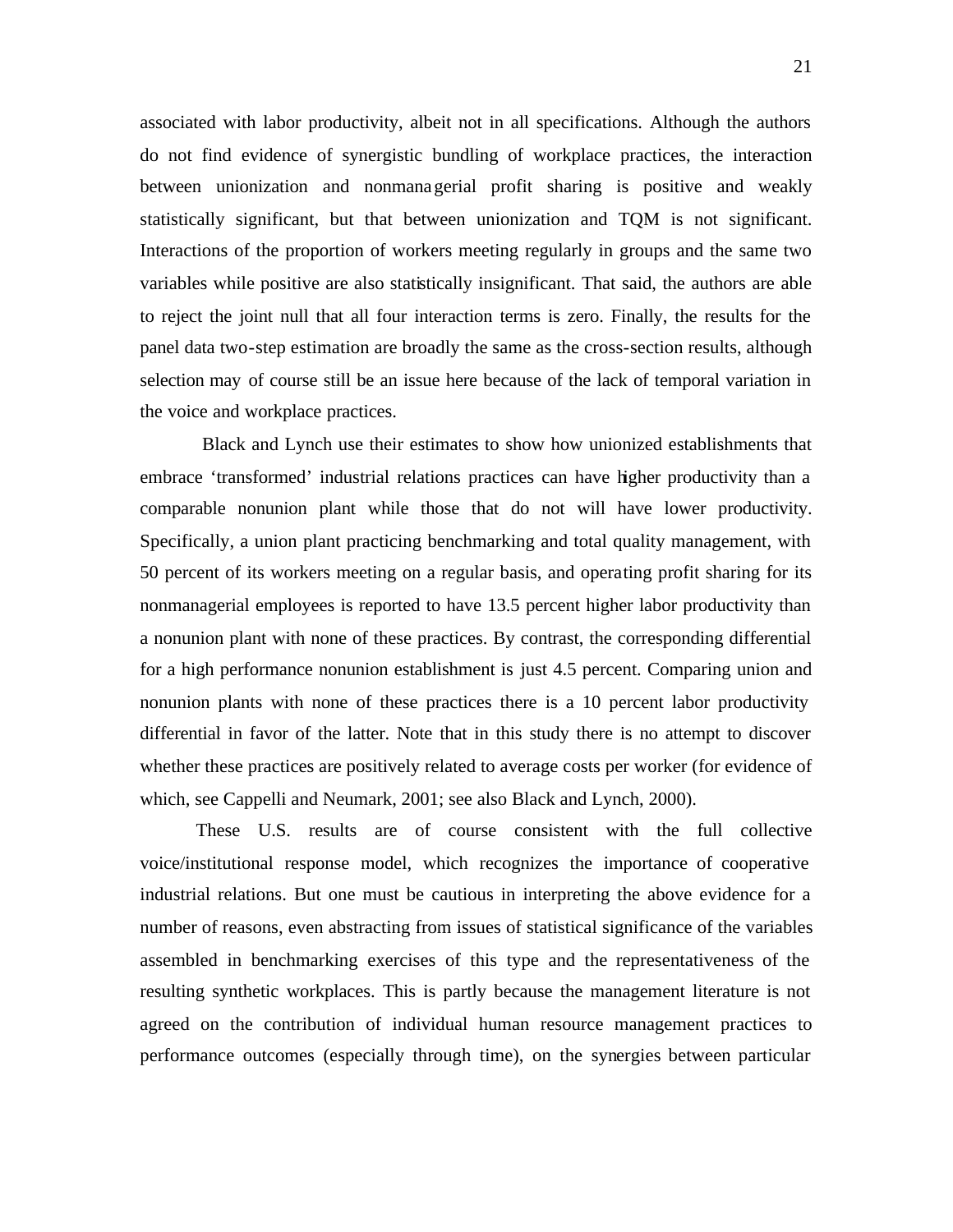associated with labor productivity, albeit not in all specifications. Although the authors do not find evidence of synergistic bundling of workplace practices, the interaction between unionization and nonmanagerial profit sharing is positive and weakly statistically significant, but that between unionization and TQM is not significant. Interactions of the proportion of workers meeting regularly in groups and the same two variables while positive are also statistically insignificant. That said, the authors are able to reject the joint null that all four interaction terms is zero. Finally, the results for the panel data two-step estimation are broadly the same as the cross-section results, although selection may of course still be an issue here because of the lack of temporal variation in the voice and workplace practices.

 Black and Lynch use their estimates to show how unionized establishments that embrace 'transformed' industrial relations practices can have higher productivity than a comparable nonunion plant while those that do not will have lower productivity. Specifically, a union plant practicing benchmarking and total quality management, with 50 percent of its workers meeting on a regular basis, and operating profit sharing for its nonmanagerial employees is reported to have 13.5 percent higher labor productivity than a nonunion plant with none of these practices. By contrast, the corresponding differential for a high performance nonunion establishment is just 4.5 percent. Comparing union and nonunion plants with none of these practices there is a 10 percent labor productivity differential in favor of the latter. Note that in this study there is no attempt to discover whether these practices are positively related to average costs per worker (for evidence of which, see Cappelli and Neumark, 2001; see also Black and Lynch, 2000).

These U.S. results are of course consistent with the full collective voice/institutional response model, which recognizes the importance of cooperative industrial relations. But one must be cautious in interpreting the above evidence for a number of reasons, even abstracting from issues of statistical significance of the variables assembled in benchmarking exercises of this type and the representativeness of the resulting synthetic workplaces. This is partly because the management literature is not agreed on the contribution of individual human resource management practices to performance outcomes (especially through time), on the synergies between particular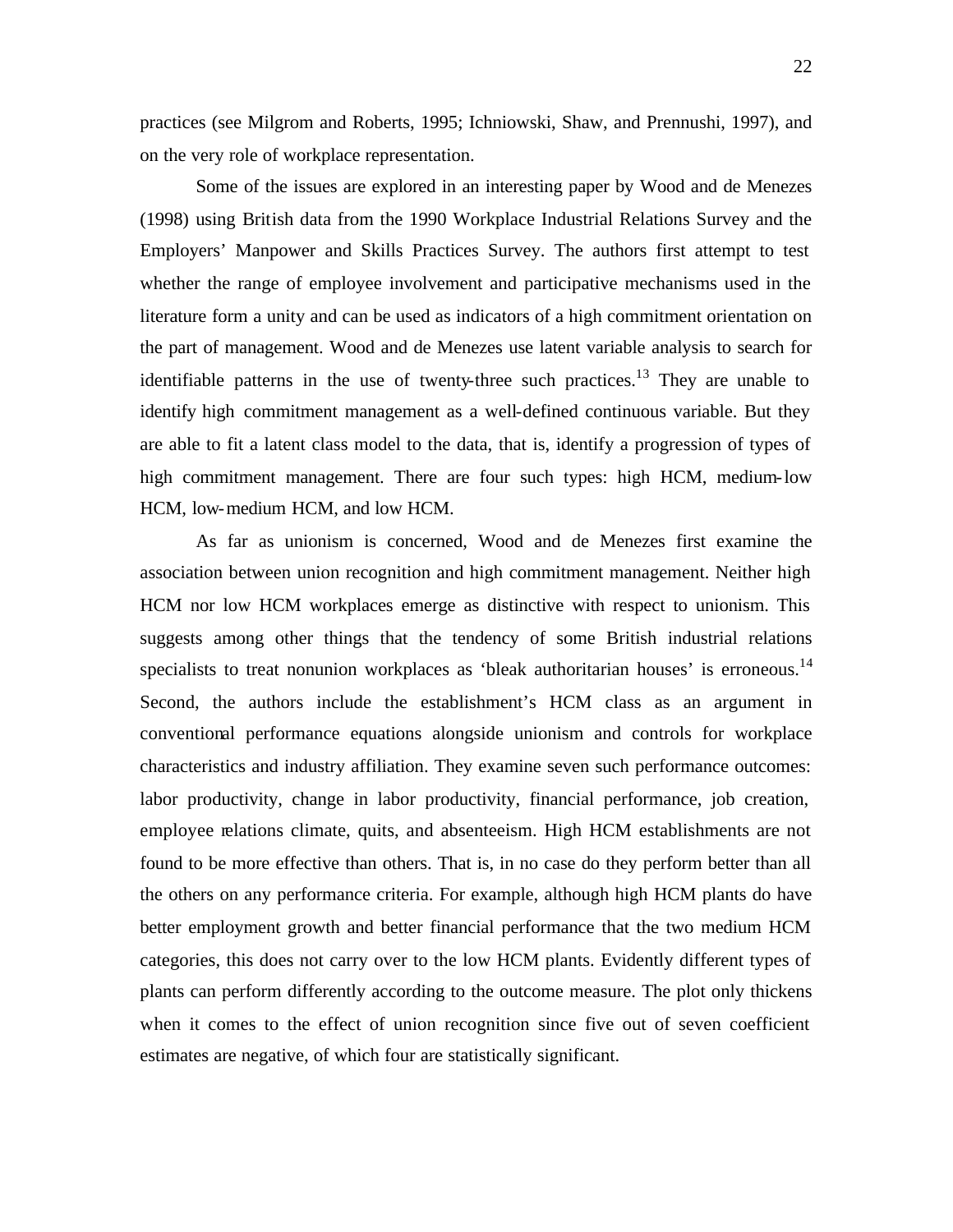practices (see Milgrom and Roberts, 1995; Ichniowski, Shaw, and Prennushi, 1997), and on the very role of workplace representation.

Some of the issues are explored in an interesting paper by Wood and de Menezes (1998) using British data from the 1990 Workplace Industrial Relations Survey and the Employers' Manpower and Skills Practices Survey. The authors first attempt to test whether the range of employee involvement and participative mechanisms used in the literature form a unity and can be used as indicators of a high commitment orientation on the part of management. Wood and de Menezes use latent variable analysis to search for identifiable patterns in the use of twenty-three such practices.<sup>13</sup> They are unable to identify high commitment management as a well-defined continuous variable. But they are able to fit a latent class model to the data, that is, identify a progression of types of high commitment management. There are four such types: high HCM, medium-low HCM, low-medium HCM, and low HCM.

As far as unionism is concerned, Wood and de Menezes first examine the association between union recognition and high commitment management. Neither high HCM nor low HCM workplaces emerge as distinctive with respect to unionism. This suggests among other things that the tendency of some British industrial relations specialists to treat nonunion workplaces as 'bleak authoritarian houses' is erroneous.<sup>14</sup> Second, the authors include the establishment's HCM class as an argument in conventional performance equations alongside unionism and controls for workplace characteristics and industry affiliation. They examine seven such performance outcomes: labor productivity, change in labor productivity, financial performance, job creation, employee relations climate, quits, and absenteeism. High HCM establishments are not found to be more effective than others. That is, in no case do they perform better than all the others on any performance criteria. For example, although high HCM plants do have better employment growth and better financial performance that the two medium HCM categories, this does not carry over to the low HCM plants. Evidently different types of plants can perform differently according to the outcome measure. The plot only thickens when it comes to the effect of union recognition since five out of seven coefficient estimates are negative, of which four are statistically significant.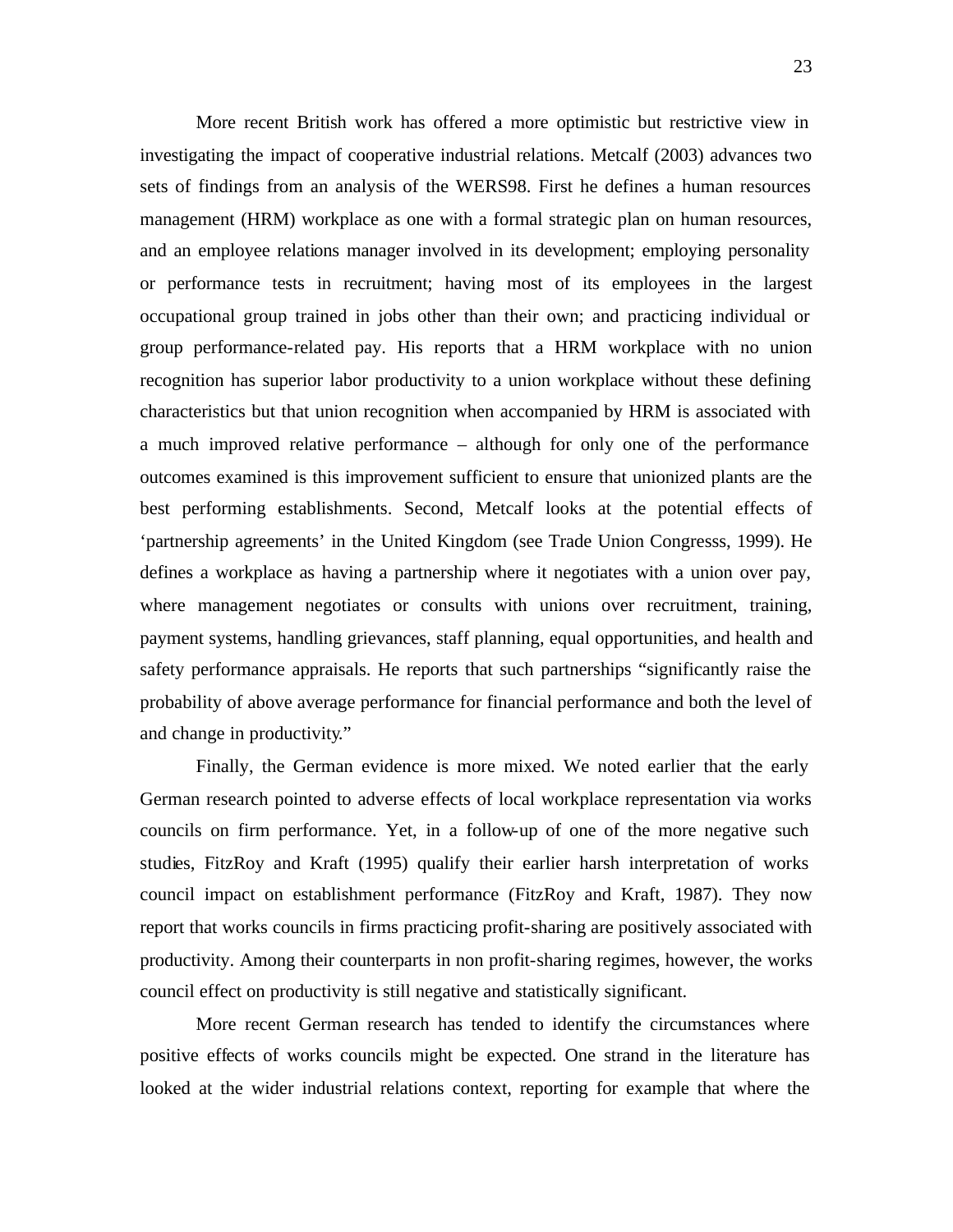More recent British work has offered a more optimistic but restrictive view in investigating the impact of cooperative industrial relations. Metcalf (2003) advances two sets of findings from an analysis of the WERS98. First he defines a human resources management (HRM) workplace as one with a formal strategic plan on human resources, and an employee relations manager involved in its development; employing personality or performance tests in recruitment; having most of its employees in the largest occupational group trained in jobs other than their own; and practicing individual or group performance-related pay. His reports that a HRM workplace with no union recognition has superior labor productivity to a union workplace without these defining characteristics but that union recognition when accompanied by HRM is associated with a much improved relative performance – although for only one of the performance outcomes examined is this improvement sufficient to ensure that unionized plants are the best performing establishments. Second, Metcalf looks at the potential effects of 'partnership agreements' in the United Kingdom (see Trade Union Congresss, 1999). He defines a workplace as having a partnership where it negotiates with a union over pay, where management negotiates or consults with unions over recruitment, training, payment systems, handling grievances, staff planning, equal opportunities, and health and safety performance appraisals. He reports that such partnerships "significantly raise the probability of above average performance for financial performance and both the level of and change in productivity."

Finally, the German evidence is more mixed. We noted earlier that the early German research pointed to adverse effects of local workplace representation via works councils on firm performance. Yet, in a follow-up of one of the more negative such studies, FitzRoy and Kraft (1995) qualify their earlier harsh interpretation of works council impact on establishment performance (FitzRoy and Kraft, 1987). They now report that works councils in firms practicing profit-sharing are positively associated with productivity. Among their counterparts in non profit-sharing regimes, however, the works council effect on productivity is still negative and statistically significant.

More recent German research has tended to identify the circumstances where positive effects of works councils might be expected. One strand in the literature has looked at the wider industrial relations context, reporting for example that where the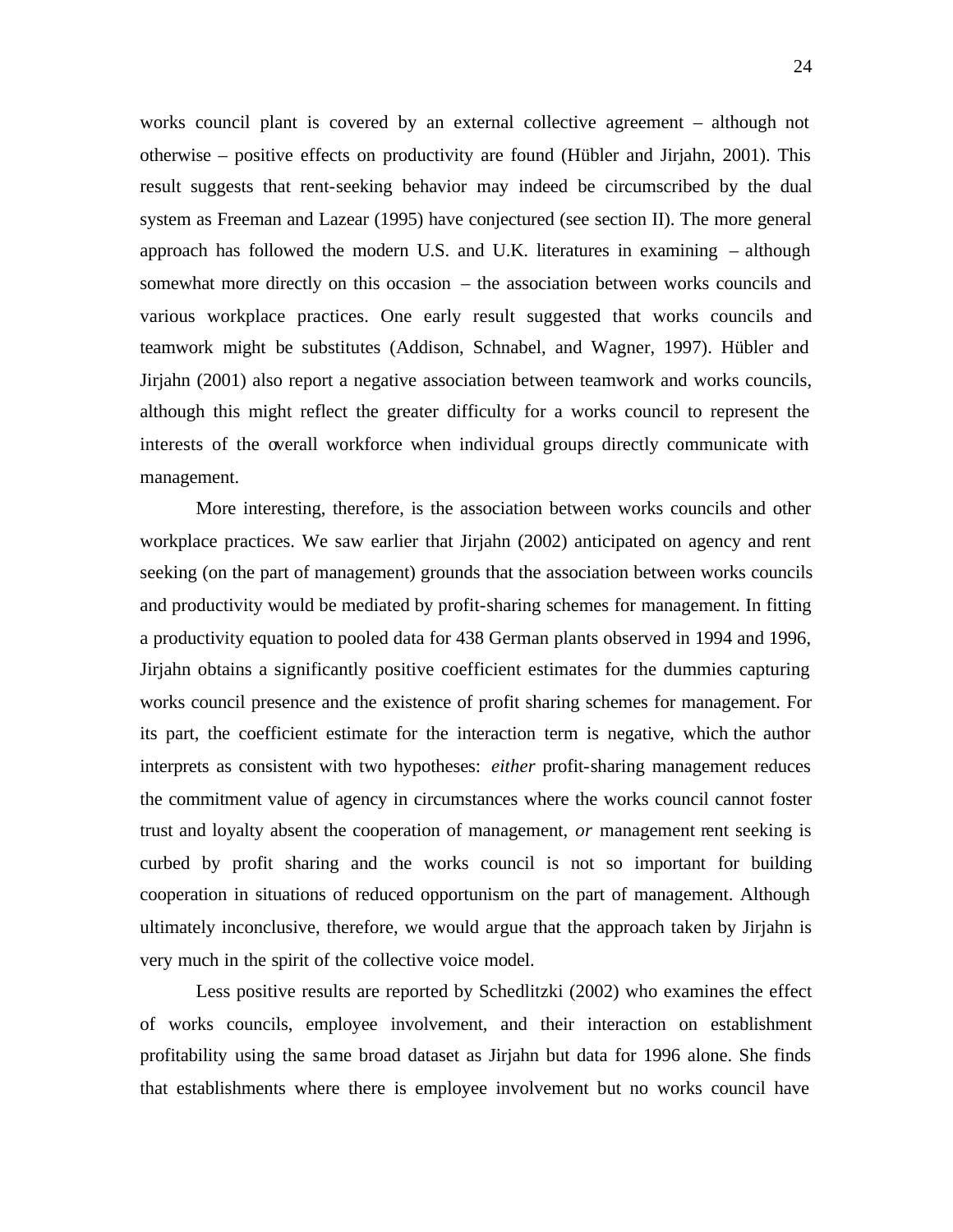works council plant is covered by an external collective agreement – although not otherwise – positive effects on productivity are found (Hübler and Jirjahn, 2001). This result suggests that rent-seeking behavior may indeed be circumscribed by the dual system as Freeman and Lazear (1995) have conjectured (see section II). The more general approach has followed the modern U.S. and U.K. literatures in examining – although somewhat more directly on this occasion – the association between works councils and various workplace practices. One early result suggested that works councils and teamwork might be substitutes (Addison, Schnabel, and Wagner, 1997). Hübler and Jirjahn (2001) also report a negative association between teamwork and works councils, although this might reflect the greater difficulty for a works council to represent the interests of the overall workforce when individual groups directly communicate with management.

More interesting, therefore, is the association between works councils and other workplace practices. We saw earlier that Jirjahn (2002) anticipated on agency and rent seeking (on the part of management) grounds that the association between works councils and productivity would be mediated by profit-sharing schemes for management. In fitting a productivity equation to pooled data for 438 German plants observed in 1994 and 1996, Jirjahn obtains a significantly positive coefficient estimates for the dummies capturing works council presence and the existence of profit sharing schemes for management. For its part, the coefficient estimate for the interaction term is negative, which the author interprets as consistent with two hypotheses: *either* profit-sharing management reduces the commitment value of agency in circumstances where the works council cannot foster trust and loyalty absent the cooperation of management, *or* management rent seeking is curbed by profit sharing and the works council is not so important for building cooperation in situations of reduced opportunism on the part of management. Although ultimately inconclusive, therefore, we would argue that the approach taken by Jirjahn is very much in the spirit of the collective voice model.

Less positive results are reported by Schedlitzki (2002) who examines the effect of works councils, employee involvement, and their interaction on establishment profitability using the same broad dataset as Jirjahn but data for 1996 alone. She finds that establishments where there is employee involvement but no works council have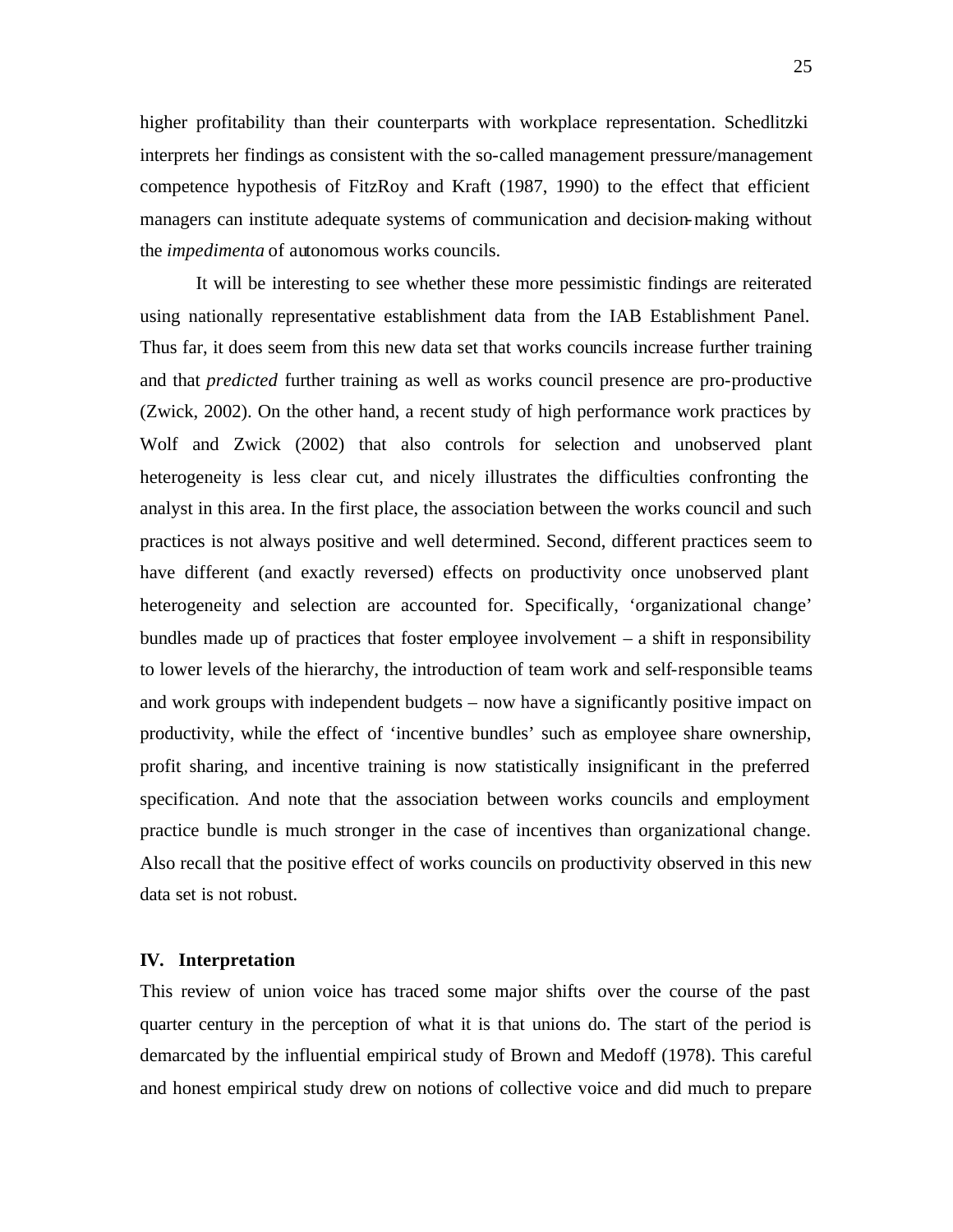higher profitability than their counterparts with workplace representation. Schedlitzki interprets her findings as consistent with the so-called management pressure/management competence hypothesis of FitzRoy and Kraft (1987, 1990) to the effect that efficient managers can institute adequate systems of communication and decision-making without the *impedimenta* of autonomous works councils.

It will be interesting to see whether these more pessimistic findings are reiterated using nationally representative establishment data from the IAB Establishment Panel. Thus far, it does seem from this new data set that works councils increase further training and that *predicted* further training as well as works council presence are pro-productive (Zwick, 2002). On the other hand, a recent study of high performance work practices by Wolf and Zwick (2002) that also controls for selection and unobserved plant heterogeneity is less clear cut, and nicely illustrates the difficulties confronting the analyst in this area. In the first place, the association between the works council and such practices is not always positive and well determined. Second, different practices seem to have different (and exactly reversed) effects on productivity once unobserved plant heterogeneity and selection are accounted for. Specifically, 'organizational change' bundles made up of practices that foster employee involvement  $-$  a shift in responsibility to lower levels of the hierarchy, the introduction of team work and self-responsible teams and work groups with independent budgets – now have a significantly positive impact on productivity, while the effect of 'incentive bundles' such as employee share ownership, profit sharing, and incentive training is now statistically insignificant in the preferred specification. And note that the association between works councils and employment practice bundle is much stronger in the case of incentives than organizational change. Also recall that the positive effect of works councils on productivity observed in this new data set is not robust.

#### **IV. Interpretation**

This review of union voice has traced some major shifts over the course of the past quarter century in the perception of what it is that unions do. The start of the period is demarcated by the influential empirical study of Brown and Medoff (1978). This careful and honest empirical study drew on notions of collective voice and did much to prepare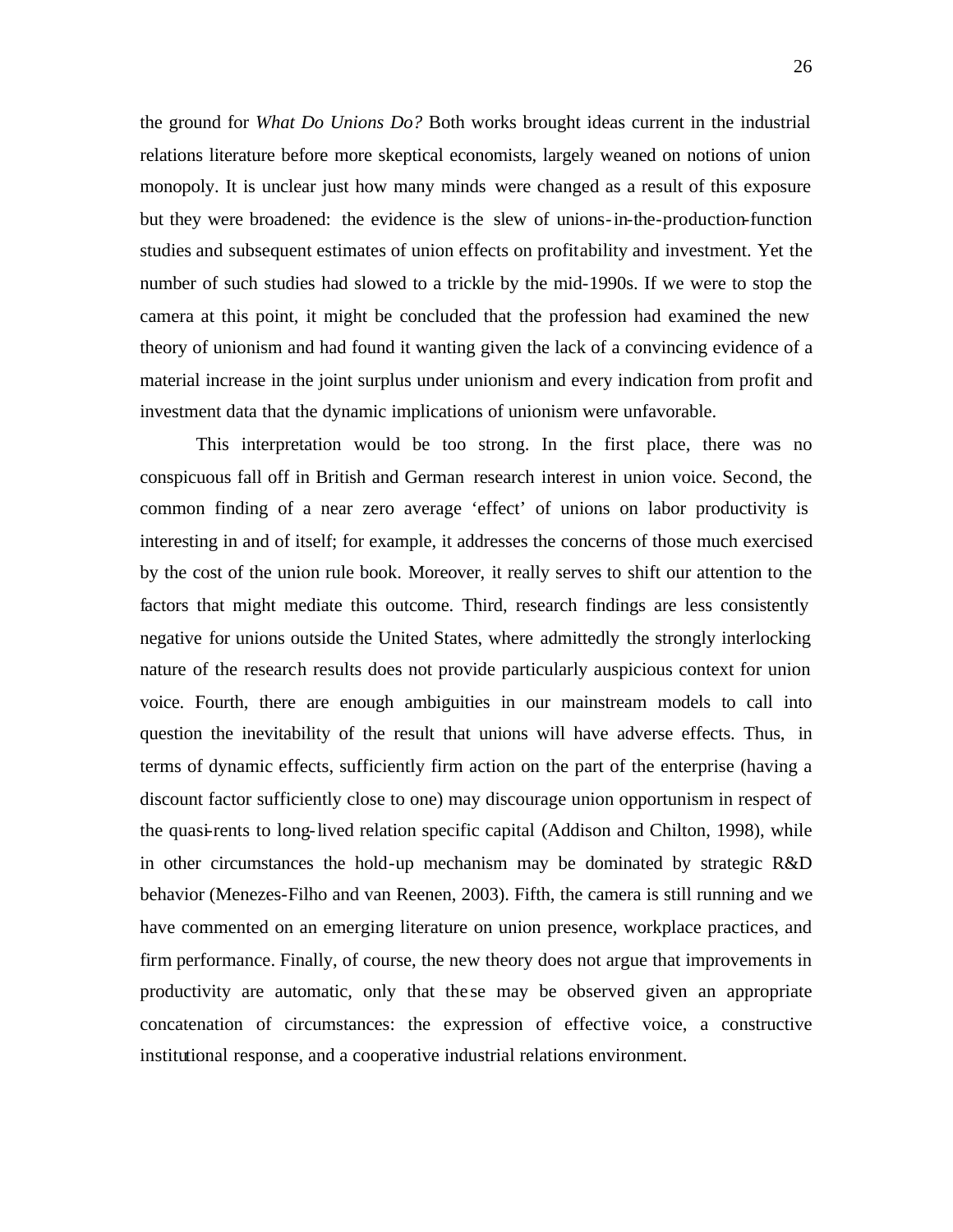the ground for *What Do Unions Do?* Both works brought ideas current in the industrial relations literature before more skeptical economists, largely weaned on notions of union monopoly. It is unclear just how many minds were changed as a result of this exposure but they were broadened: the evidence is the slew of unions-in-the-production-function studies and subsequent estimates of union effects on profitability and investment. Yet the number of such studies had slowed to a trickle by the mid-1990s. If we were to stop the camera at this point, it might be concluded that the profession had examined the new theory of unionism and had found it wanting given the lack of a convincing evidence of a material increase in the joint surplus under unionism and every indication from profit and investment data that the dynamic implications of unionism were unfavorable.

This interpretation would be too strong. In the first place, there was no conspicuous fall off in British and German research interest in union voice. Second, the common finding of a near zero average 'effect' of unions on labor productivity is interesting in and of itself; for example, it addresses the concerns of those much exercised by the cost of the union rule book. Moreover, it really serves to shift our attention to the factors that might mediate this outcome. Third, research findings are less consistently negative for unions outside the United States, where admittedly the strongly interlocking nature of the research results does not provide particularly auspicious context for union voice. Fourth, there are enough ambiguities in our mainstream models to call into question the inevitability of the result that unions will have adverse effects. Thus, in terms of dynamic effects, sufficiently firm action on the part of the enterprise (having a discount factor sufficiently close to one) may discourage union opportunism in respect of the quasi-rents to long-lived relation specific capital (Addison and Chilton, 1998), while in other circumstances the hold-up mechanism may be dominated by strategic R&D behavior (Menezes-Filho and van Reenen, 2003). Fifth, the camera is still running and we have commented on an emerging literature on union presence, workplace practices, and firm performance. Finally, of course, the new theory does not argue that improvements in productivity are automatic, only that the se may be observed given an appropriate concatenation of circumstances: the expression of effective voice, a constructive institutional response, and a cooperative industrial relations environment.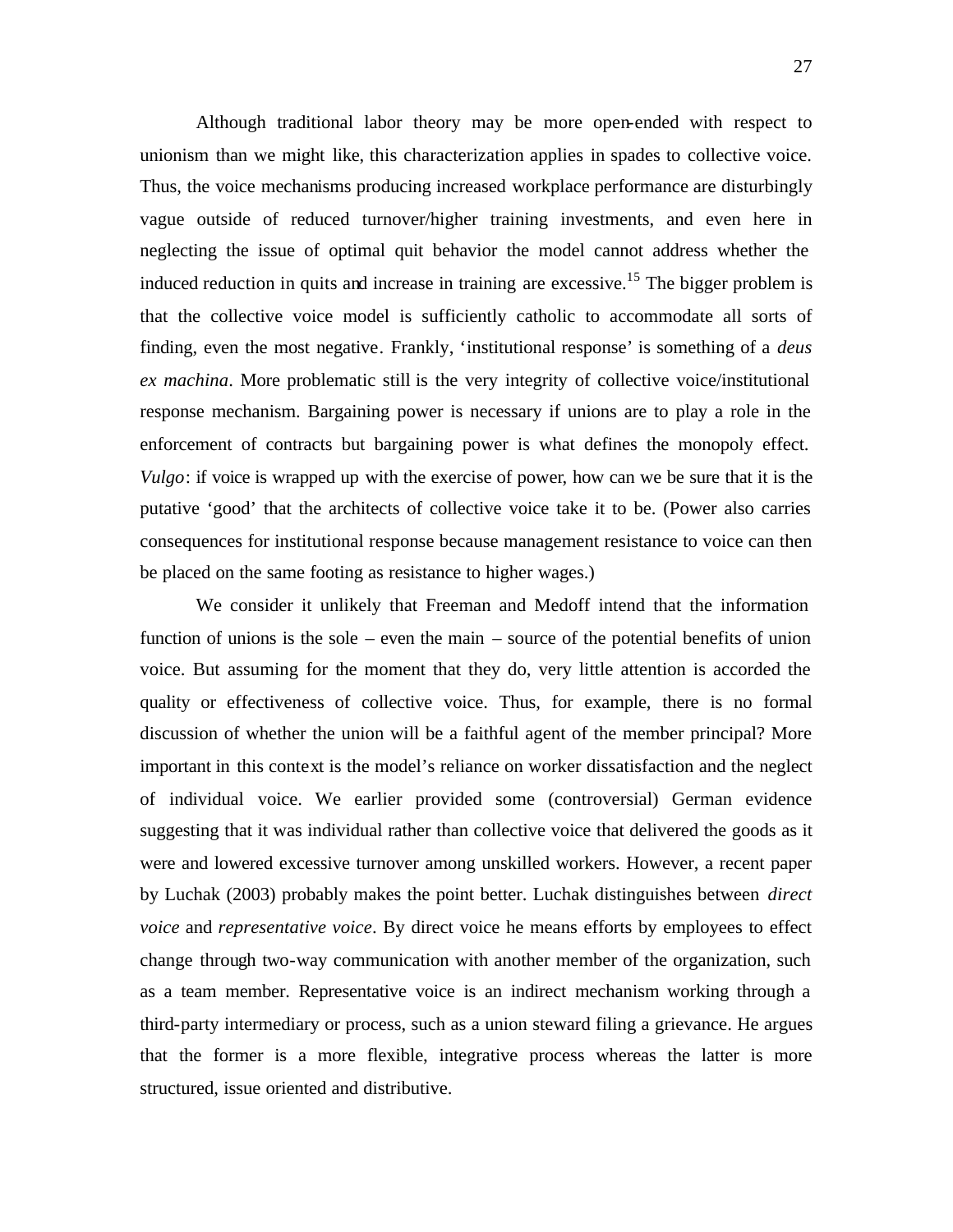Although traditional labor theory may be more open-ended with respect to unionism than we might like, this characterization applies in spades to collective voice. Thus, the voice mechanisms producing increased workplace performance are disturbingly vague outside of reduced turnover/higher training investments, and even here in neglecting the issue of optimal quit behavior the model cannot address whether the induced reduction in quits and increase in training are excessive.<sup>15</sup> The bigger problem is that the collective voice model is sufficiently catholic to accommodate all sorts of finding, even the most negative. Frankly, 'institutional response' is something of a *deus ex machina*. More problematic still is the very integrity of collective voice/institutional response mechanism. Bargaining power is necessary if unions are to play a role in the enforcement of contracts but bargaining power is what defines the monopoly effect. *Vulgo*: if voice is wrapped up with the exercise of power, how can we be sure that it is the putative 'good' that the architects of collective voice take it to be. (Power also carries consequences for institutional response because management resistance to voice can then be placed on the same footing as resistance to higher wages.)

We consider it unlikely that Freeman and Medoff intend that the information function of unions is the sole – even the main – source of the potential benefits of union voice. But assuming for the moment that they do, very little attention is accorded the quality or effectiveness of collective voice. Thus, for example, there is no formal discussion of whether the union will be a faithful agent of the member principal? More important in this context is the model's reliance on worker dissatisfaction and the neglect of individual voice. We earlier provided some (controversial) German evidence suggesting that it was individual rather than collective voice that delivered the goods as it were and lowered excessive turnover among unskilled workers. However, a recent paper by Luchak (2003) probably makes the point better. Luchak distinguishes between *direct voice* and *representative voice*. By direct voice he means efforts by employees to effect change through two-way communication with another member of the organization, such as a team member. Representative voice is an indirect mechanism working through a third-party intermediary or process, such as a union steward filing a grievance. He argues that the former is a more flexible, integrative process whereas the latter is more structured, issue oriented and distributive.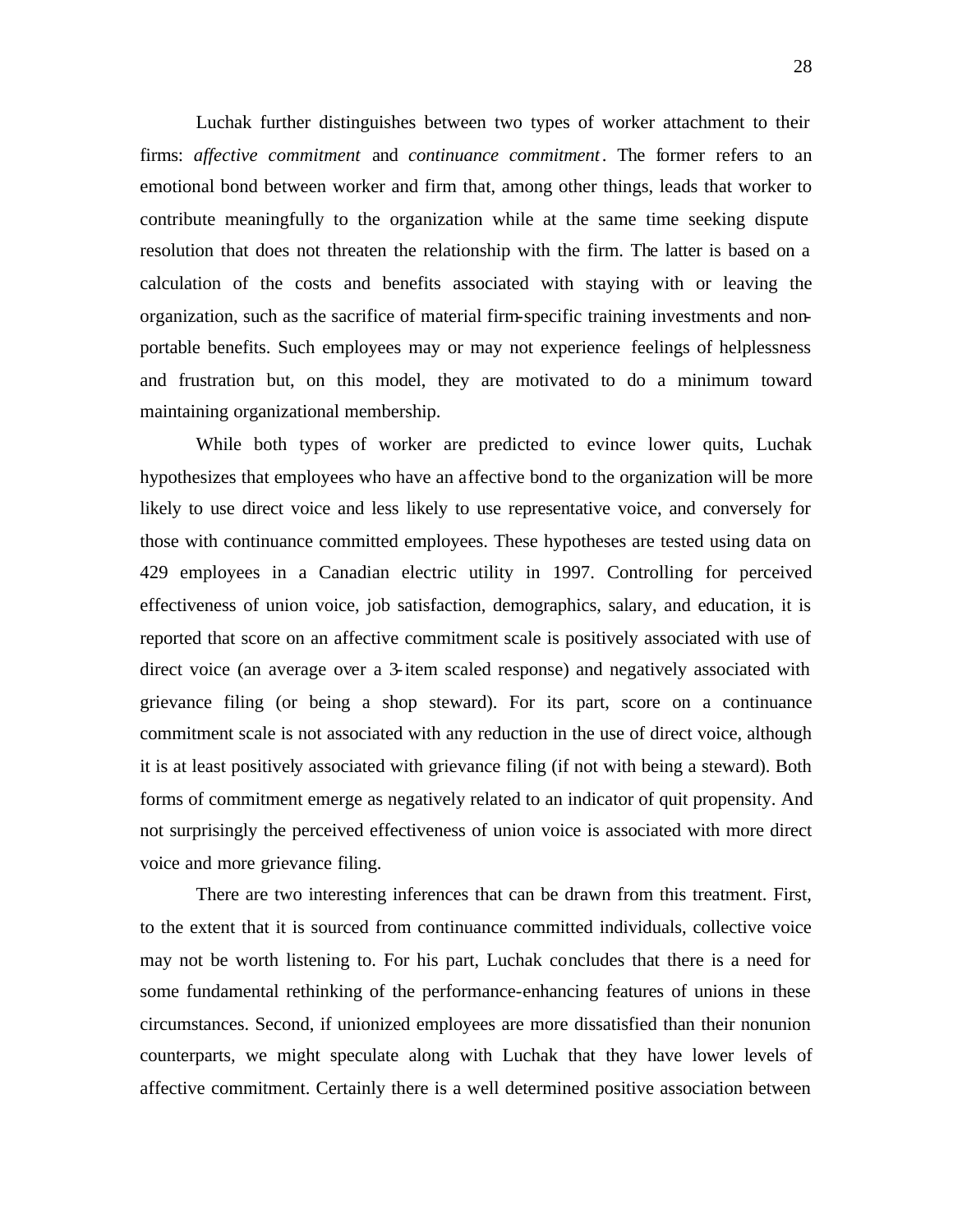Luchak further distinguishes between two types of worker attachment to their firms: *affective commitment* and *continuance commitment*. The former refers to an emotional bond between worker and firm that, among other things, leads that worker to contribute meaningfully to the organization while at the same time seeking dispute resolution that does not threaten the relationship with the firm. The latter is based on a calculation of the costs and benefits associated with staying with or leaving the organization, such as the sacrifice of material firm-specific training investments and nonportable benefits. Such employees may or may not experience feelings of helplessness and frustration but, on this model, they are motivated to do a minimum toward maintaining organizational membership.

While both types of worker are predicted to evince lower quits, Luchak hypothesizes that employees who have an affective bond to the organization will be more likely to use direct voice and less likely to use representative voice, and conversely for those with continuance committed employees. These hypotheses are tested using data on 429 employees in a Canadian electric utility in 1997. Controlling for perceived effectiveness of union voice, job satisfaction, demographics, salary, and education, it is reported that score on an affective commitment scale is positively associated with use of direct voice (an average over a 3-item scaled response) and negatively associated with grievance filing (or being a shop steward). For its part, score on a continuance commitment scale is not associated with any reduction in the use of direct voice, although it is at least positively associated with grievance filing (if not with being a steward). Both forms of commitment emerge as negatively related to an indicator of quit propensity. And not surprisingly the perceived effectiveness of union voice is associated with more direct voice and more grievance filing.

There are two interesting inferences that can be drawn from this treatment. First, to the extent that it is sourced from continuance committed individuals, collective voice may not be worth listening to. For his part, Luchak concludes that there is a need for some fundamental rethinking of the performance-enhancing features of unions in these circumstances. Second, if unionized employees are more dissatisfied than their nonunion counterparts, we might speculate along with Luchak that they have lower levels of affective commitment. Certainly there is a well determined positive association between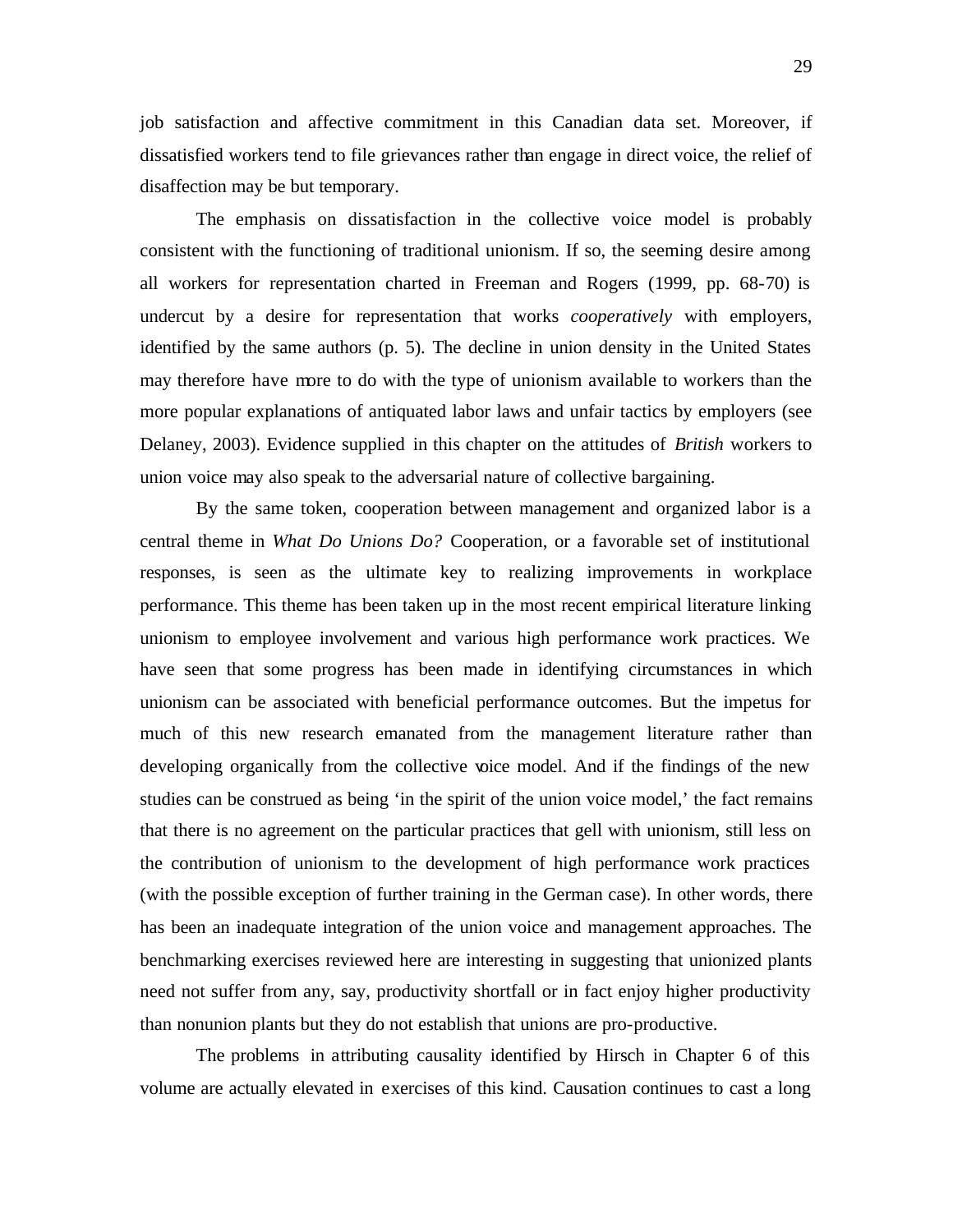job satisfaction and affective commitment in this Canadian data set. Moreover, if dissatisfied workers tend to file grievances rather than engage in direct voice, the relief of disaffection may be but temporary.

The emphasis on dissatisfaction in the collective voice model is probably consistent with the functioning of traditional unionism. If so, the seeming desire among all workers for representation charted in Freeman and Rogers (1999, pp. 68-70) is undercut by a desire for representation that works *cooperatively* with employers, identified by the same authors (p. 5). The decline in union density in the United States may therefore have more to do with the type of unionism available to workers than the more popular explanations of antiquated labor laws and unfair tactics by employers (see Delaney, 2003). Evidence supplied in this chapter on the attitudes of *British* workers to union voice may also speak to the adversarial nature of collective bargaining.

By the same token, cooperation between management and organized labor is a central theme in *What Do Unions Do?* Cooperation, or a favorable set of institutional responses, is seen as the ultimate key to realizing improvements in workplace performance. This theme has been taken up in the most recent empirical literature linking unionism to employee involvement and various high performance work practices. We have seen that some progress has been made in identifying circumstances in which unionism can be associated with beneficial performance outcomes. But the impetus for much of this new research emanated from the management literature rather than developing organically from the collective voice model. And if the findings of the new studies can be construed as being 'in the spirit of the union voice model,' the fact remains that there is no agreement on the particular practices that gell with unionism, still less on the contribution of unionism to the development of high performance work practices (with the possible exception of further training in the German case). In other words, there has been an inadequate integration of the union voice and management approaches. The benchmarking exercises reviewed here are interesting in suggesting that unionized plants need not suffer from any, say, productivity shortfall or in fact enjoy higher productivity than nonunion plants but they do not establish that unions are pro-productive.

The problems in attributing causality identified by Hirsch in Chapter 6 of this volume are actually elevated in exercises of this kind. Causation continues to cast a long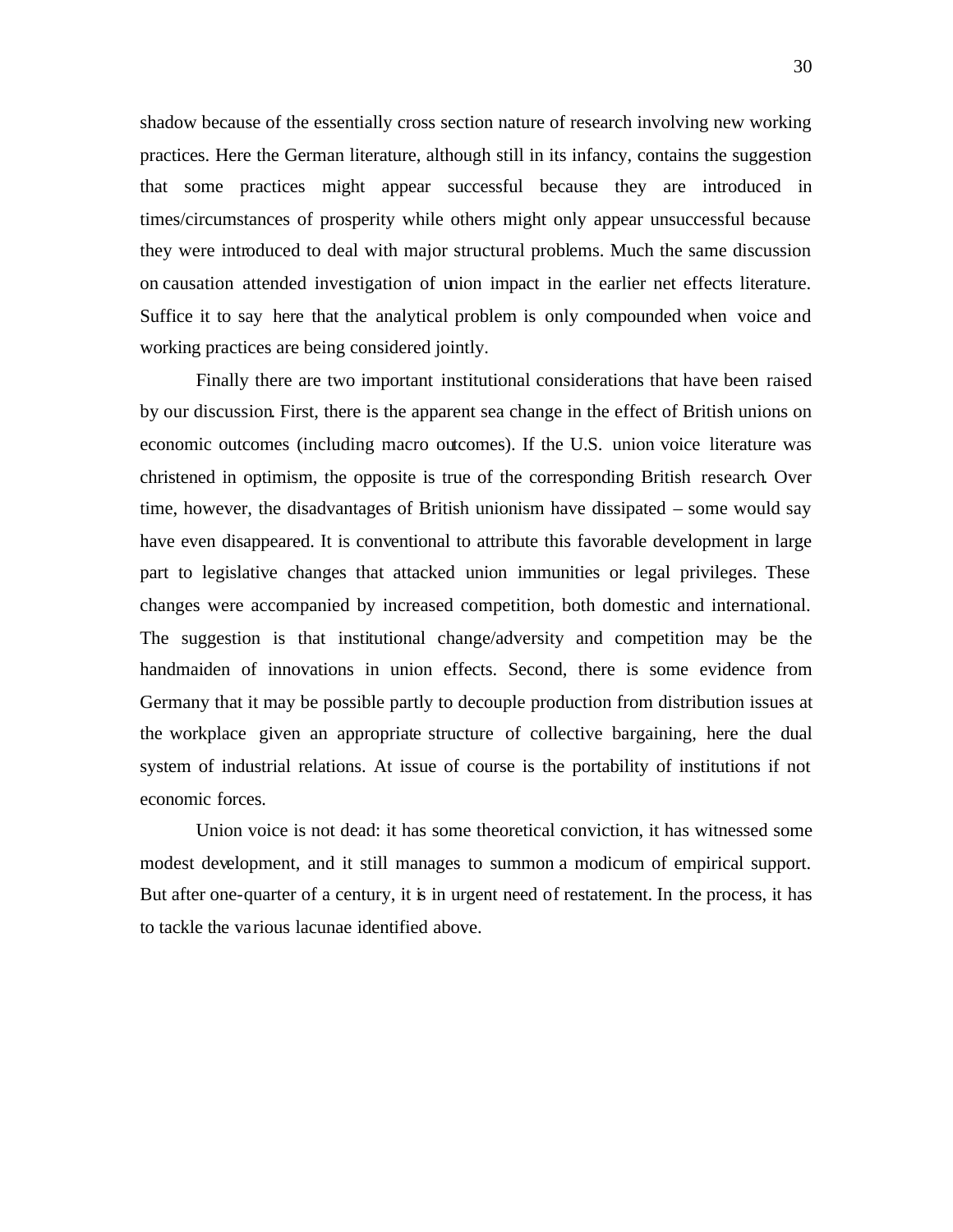shadow because of the essentially cross section nature of research involving new working practices. Here the German literature, although still in its infancy, contains the suggestion that some practices might appear successful because they are introduced in times/circumstances of prosperity while others might only appear unsuccessful because they were introduced to deal with major structural problems. Much the same discussion on causation attended investigation of union impact in the earlier net effects literature. Suffice it to say here that the analytical problem is only compounded when voice and working practices are being considered jointly.

Finally there are two important institutional considerations that have been raised by our discussion. First, there is the apparent sea change in the effect of British unions on economic outcomes (including macro outcomes). If the U.S. union voice literature was christened in optimism, the opposite is true of the corresponding British research. Over time, however, the disadvantages of British unionism have dissipated – some would say have even disappeared. It is conventional to attribute this favorable development in large part to legislative changes that attacked union immunities or legal privileges. These changes were accompanied by increased competition, both domestic and international. The suggestion is that institutional change/adversity and competition may be the handmaiden of innovations in union effects. Second, there is some evidence from Germany that it may be possible partly to decouple production from distribution issues at the workplace given an appropriate structure of collective bargaining, here the dual system of industrial relations. At issue of course is the portability of institutions if not economic forces.

Union voice is not dead: it has some theoretical conviction, it has witnessed some modest development, and it still manages to summon a modicum of empirical support. But after one-quarter of a century, it is in urgent need of restatement. In the process, it has to tackle the various lacunae identified above.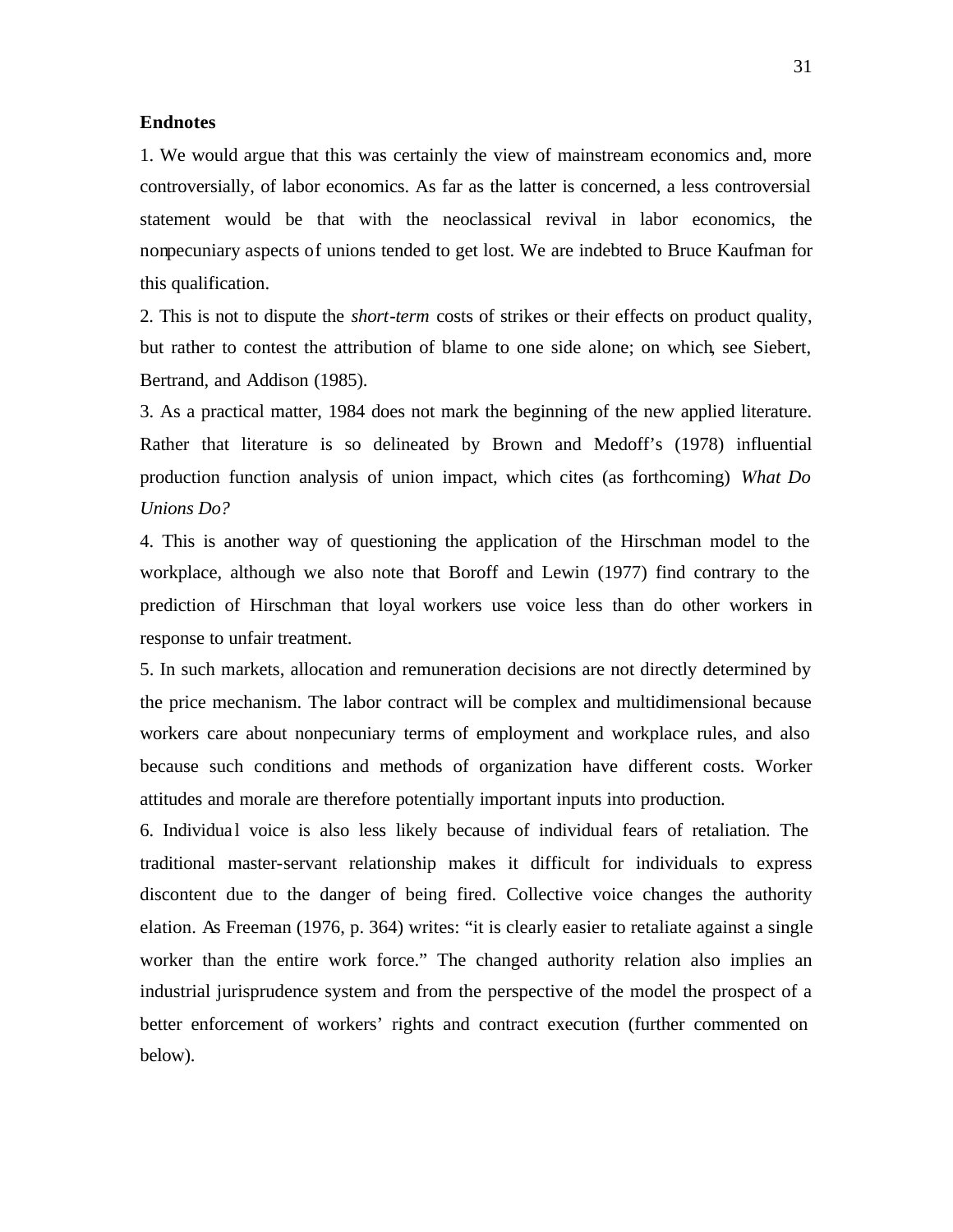#### **Endnotes**

1. We would argue that this was certainly the view of mainstream economics and, more controversially, of labor economics. As far as the latter is concerned, a less controversial statement would be that with the neoclassical revival in labor economics, the nonpecuniary aspects of unions tended to get lost. We are indebted to Bruce Kaufman for this qualification.

2. This is not to dispute the *short-term* costs of strikes or their effects on product quality, but rather to contest the attribution of blame to one side alone; on which, see Siebert, Bertrand, and Addison (1985).

3. As a practical matter, 1984 does not mark the beginning of the new applied literature. Rather that literature is so delineated by Brown and Medoff's (1978) influential production function analysis of union impact, which cites (as forthcoming) *What Do Unions Do?*

4. This is another way of questioning the application of the Hirschman model to the workplace, although we also note that Boroff and Lewin (1977) find contrary to the prediction of Hirschman that loyal workers use voice less than do other workers in response to unfair treatment.

5. In such markets, allocation and remuneration decisions are not directly determined by the price mechanism. The labor contract will be complex and multidimensional because workers care about nonpecuniary terms of employment and workplace rules, and also because such conditions and methods of organization have different costs. Worker attitudes and morale are therefore potentially important inputs into production.

6. Individual voice is also less likely because of individual fears of retaliation. The traditional master-servant relationship makes it difficult for individuals to express discontent due to the danger of being fired. Collective voice changes the authority elation. As Freeman (1976, p. 364) writes: "it is clearly easier to retaliate against a single worker than the entire work force." The changed authority relation also implies an industrial jurisprudence system and from the perspective of the model the prospect of a better enforcement of workers' rights and contract execution (further commented on below).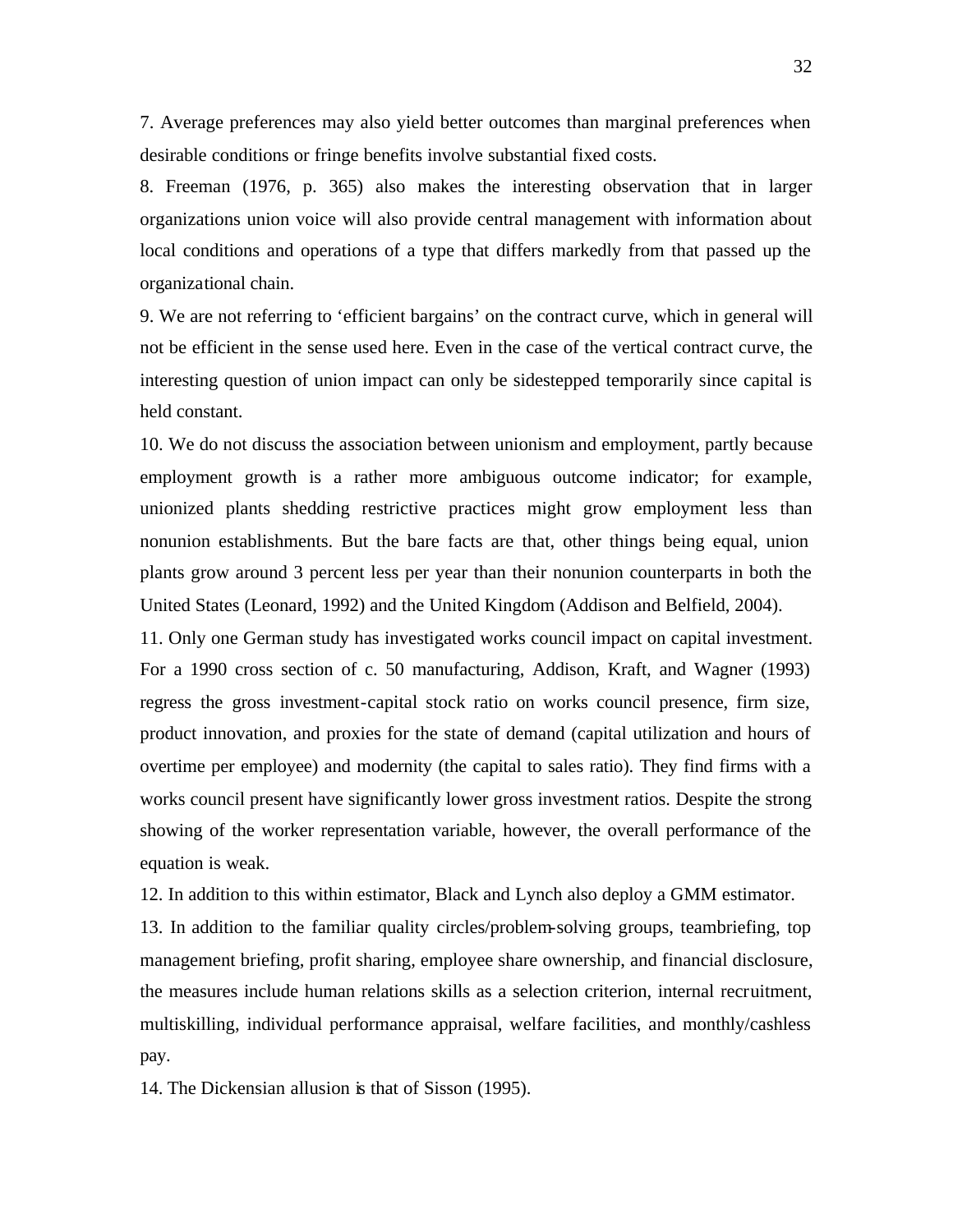7. Average preferences may also yield better outcomes than marginal preferences when desirable conditions or fringe benefits involve substantial fixed costs.

8. Freeman (1976, p. 365) also makes the interesting observation that in larger organizations union voice will also provide central management with information about local conditions and operations of a type that differs markedly from that passed up the organizational chain.

9. We are not referring to 'efficient bargains' on the contract curve, which in general will not be efficient in the sense used here. Even in the case of the vertical contract curve, the interesting question of union impact can only be sidestepped temporarily since capital is held constant.

10. We do not discuss the association between unionism and employment, partly because employment growth is a rather more ambiguous outcome indicator; for example, unionized plants shedding restrictive practices might grow employment less than nonunion establishments. But the bare facts are that, other things being equal, union plants grow around 3 percent less per year than their nonunion counterparts in both the United States (Leonard, 1992) and the United Kingdom (Addison and Belfield, 2004).

11. Only one German study has investigated works council impact on capital investment. For a 1990 cross section of c. 50 manufacturing, Addison, Kraft, and Wagner (1993) regress the gross investment-capital stock ratio on works council presence, firm size, product innovation, and proxies for the state of demand (capital utilization and hours of overtime per employee) and modernity (the capital to sales ratio). They find firms with a works council present have significantly lower gross investment ratios. Despite the strong showing of the worker representation variable, however, the overall performance of the equation is weak.

12. In addition to this within estimator, Black and Lynch also deploy a GMM estimator.

13. In addition to the familiar quality circles/problem-solving groups, teambriefing, top management briefing, profit sharing, employee share ownership, and financial disclosure, the measures include human relations skills as a selection criterion, internal recruitment, multiskilling, individual performance appraisal, welfare facilities, and monthly/cashless pay.

14. The Dickensian allusion is that of Sisson (1995).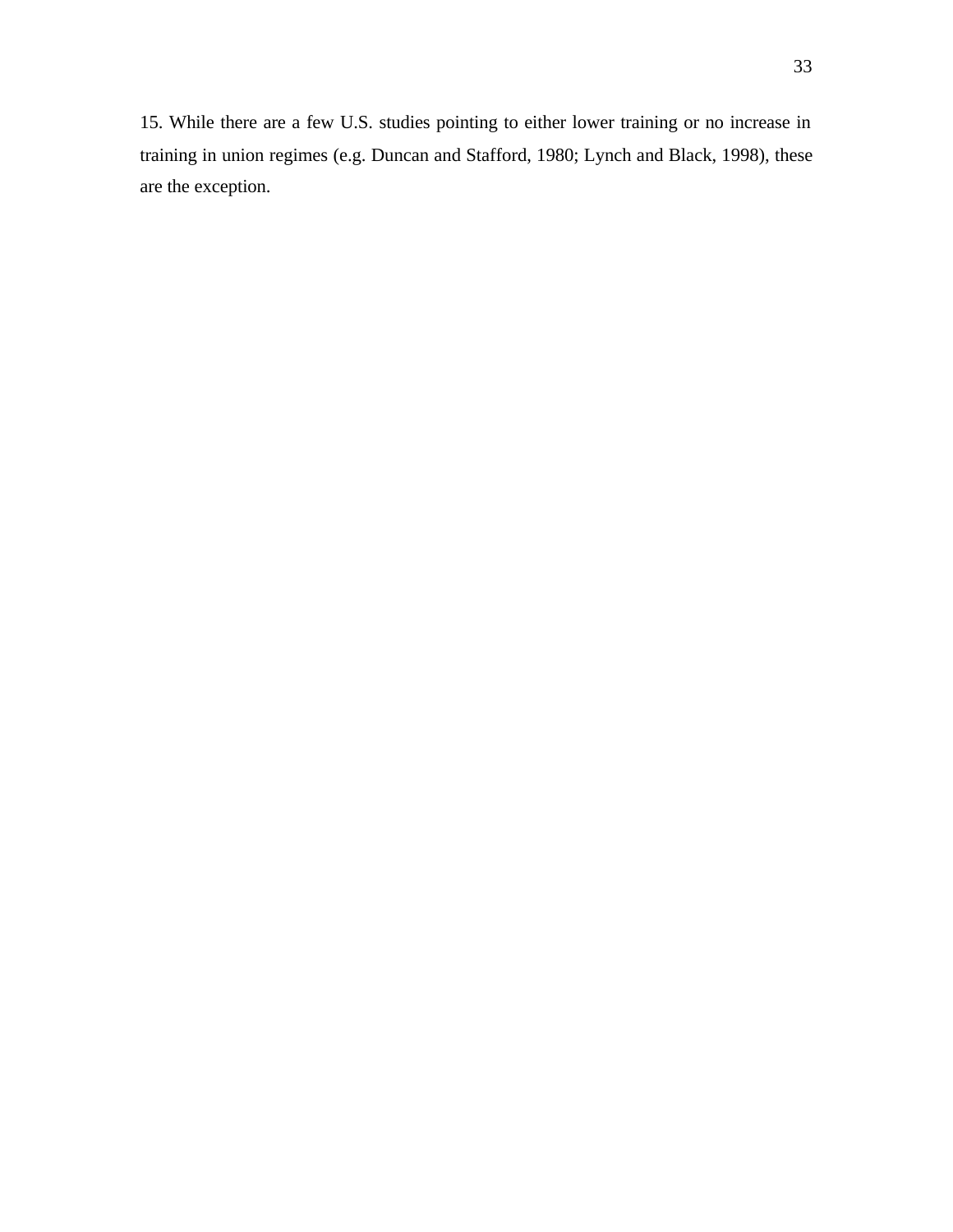15. While there are a few U.S. studies pointing to either lower training or no increase in training in union regimes (e.g. Duncan and Stafford, 1980; Lynch and Black, 1998), these are the exception.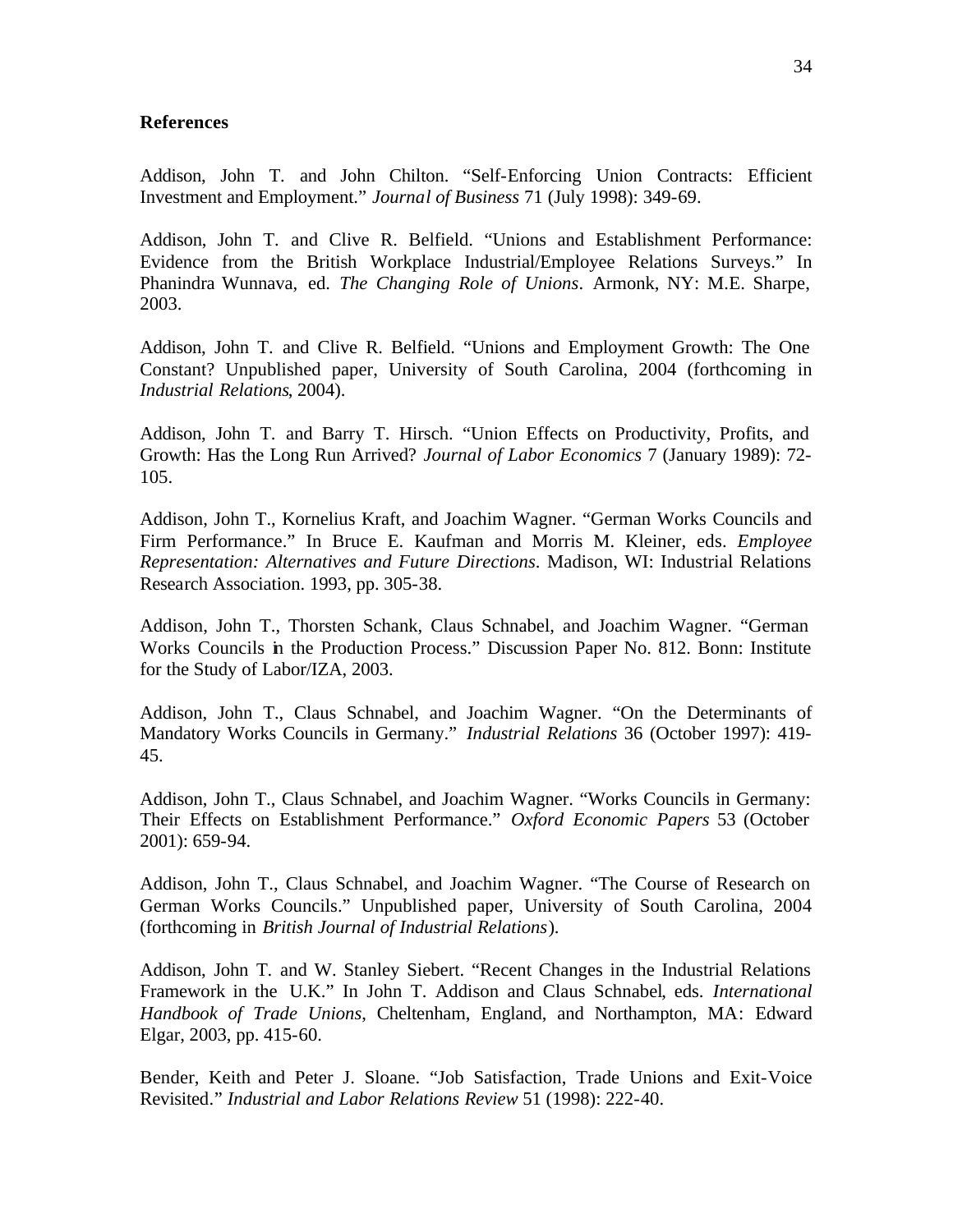#### **References**

Addison, John T. and John Chilton. "Self-Enforcing Union Contracts: Efficient Investment and Employment." *Journal of Business* 71 (July 1998): 349-69.

Addison, John T. and Clive R. Belfield. "Unions and Establishment Performance: Evidence from the British Workplace Industrial/Employee Relations Surveys." In Phanindra Wunnava, ed. *The Changing Role of Unions*. Armonk, NY: M.E. Sharpe, 2003.

Addison, John T. and Clive R. Belfield. "Unions and Employment Growth: The One Constant? Unpublished paper, University of South Carolina, 2004 (forthcoming in *Industrial Relations*, 2004).

Addison, John T. and Barry T. Hirsch. "Union Effects on Productivity, Profits, and Growth: Has the Long Run Arrived? *Journal of Labor Economics* 7 (January 1989): 72- 105.

Addison, John T., Kornelius Kraft, and Joachim Wagner. "German Works Councils and Firm Performance." In Bruce E. Kaufman and Morris M. Kleiner, eds. *Employee Representation: Alternatives and Future Directions*. Madison, WI: Industrial Relations Research Association. 1993, pp. 305-38.

Addison, John T., Thorsten Schank, Claus Schnabel, and Joachim Wagner. "German Works Councils in the Production Process." Discussion Paper No. 812. Bonn: Institute for the Study of Labor/IZA, 2003.

Addison, John T., Claus Schnabel, and Joachim Wagner. "On the Determinants of Mandatory Works Councils in Germany." *Industrial Relations* 36 (October 1997): 419- 45.

Addison, John T., Claus Schnabel, and Joachim Wagner. "Works Councils in Germany: Their Effects on Establishment Performance." *Oxford Economic Papers* 53 (October 2001): 659-94.

Addison, John T., Claus Schnabel, and Joachim Wagner. "The Course of Research on German Works Councils." Unpublished paper, University of South Carolina, 2004 (forthcoming in *British Journal of Industrial Relations*).

Addison, John T. and W. Stanley Siebert. "Recent Changes in the Industrial Relations Framework in the U.K." In John T. Addison and Claus Schnabel, eds. *International Handbook of Trade Unions*, Cheltenham, England, and Northampton, MA: Edward Elgar, 2003, pp. 415-60.

Bender, Keith and Peter J. Sloane. "Job Satisfaction, Trade Unions and Exit-Voice Revisited." *Industrial and Labor Relations Review* 51 (1998): 222-40.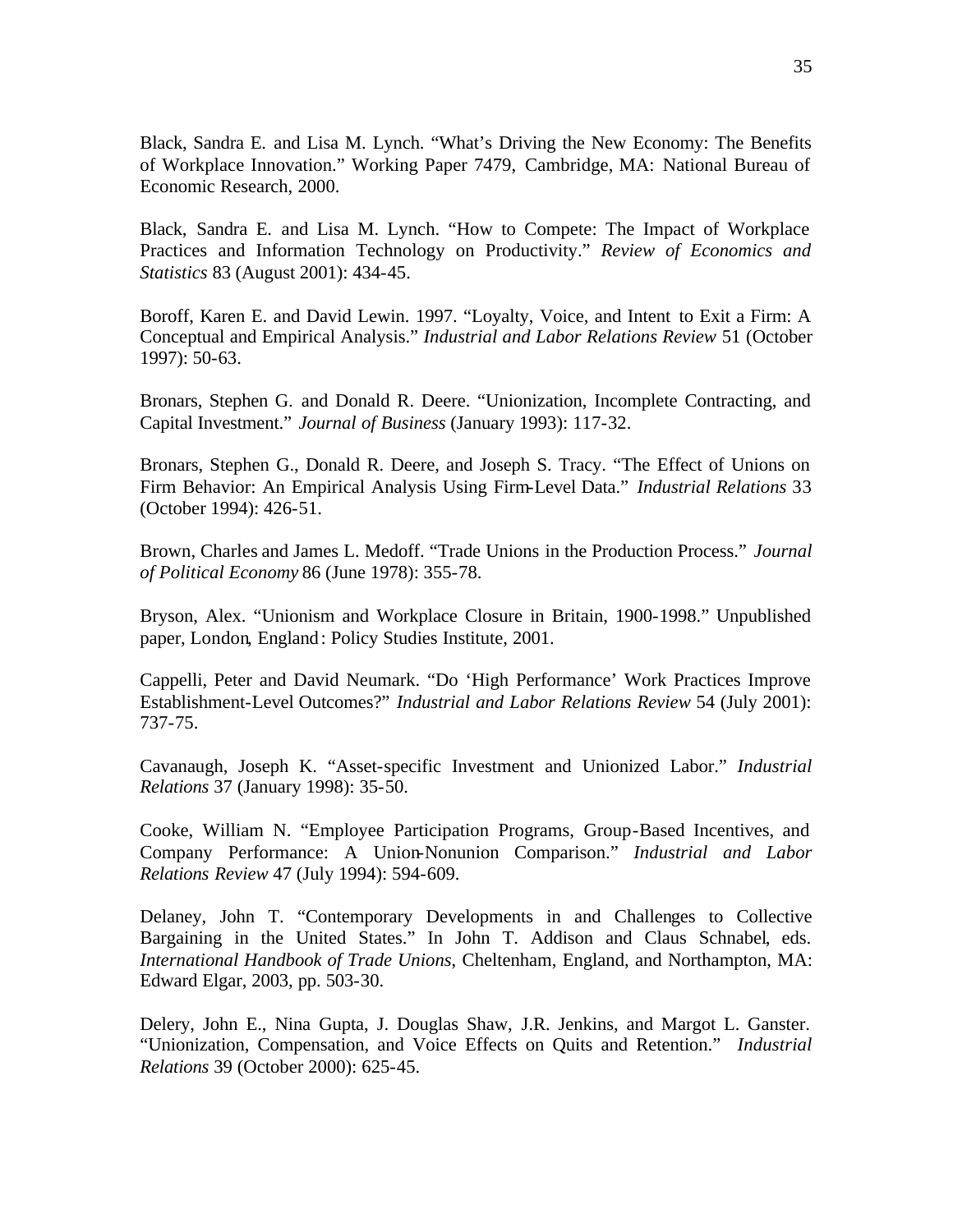Black, Sandra E. and Lisa M. Lynch. "What's Driving the New Economy: The Benefits of Workplace Innovation." Working Paper 7479, Cambridge, MA: National Bureau of Economic Research, 2000.

Black, Sandra E. and Lisa M. Lynch. "How to Compete: The Impact of Workplace Practices and Information Technology on Productivity." *Review of Economics and Statistics* 83 (August 2001): 434-45.

Boroff, Karen E. and David Lewin. 1997. "Loyalty, Voice, and Intent to Exit a Firm: A Conceptual and Empirical Analysis." *Industrial and Labor Relations Review* 51 (October 1997): 50-63.

Bronars, Stephen G. and Donald R. Deere. "Unionization, Incomplete Contracting, and Capital Investment." *Journal of Business* (January 1993): 117-32.

Bronars, Stephen G., Donald R. Deere, and Joseph S. Tracy. "The Effect of Unions on Firm Behavior: An Empirical Analysis Using Firm-Level Data." *Industrial Relations* 33 (October 1994): 426-51.

Brown, Charles and James L. Medoff. "Trade Unions in the Production Process." *Journal of Political Economy* 86 (June 1978): 355-78.

Bryson, Alex. "Unionism and Workplace Closure in Britain, 1900-1998." Unpublished paper, London, England: Policy Studies Institute, 2001.

Cappelli, Peter and David Neumark. "Do 'High Performance' Work Practices Improve Establishment-Level Outcomes?" *Industrial and Labor Relations Review* 54 (July 2001): 737-75.

Cavanaugh, Joseph K. "Asset-specific Investment and Unionized Labor." *Industrial Relations* 37 (January 1998): 35-50.

Cooke, William N. "Employee Participation Programs, Group-Based Incentives, and Company Performance: A Union-Nonunion Comparison." *Industrial and Labor Relations Review* 47 (July 1994): 594-609.

Delaney, John T. "Contemporary Developments in and Challenges to Collective Bargaining in the United States." In John T. Addison and Claus Schnabel, eds. *International Handbook of Trade Unions*, Cheltenham, England, and Northampton, MA: Edward Elgar, 2003, pp. 503-30.

Delery, John E., Nina Gupta, J. Douglas Shaw, J.R. Jenkins, and Margot L. Ganster. "Unionization, Compensation, and Voice Effects on Quits and Retention." *Industrial Relations* 39 (October 2000): 625-45.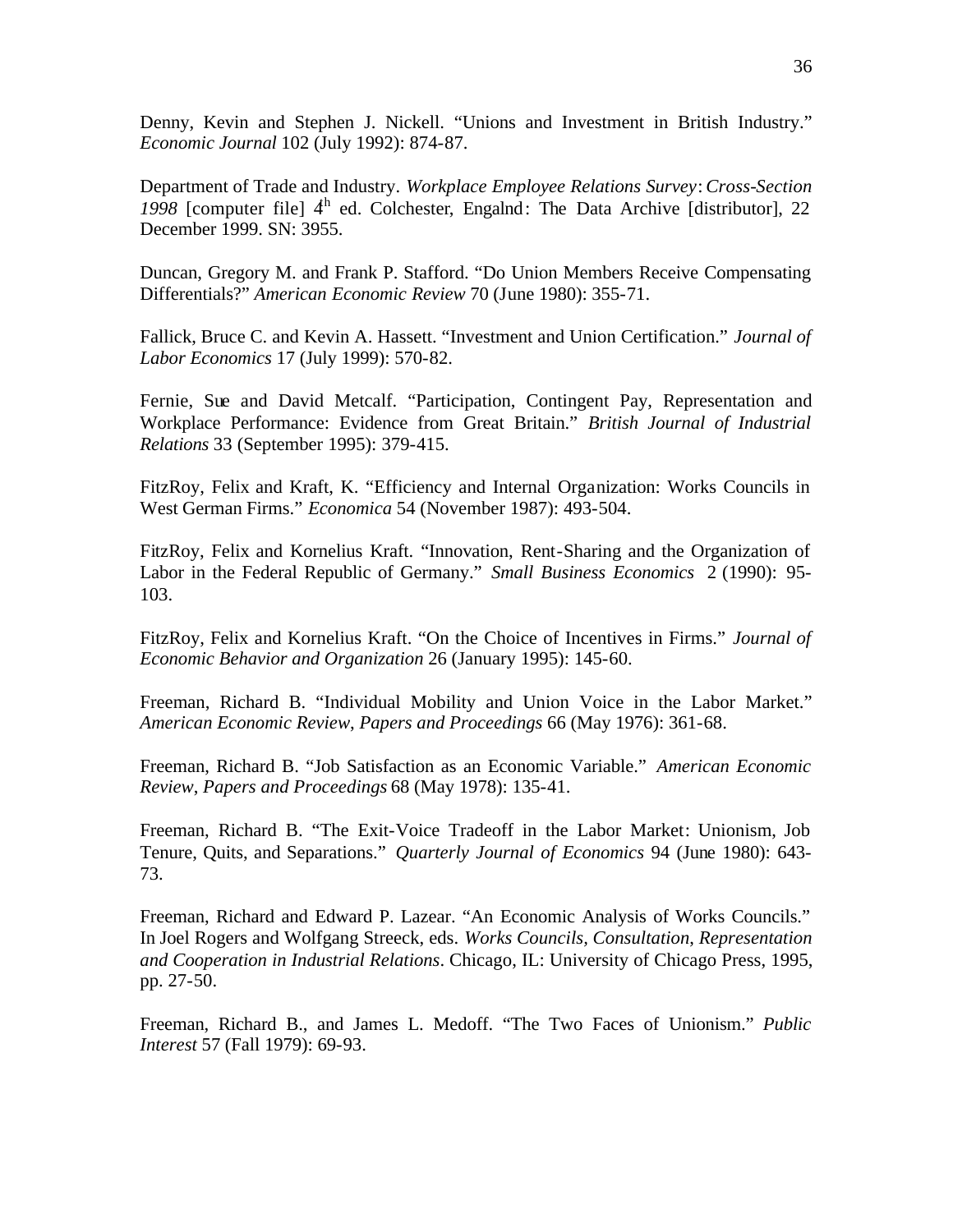Denny, Kevin and Stephen J. Nickell. "Unions and Investment in British Industry." *Economic Journal* 102 (July 1992): 874-87.

Department of Trade and Industry. *Workplace Employee Relations Survey*: *Cross-Section*  1998 [computer file]  $4<sup>h</sup>$  ed. Colchester, Engalnd: The Data Archive [distributor], 22 December 1999. SN: 3955.

Duncan, Gregory M. and Frank P. Stafford. "Do Union Members Receive Compensating Differentials?" *American Economic Review* 70 (June 1980): 355-71.

Fallick, Bruce C. and Kevin A. Hassett. "Investment and Union Certification." *Journal of Labor Economics* 17 (July 1999): 570-82.

Fernie, Sue and David Metcalf. "Participation, Contingent Pay, Representation and Workplace Performance: Evidence from Great Britain." *British Journal of Industrial Relations* 33 (September 1995): 379-415.

FitzRoy, Felix and Kraft, K. "Efficiency and Internal Organization: Works Councils in West German Firms." *Economica* 54 (November 1987): 493-504.

FitzRoy, Felix and Kornelius Kraft. "Innovation, Rent-Sharing and the Organization of Labor in the Federal Republic of Germany." *Small Business Economics* 2 (1990): 95- 103.

FitzRoy, Felix and Kornelius Kraft. "On the Choice of Incentives in Firms." *Journal of Economic Behavior and Organization* 26 (January 1995): 145-60.

Freeman, Richard B. "Individual Mobility and Union Voice in the Labor Market." *American Economic Review*, *Papers and Proceedings* 66 (May 1976): 361-68.

Freeman, Richard B. "Job Satisfaction as an Economic Variable." *American Economic Review*, *Papers and Proceedings* 68 (May 1978): 135-41.

Freeman, Richard B. "The Exit-Voice Tradeoff in the Labor Market: Unionism, Job Tenure, Quits, and Separations." *Quarterly Journal of Economics* 94 (June 1980): 643- 73.

Freeman, Richard and Edward P. Lazear. "An Economic Analysis of Works Councils." In Joel Rogers and Wolfgang Streeck, eds. *Works Councils, Consultation*, *Representation and Cooperation in Industrial Relations*. Chicago, IL: University of Chicago Press, 1995, pp. 27-50.

Freeman, Richard B., and James L. Medoff. "The Two Faces of Unionism." *Public Interest* 57 (Fall 1979): 69-93.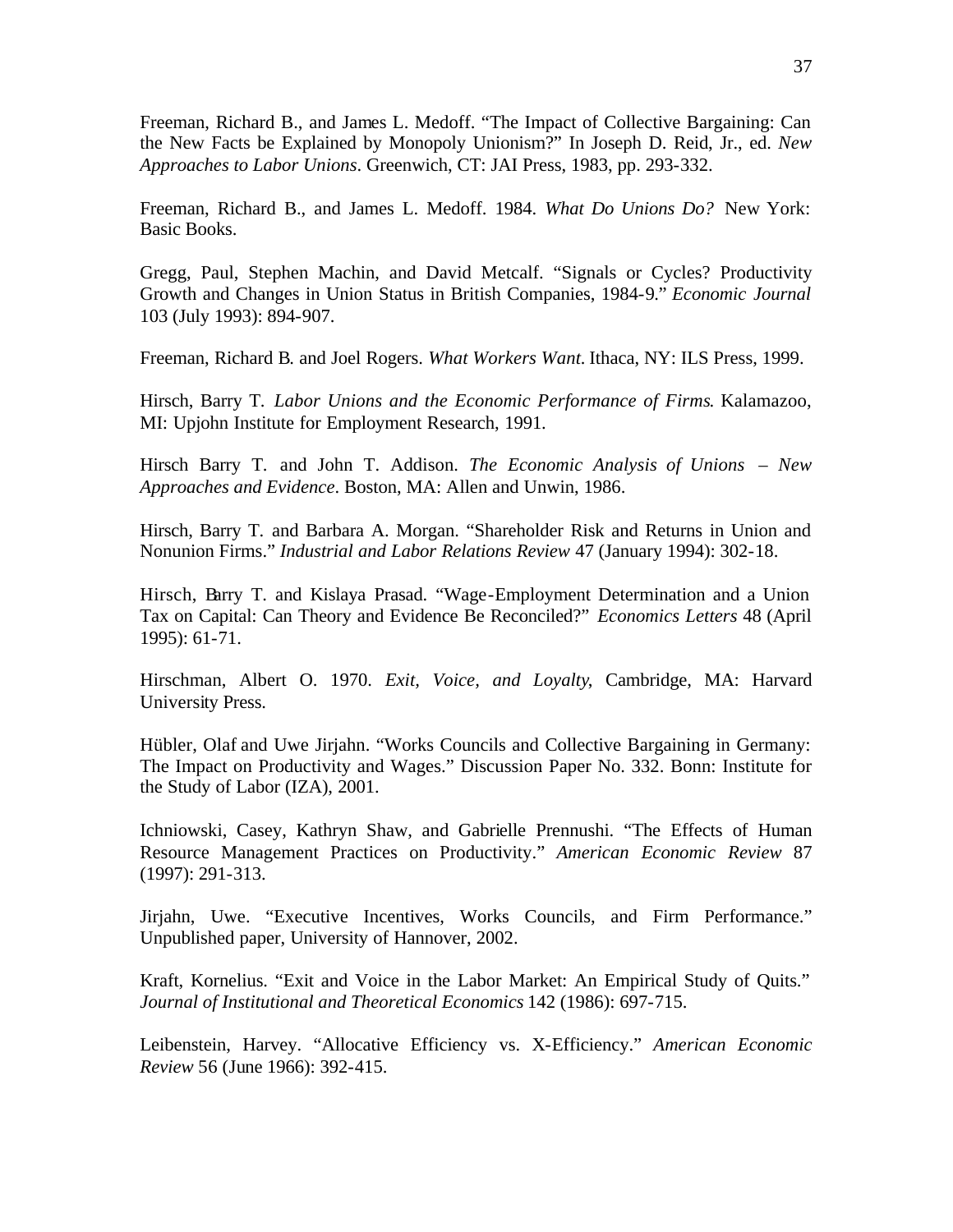Freeman, Richard B., and James L. Medoff. "The Impact of Collective Bargaining: Can the New Facts be Explained by Monopoly Unionism?" In Joseph D. Reid, Jr., ed. *New Approaches to Labor Unions*. Greenwich, CT: JAI Press, 1983, pp. 293-332.

Freeman, Richard B., and James L. Medoff. 1984. *What Do Unions Do?* New York: Basic Books.

Gregg, Paul, Stephen Machin, and David Metcalf. "Signals or Cycles? Productivity Growth and Changes in Union Status in British Companies, 1984-9." *Economic Journal* 103 (July 1993): 894-907.

Freeman, Richard B. and Joel Rogers. *What Workers Want.* Ithaca, NY: ILS Press, 1999.

Hirsch, Barry T. *Labor Unions and the Economic Performance of Firms*. Kalamazoo, MI: Upjohn Institute for Employment Research, 1991.

Hirsch Barry T. and John T. Addison. *The Economic Analysis of Unions – New Approaches and Evidence*. Boston, MA: Allen and Unwin, 1986.

Hirsch, Barry T. and Barbara A. Morgan. "Shareholder Risk and Returns in Union and Nonunion Firms." *Industrial and Labor Relations Review* 47 (January 1994): 302-18.

Hirsch, Barry T. and Kislaya Prasad. "Wage-Employment Determination and a Union Tax on Capital: Can Theory and Evidence Be Reconciled?" *Economics Letters* 48 (April 1995): 61-71.

Hirschman, Albert O. 1970. *Exit, Voice, and Loyalty*, Cambridge, MA: Harvard University Press.

Hübler, Olaf and Uwe Jirjahn. "Works Councils and Collective Bargaining in Germany: The Impact on Productivity and Wages." Discussion Paper No. 332. Bonn: Institute for the Study of Labor (IZA), 2001.

Ichniowski, Casey, Kathryn Shaw, and Gabrielle Prennushi. "The Effects of Human Resource Management Practices on Productivity." *American Economic Review* 87 (1997): 291-313.

Jirjahn, Uwe. "Executive Incentives, Works Councils, and Firm Performance." Unpublished paper, University of Hannover, 2002.

Kraft, Kornelius. "Exit and Voice in the Labor Market: An Empirical Study of Quits." *Journal of Institutional and Theoretical Economics* 142 (1986): 697-715.

Leibenstein, Harvey. "Allocative Efficiency vs. X-Efficiency." *American Economic Review* 56 (June 1966): 392-415.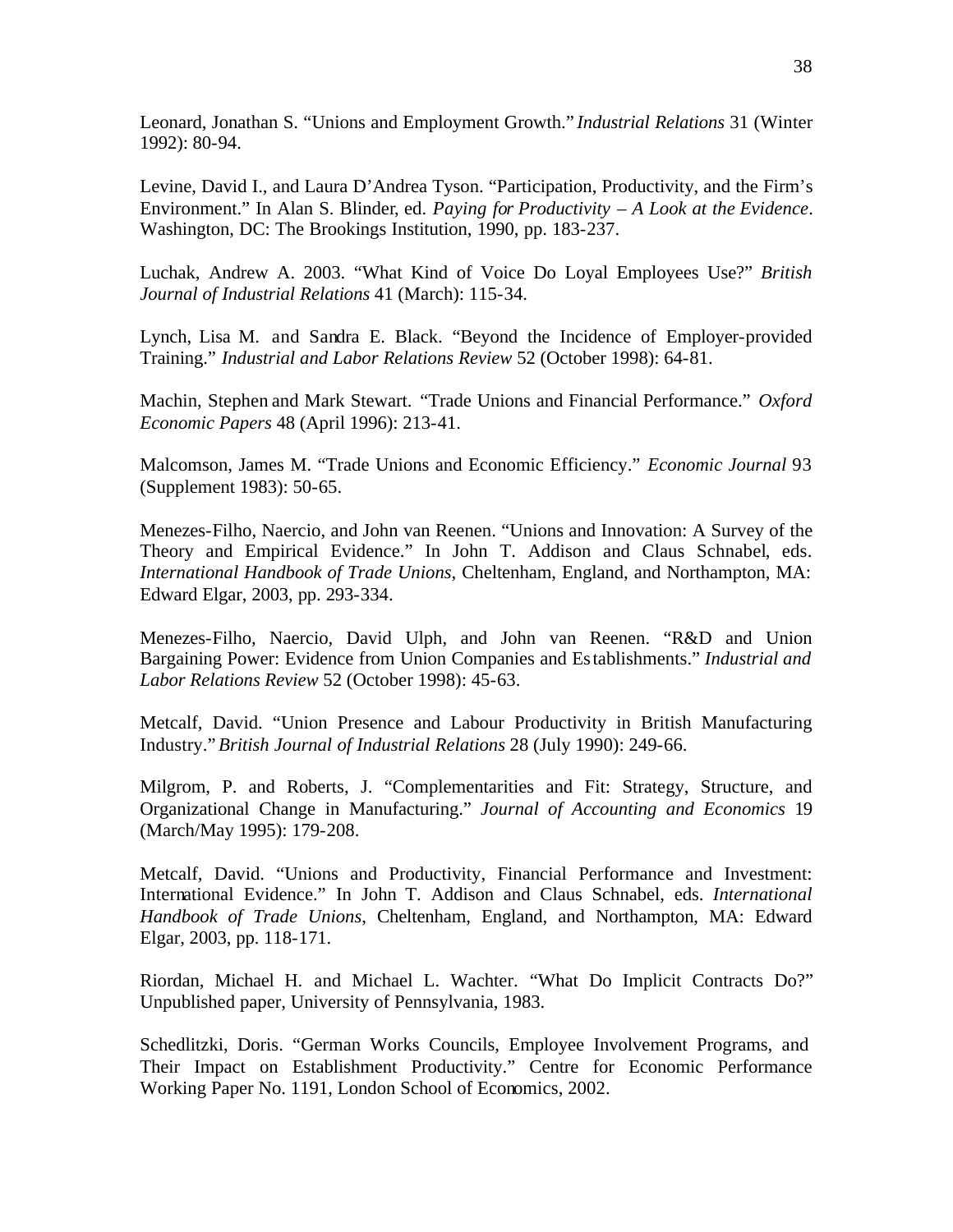Leonard, Jonathan S. "Unions and Employment Growth." *Industrial Relations* 31 (Winter 1992): 80-94.

Levine, David I., and Laura D'Andrea Tyson. "Participation, Productivity, and the Firm's Environment." In Alan S. Blinder, ed. *Paying for Productivity – A Look at the Evidence*. Washington, DC: The Brookings Institution, 1990, pp. 183-237.

Luchak, Andrew A. 2003. "What Kind of Voice Do Loyal Employees Use?" *British Journal of Industrial Relations* 41 (March): 115-34.

Lynch, Lisa M. and Sandra E. Black. "Beyond the Incidence of Employer-provided Training." *Industrial and Labor Relations Review* 52 (October 1998): 64-81.

Machin, Stephen and Mark Stewart. "Trade Unions and Financial Performance." *Oxford Economic Papers* 48 (April 1996): 213-41.

Malcomson, James M. "Trade Unions and Economic Efficiency." *Economic Journal* 93 (Supplement 1983): 50-65.

Menezes-Filho, Naercio, and John van Reenen. "Unions and Innovation: A Survey of the Theory and Empirical Evidence." In John T. Addison and Claus Schnabel, eds. *International Handbook of Trade Unions*, Cheltenham, England, and Northampton, MA: Edward Elgar, 2003, pp. 293-334.

Menezes-Filho, Naercio, David Ulph, and John van Reenen. "R&D and Union Bargaining Power: Evidence from Union Companies and Establishments." *Industrial and Labor Relations Review* 52 (October 1998): 45-63.

Metcalf, David. "Union Presence and Labour Productivity in British Manufacturing Industry." *British Journal of Industrial Relations* 28 (July 1990): 249-66.

Milgrom, P. and Roberts, J. "Complementarities and Fit: Strategy, Structure, and Organizational Change in Manufacturing." *Journal of Accounting and Economics* 19 (March/May 1995): 179-208.

Metcalf, David. "Unions and Productivity, Financial Performance and Investment: International Evidence." In John T. Addison and Claus Schnabel, eds. *International Handbook of Trade Unions*, Cheltenham, England, and Northampton, MA: Edward Elgar, 2003, pp. 118-171.

Riordan, Michael H. and Michael L. Wachter. "What Do Implicit Contracts Do?" Unpublished paper, University of Pennsylvania, 1983.

Schedlitzki, Doris. "German Works Councils, Employee Involvement Programs, and Their Impact on Establishment Productivity." Centre for Economic Performance Working Paper No. 1191, London School of Economics, 2002.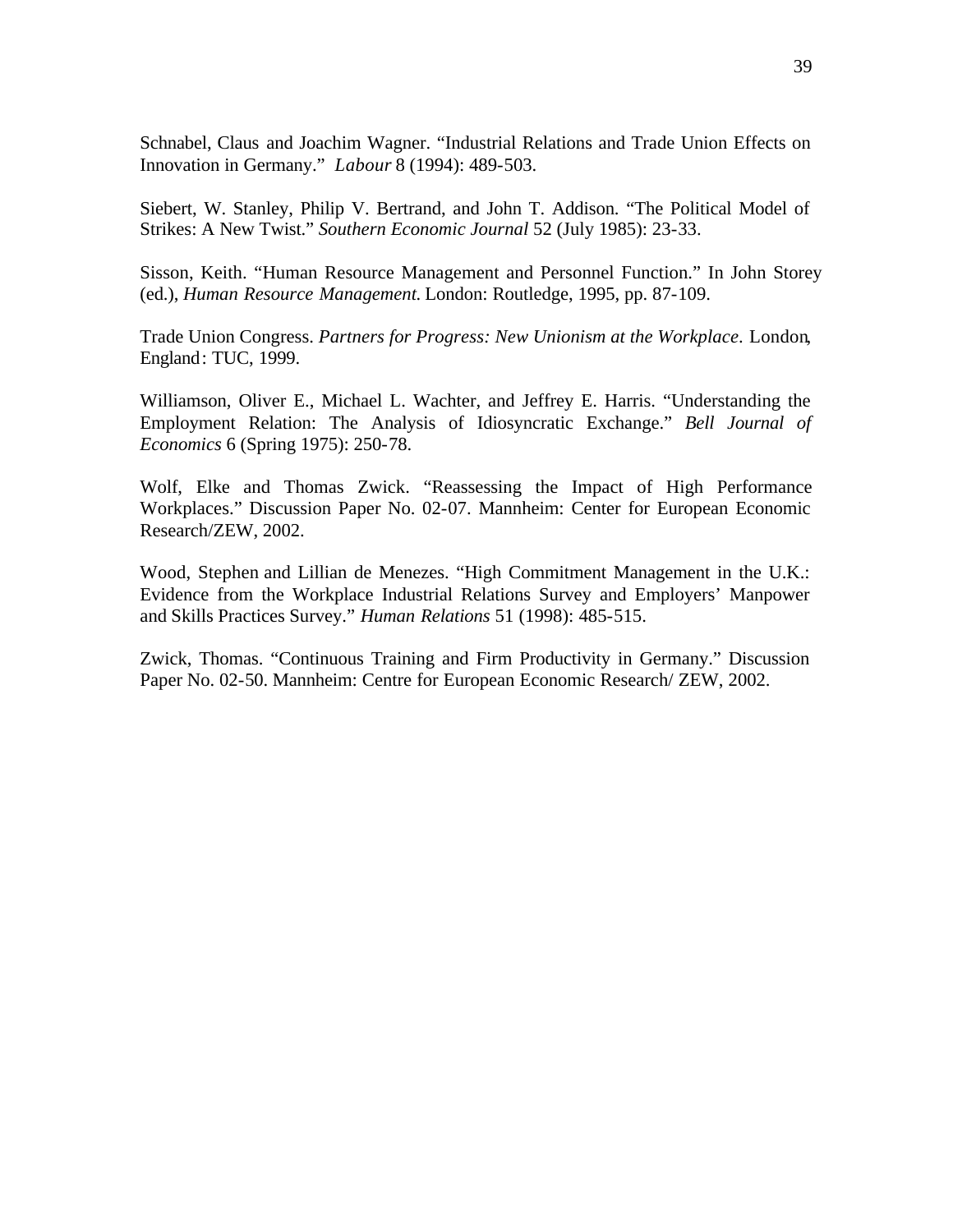Schnabel, Claus and Joachim Wagner. "Industrial Relations and Trade Union Effects on Innovation in Germany." *Labour* 8 (1994): 489-503.

Siebert, W. Stanley, Philip V. Bertrand, and John T. Addison. "The Political Model of Strikes: A New Twist." *Southern Economic Journal* 52 (July 1985): 23-33.

Sisson, Keith. "Human Resource Management and Personnel Function." In John Storey (ed.), *Human Resource Management.* London: Routledge, 1995, pp. 87-109.

Trade Union Congress. *Partners for Progress: New Unionism at the Workplace*. London, England: TUC, 1999.

Williamson, Oliver E., Michael L. Wachter, and Jeffrey E. Harris. "Understanding the Employment Relation: The Analysis of Idiosyncratic Exchange." *Bell Journal of Economics* 6 (Spring 1975): 250-78.

Wolf, Elke and Thomas Zwick. "Reassessing the Impact of High Performance Workplaces." Discussion Paper No. 02-07. Mannheim: Center for European Economic Research/ZEW, 2002.

Wood, Stephen and Lillian de Menezes. "High Commitment Management in the U.K.: Evidence from the Workplace Industrial Relations Survey and Employers' Manpower and Skills Practices Survey." *Human Relations* 51 (1998): 485-515.

Zwick, Thomas. "Continuous Training and Firm Productivity in Germany." Discussion Paper No. 02-50. Mannheim: Centre for European Economic Research/ ZEW, 2002.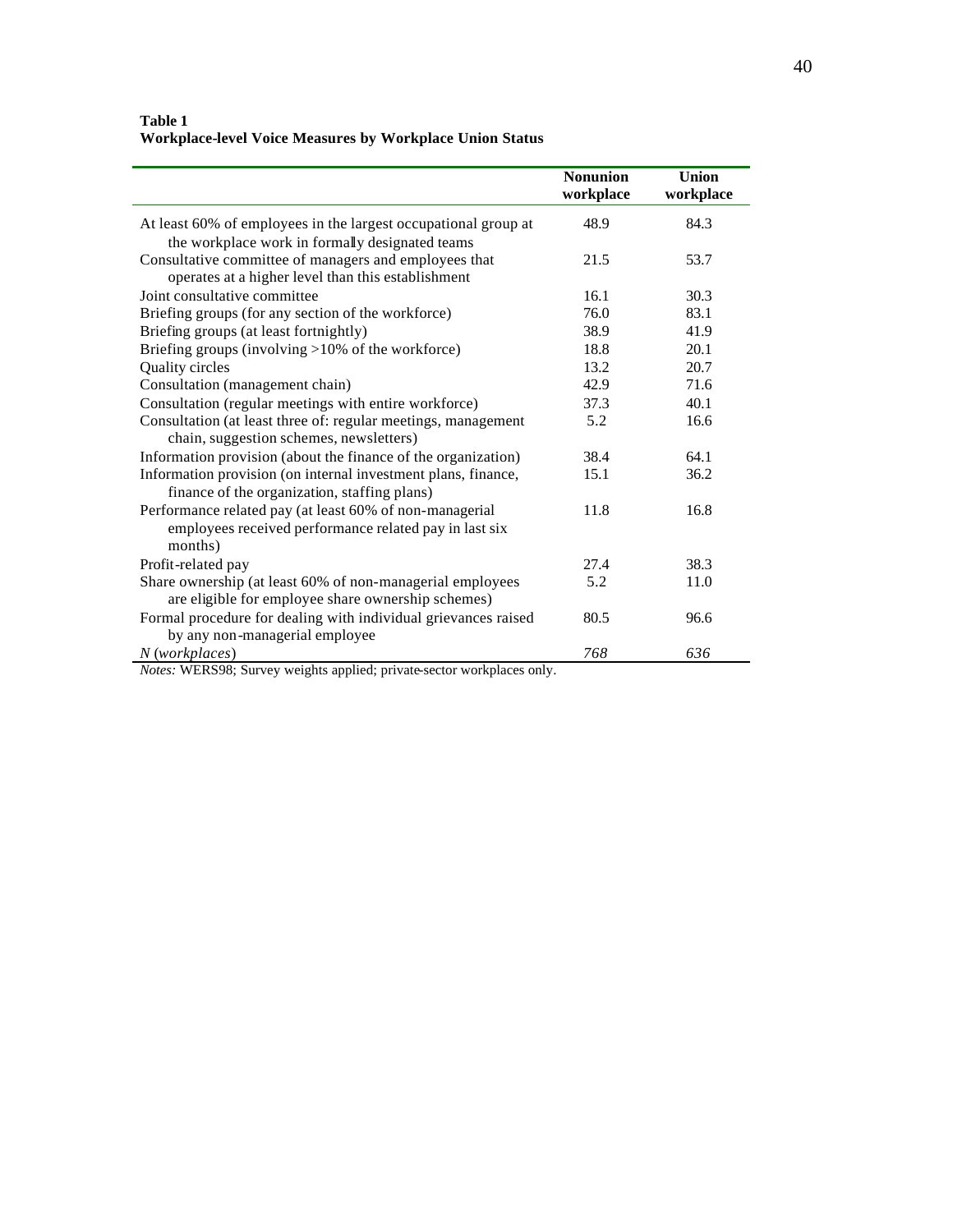| <b>Table 1</b>                                                  |  |  |
|-----------------------------------------------------------------|--|--|
| <b>Workplace-level Voice Measures by Workplace Union Status</b> |  |  |

|                                                                                                                              | <b>Nonunion</b><br>workplace | Union<br>workplace |
|------------------------------------------------------------------------------------------------------------------------------|------------------------------|--------------------|
| At least 60% of employees in the largest occupational group at<br>the workplace work in formally designated teams            | 48.9                         | 84.3               |
| Consultative committee of managers and employees that<br>operates at a higher level than this establishment                  | 21.5                         | 53.7               |
| Joint consultative committee                                                                                                 | 16.1                         | 30.3               |
| Briefing groups (for any section of the workforce)                                                                           | 76.0                         | 83.1               |
| Briefing groups (at least fortnightly)                                                                                       | 38.9                         | 41.9               |
| Briefing groups (involving $>10\%$ of the workforce)                                                                         | 18.8                         | 20.1               |
| Quality circles                                                                                                              | 13.2                         | 20.7               |
| Consultation (management chain)                                                                                              | 42.9                         | 71.6               |
| Consultation (regular meetings with entire workforce)                                                                        | 37.3                         | 40.1               |
| Consultation (at least three of: regular meetings, management<br>chain, suggestion schemes, newsletters)                     | 5.2                          | 16.6               |
| Information provision (about the finance of the organization)                                                                | 38.4                         | 64.1               |
| Information provision (on internal investment plans, finance,<br>finance of the organization, staffing plans)                | 15.1                         | 36.2               |
| Performance related pay (at least 60% of non-managerial<br>employees received performance related pay in last six<br>months) | 11.8                         | 16.8               |
| Profit-related pay                                                                                                           | 27.4                         | 38.3               |
| Share ownership (at least 60% of non-managerial employees<br>are eligible for employee share ownership schemes)              | 5.2                          | 11.0               |
| Formal procedure for dealing with individual grievances raised<br>by any non-managerial employee                             | 80.5                         | 96.6               |
| N (workplaces)                                                                                                               | 768                          | 636                |

*Notes:* WERS98; Survey weights applied; private-sector workplaces only.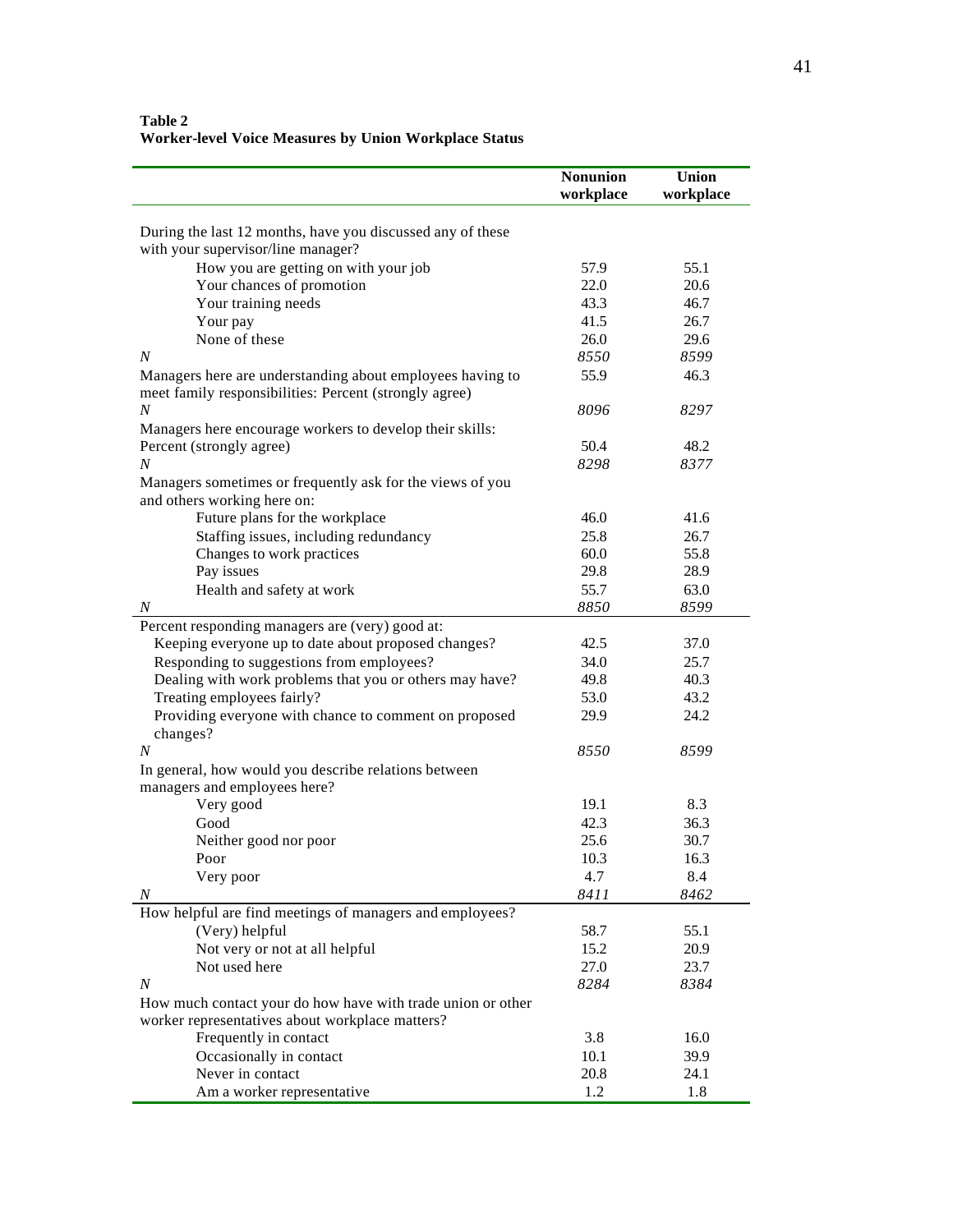|                                                                                      | <b>Nonunion</b><br>workplace | <b>Union</b><br>workplace |
|--------------------------------------------------------------------------------------|------------------------------|---------------------------|
|                                                                                      |                              |                           |
| During the last 12 months, have you discussed any of these                           |                              |                           |
| with your supervisor/line manager?                                                   |                              |                           |
| How you are getting on with your job                                                 | 57.9                         | 55.1                      |
| Your chances of promotion                                                            | 22.0                         | 20.6                      |
| Your training needs                                                                  | 43.3                         | 46.7                      |
| Your pay                                                                             | 41.5                         | 26.7                      |
| None of these<br>$\boldsymbol{N}$                                                    | 26.0                         | 29.6                      |
|                                                                                      | 8550                         | 8599                      |
| Managers here are understanding about employees having to                            | 55.9                         | 46.3                      |
| meet family responsibilities: Percent (strongly agree)<br>$\,N$                      | 8096                         | 8297                      |
|                                                                                      |                              |                           |
| Managers here encourage workers to develop their skills:<br>Percent (strongly agree) | 50.4                         | 48.2                      |
| Ν                                                                                    | 8298                         | 8377                      |
| Managers sometimes or frequently ask for the views of you                            |                              |                           |
| and others working here on:                                                          |                              |                           |
| Future plans for the workplace                                                       | 46.0                         | 41.6                      |
| Staffing issues, including redundancy                                                | 25.8                         | 26.7                      |
| Changes to work practices                                                            | 60.0                         | 55.8                      |
| Pay issues                                                                           | 29.8                         | 28.9                      |
| Health and safety at work                                                            | 55.7                         | 63.0                      |
| N                                                                                    | 8850                         | 8599                      |
| Percent responding managers are (very) good at:                                      |                              |                           |
| Keeping everyone up to date about proposed changes?                                  | 42.5                         | 37.0                      |
| Responding to suggestions from employees?                                            | 34.0                         | 25.7                      |
| Dealing with work problems that you or others may have?                              | 49.8                         | 40.3                      |
| Treating employees fairly?                                                           | 53.0                         | 43.2                      |
| Providing everyone with chance to comment on proposed                                | 29.9                         | 24.2                      |
| changes?                                                                             |                              |                           |
| N                                                                                    | 8550                         | 8599                      |
| In general, how would you describe relations between                                 |                              |                           |
| managers and employees here?                                                         |                              |                           |
| Very good                                                                            | 19.1                         | 8.3                       |
| Good                                                                                 | 42.3                         | 36.3                      |
| Neither good nor poor                                                                | 25.6                         | 30.7                      |
| Poor                                                                                 | 10.3                         | 16.3                      |
| Very poor                                                                            | 4.7                          | 8.4                       |
| Ν                                                                                    | 8411                         | 8462                      |
| How helpful are find meetings of managers and employees?                             |                              |                           |
| (Very) helpful                                                                       | 58.7                         | 55.1                      |
| Not very or not at all helpful                                                       | 15.2                         | 20.9                      |
| Not used here<br>$\boldsymbol{N}$                                                    | 27.0                         | 23.7                      |
|                                                                                      | 8284                         | 8384                      |
| How much contact your do how have with trade union or other                          |                              |                           |
| worker representatives about workplace matters?<br>Frequently in contact             | 3.8                          | 16.0                      |
| Occasionally in contact                                                              | 10.1                         | 39.9                      |
| Never in contact                                                                     | 20.8                         | 24.1                      |
| Am a worker representative                                                           | 1.2                          | 1.8                       |

#### **Table 2 Worker-level Voice Measures by Union Workplace Status**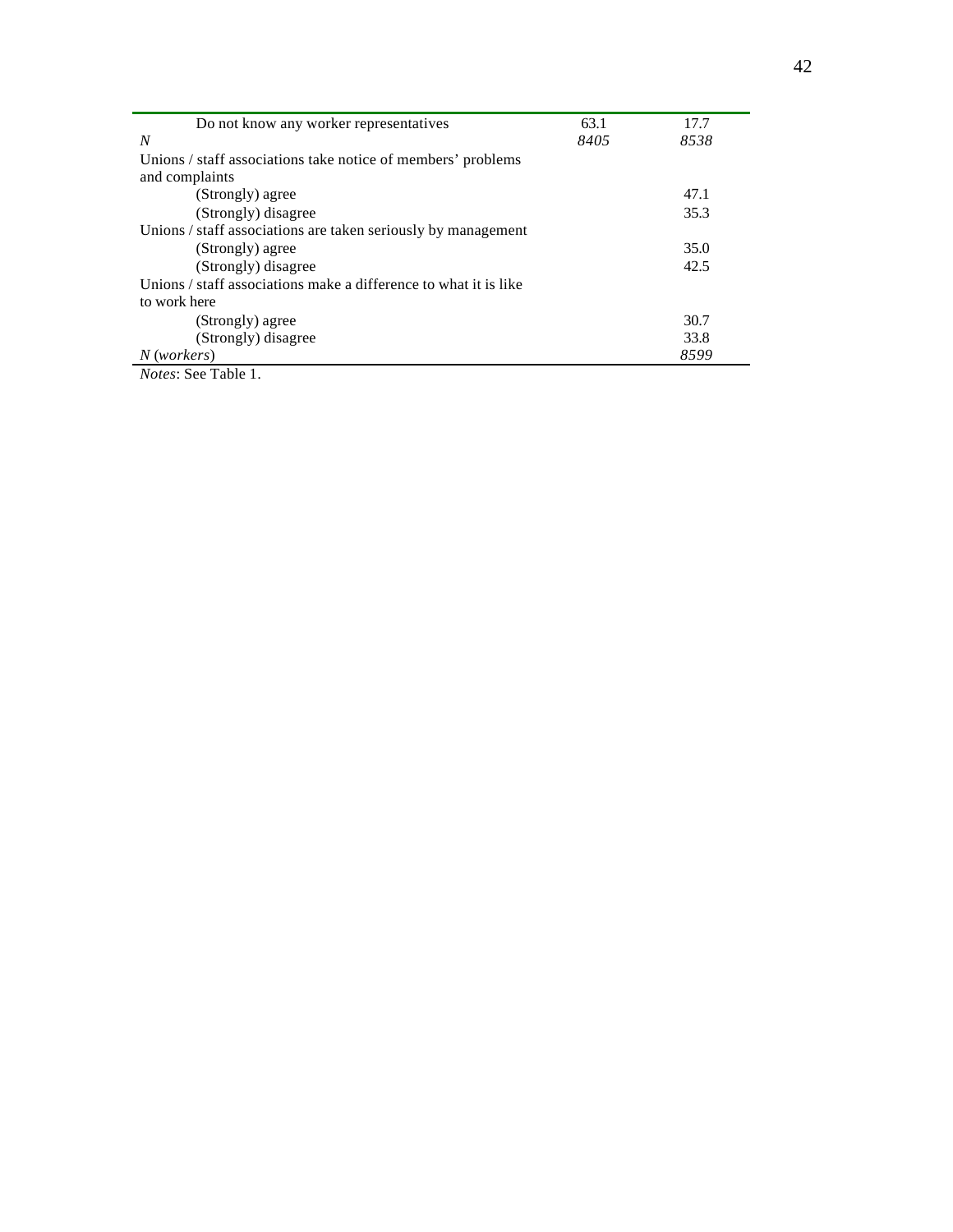| Do not know any worker representatives                           | 63.1 | 17.7 |
|------------------------------------------------------------------|------|------|
| N                                                                | 8405 | 8538 |
| Unions / staff associations take notice of members' problems     |      |      |
| and complaints                                                   |      |      |
| (Strongly) agree                                                 |      | 47.1 |
| (Strongly) disagree                                              |      | 35.3 |
| Unions / staff associations are taken seriously by management    |      |      |
| (Strongly) agree                                                 |      | 35.0 |
| (Strongly) disagree                                              |      | 42.5 |
| Unions / staff associations make a difference to what it is like |      |      |
| to work here                                                     |      |      |
| (Strongly) agree                                                 |      | 30.7 |
| (Strongly) disagree                                              |      | 33.8 |
| N (workers)                                                      |      | 8599 |
| Motor: Roo Toble 1                                               |      |      |

*Notes*: See Table 1.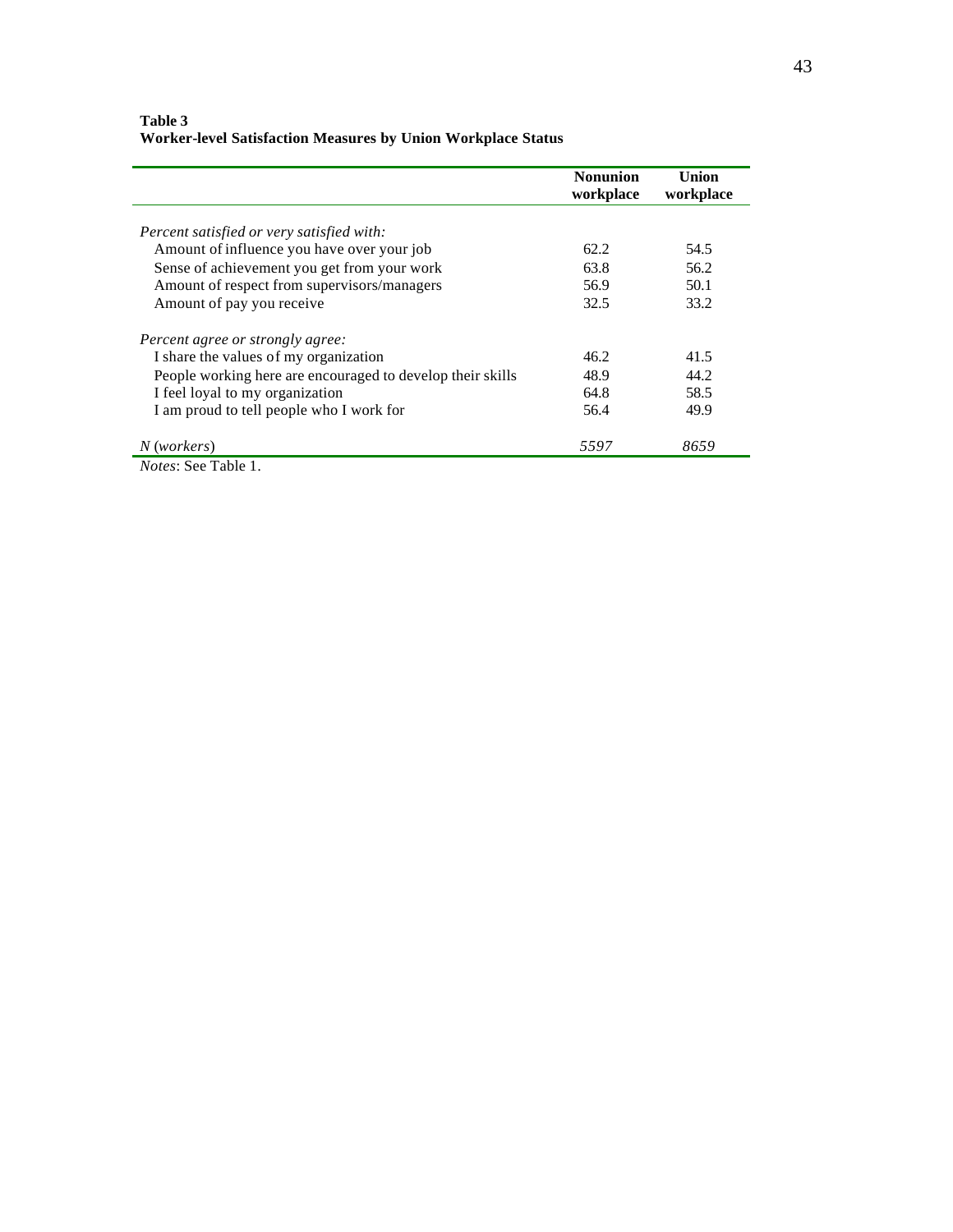#### **Table 3 Worker-level Satisfaction Measures by Union Workplace Status**

|                                                            | <b>Nonunion</b><br>workplace | Union<br>workplace |
|------------------------------------------------------------|------------------------------|--------------------|
|                                                            |                              |                    |
| Percent satisfied or very satisfied with:                  |                              |                    |
| Amount of influence you have over your job                 | 62.2                         | 54.5               |
| Sense of achievement you get from your work                | 63.8                         | 56.2               |
| Amount of respect from supervisors/managers                | 56.9                         | 50.1               |
| Amount of pay you receive                                  | 32.5                         | 33.2               |
| Percent agree or strongly agree:                           |                              |                    |
| I share the values of my organization                      | 46.2                         | 41.5               |
| People working here are encouraged to develop their skills | 48.9                         | 44.2               |
| I feel loyal to my organization                            | 64.8                         | 58.5               |
| I am proud to tell people who I work for                   | 56.4                         | 49.9               |
| N (workers)                                                | 5597                         | 8659               |
|                                                            |                              |                    |

*Notes*: See Table 1.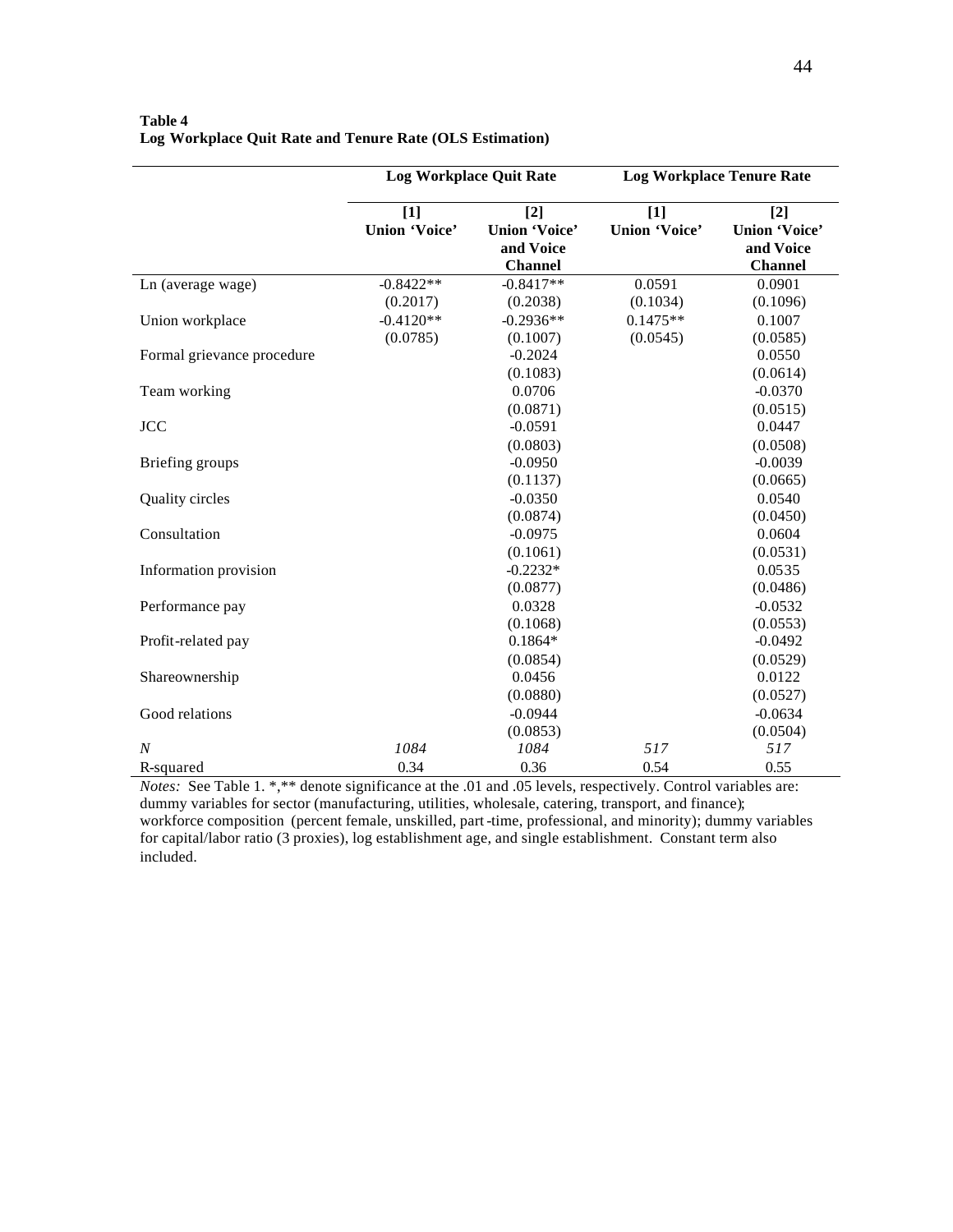|                            | <b>Log Workplace Quit Rate</b> |                               | <b>Log Workplace Tenure Rate</b> |                               |
|----------------------------|--------------------------------|-------------------------------|----------------------------------|-------------------------------|
|                            | $[1]$<br><b>Union 'Voice'</b>  | $[2]$<br><b>Union 'Voice'</b> | $[1]$<br><b>Union 'Voice'</b>    | $[2]$<br><b>Union 'Voice'</b> |
|                            |                                | and Voice<br><b>Channel</b>   |                                  | and Voice<br><b>Channel</b>   |
| Ln (average wage)          | $-0.8422**$                    | $-0.8417**$                   | 0.0591                           | 0.0901                        |
|                            | (0.2017)                       | (0.2038)                      | (0.1034)                         | (0.1096)                      |
| Union workplace            | $-0.4120**$                    | $-0.2936**$                   | $0.1475**$                       | 0.1007                        |
|                            | (0.0785)                       | (0.1007)                      | (0.0545)                         | (0.0585)                      |
| Formal grievance procedure |                                | $-0.2024$                     |                                  | 0.0550                        |
|                            |                                | (0.1083)                      |                                  | (0.0614)                      |
| Team working               |                                | 0.0706                        |                                  | $-0.0370$                     |
|                            |                                | (0.0871)                      |                                  | (0.0515)                      |
| <b>JCC</b>                 |                                | $-0.0591$                     |                                  | 0.0447                        |
|                            |                                | (0.0803)                      |                                  | (0.0508)                      |
| Briefing groups            |                                | $-0.0950$                     |                                  | $-0.0039$                     |
|                            |                                | (0.1137)                      |                                  | (0.0665)                      |
| Quality circles            |                                | $-0.0350$                     |                                  | 0.0540                        |
|                            |                                | (0.0874)                      |                                  | (0.0450)                      |
| Consultation               |                                | $-0.0975$                     |                                  | 0.0604                        |
|                            |                                | (0.1061)                      |                                  | (0.0531)                      |
| Information provision      |                                | $-0.2232*$                    |                                  | 0.0535                        |
|                            |                                | (0.0877)                      |                                  | (0.0486)                      |
| Performance pay            |                                | 0.0328                        |                                  | $-0.0532$                     |
|                            |                                | (0.1068)                      |                                  | (0.0553)                      |
| Profit-related pay         |                                | $0.1864*$                     |                                  | $-0.0492$                     |
|                            |                                | (0.0854)                      |                                  | (0.0529)                      |
| Shareownership             |                                | 0.0456                        |                                  | 0.0122                        |
|                            |                                | (0.0880)                      |                                  | (0.0527)                      |
| Good relations             |                                | $-0.0944$                     |                                  | $-0.0634$                     |
|                            |                                | (0.0853)                      |                                  | (0.0504)                      |
| $\boldsymbol{N}$           | 1084                           | 1084                          | 517                              | 517                           |
| R-squared                  | 0.34                           | 0.36                          | 0.54                             | 0.55                          |

#### **Table 4 Log Workplace Quit Rate and Tenure Rate (OLS Estimation)**

*Notes:* See Table 1. \*,\*\* denote significance at the .01 and .05 levels, respectively. Control variables are: dummy variables for sector (manufacturing, utilities, wholesale, catering, transport, and finance); workforce composition (percent female, unskilled, part-time, professional, and minority); dummy variables for capital/labor ratio (3 proxies), log establishment age, and single establishment. Constant term also included.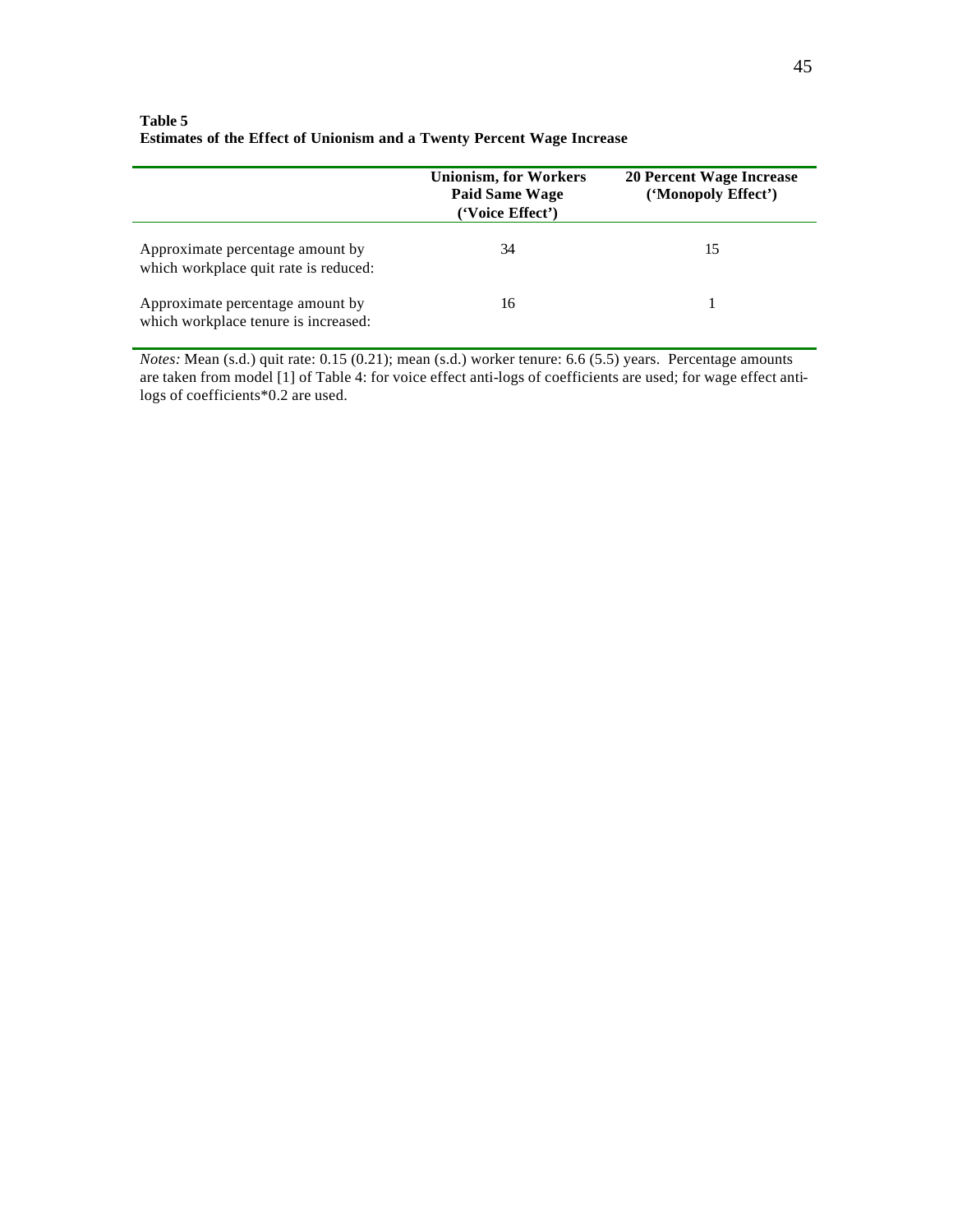|                                                                           | <b>Unionism, for Workers</b><br><b>Paid Same Wage</b><br>('Voice Effect') | 20 Percent Wage Increase<br>('Monopoly Effect') |
|---------------------------------------------------------------------------|---------------------------------------------------------------------------|-------------------------------------------------|
| Approximate percentage amount by<br>which workplace quit rate is reduced: | 34                                                                        | 15                                              |
| Approximate percentage amount by<br>which workplace tenure is increased:  | 16                                                                        |                                                 |

#### **Table 5 Estimates of the Effect of Unionism and a Twenty Percent Wage Increase**

*Notes:* Mean (s.d.) quit rate: 0.15 (0.21); mean (s.d.) worker tenure: 6.6 (5.5) years. Percentage amounts are taken from model [1] of Table 4: for voice effect anti-logs of coefficients are used; for wage effect antilogs of coefficients\*0.2 are used.